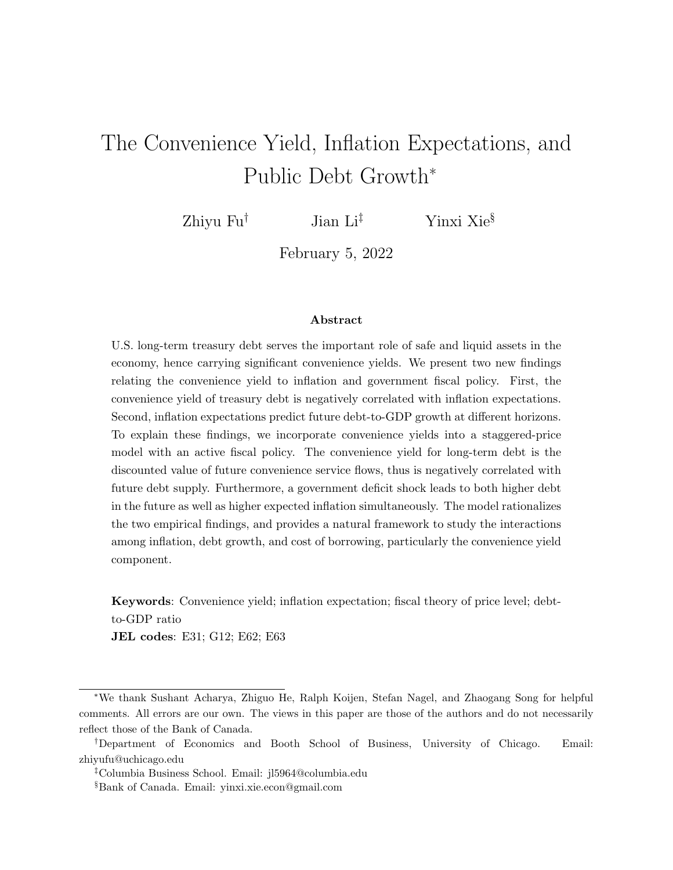# <span id="page-0-0"></span>The Convenience Yield, Inflation Expectations, and Public Debt Growth<sup>∗</sup>

Zhiyu Fu<sup>†</sup> Jian Li<sup>‡</sup> Yinxi Xie<sup>§</sup>

February 5, 2022

#### Abstract

U.S. long-term treasury debt serves the important role of safe and liquid assets in the economy, hence carrying significant convenience yields. We present two new findings relating the convenience yield to inflation and government fiscal policy. First, the convenience yield of treasury debt is negatively correlated with inflation expectations. Second, inflation expectations predict future debt-to-GDP growth at different horizons. To explain these findings, we incorporate convenience yields into a staggered-price model with an active fiscal policy. The convenience yield for long-term debt is the discounted value of future convenience service flows, thus is negatively correlated with future debt supply. Furthermore, a government deficit shock leads to both higher debt in the future as well as higher expected inflation simultaneously. The model rationalizes the two empirical findings, and provides a natural framework to study the interactions among inflation, debt growth, and cost of borrowing, particularly the convenience yield component.

Keywords: Convenience yield; inflation expectation; fiscal theory of price level; debtto-GDP ratio

JEL codes: E31; G12; E62; E63

<sup>∗</sup>We thank Sushant Acharya, Zhiguo He, Ralph Koijen, Stefan Nagel, and Zhaogang Song for helpful comments. All errors are our own. The views in this paper are those of the authors and do not necessarily reflect those of the Bank of Canada.

<sup>†</sup>Department of Economics and Booth School of Business, University of Chicago. Email: zhiyufu@uchicago.edu

<sup>‡</sup>Columbia Business School. Email: jl5964@columbia.edu

<sup>§</sup>Bank of Canada. Email: yinxi.xie.econ@gmail.com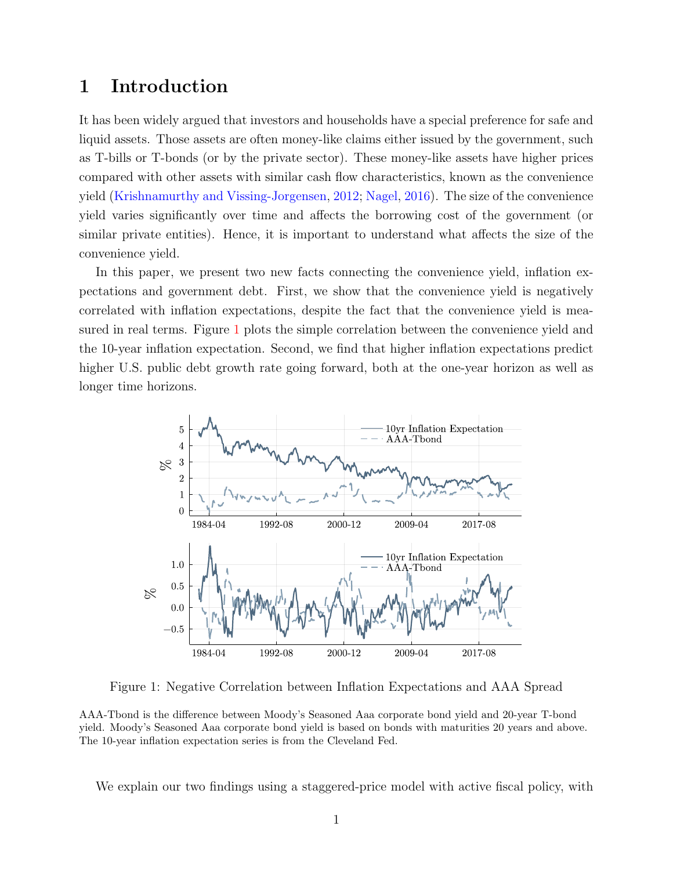## <span id="page-1-0"></span>1 Introduction

It has been widely argued that investors and households have a special preference for safe and liquid assets. Those assets are often money-like claims either issued by the government, such as T-bills or T-bonds (or by the private sector). These money-like assets have higher prices compared with other assets with similar cash flow characteristics, known as the convenience yield [\(Krishnamurthy and Vissing-Jorgensen,](#page-35-0) [2012;](#page-35-0) [Nagel,](#page-35-1) [2016\)](#page-35-1). The size of the convenience yield varies significantly over time and affects the borrowing cost of the government (or similar private entities). Hence, it is important to understand what affects the size of the convenience yield.

In this paper, we present two new facts connecting the convenience yield, inflation expectations and government debt. First, we show that the convenience yield is negatively correlated with inflation expectations, despite the fact that the convenience yield is measured in real terms. Figure [1](#page-1-0) plots the simple correlation between the convenience yield and the 10-year inflation expectation. Second, we find that higher inflation expectations predict higher U.S. public debt growth rate going forward, both at the one-year horizon as well as longer time horizons.



Figure 1: Negative Correlation between Inflation Expectations and AAA Spread

AAA-Tbond is the difference between Moody's Seasoned Aaa corporate bond yield and 20-year T-bond yield. Moody's Seasoned Aaa corporate bond yield is based on bonds with maturities 20 years and above. The 10-year inflation expectation series is from the Cleveland Fed.

We explain our two findings using a staggered-price model with active fiscal policy, with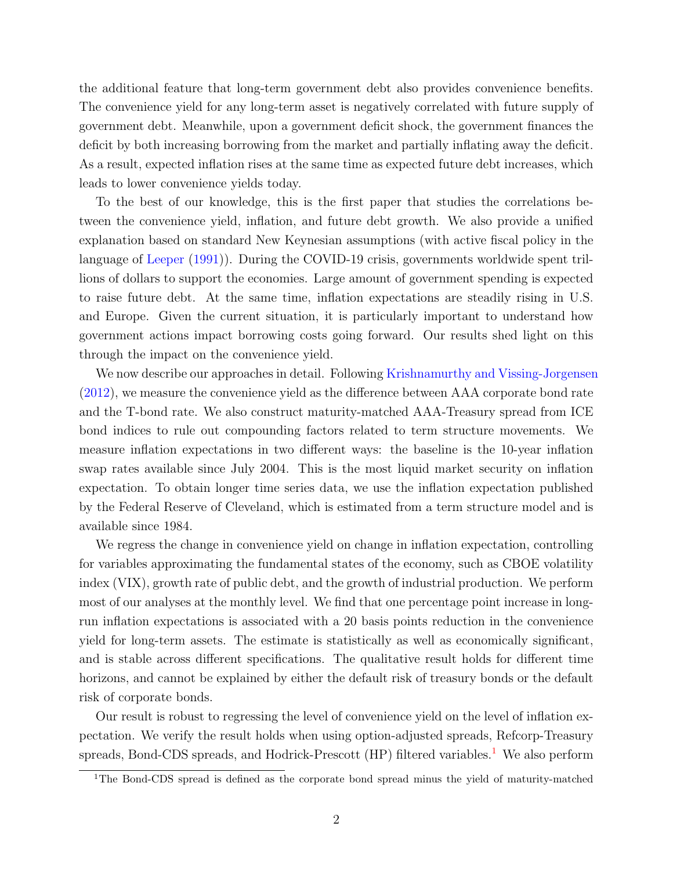the additional feature that long-term government debt also provides convenience benefits. The convenience yield for any long-term asset is negatively correlated with future supply of government debt. Meanwhile, upon a government deficit shock, the government finances the deficit by both increasing borrowing from the market and partially inflating away the deficit. As a result, expected inflation rises at the same time as expected future debt increases, which leads to lower convenience yields today.

To the best of our knowledge, this is the first paper that studies the correlations between the convenience yield, inflation, and future debt growth. We also provide a unified explanation based on standard New Keynesian assumptions (with active fiscal policy in the language of [Leeper](#page-35-2) [\(1991\)](#page-35-2)). During the COVID-19 crisis, governments worldwide spent trillions of dollars to support the economies. Large amount of government spending is expected to raise future debt. At the same time, inflation expectations are steadily rising in U.S. and Europe. Given the current situation, it is particularly important to understand how government actions impact borrowing costs going forward. Our results shed light on this through the impact on the convenience yield.

We now describe our approaches in detail. Following [Krishnamurthy and Vissing-Jorgensen](#page-35-0) [\(2012\)](#page-35-0), we measure the convenience yield as the difference between AAA corporate bond rate and the T-bond rate. We also construct maturity-matched AAA-Treasury spread from ICE bond indices to rule out compounding factors related to term structure movements. We measure inflation expectations in two different ways: the baseline is the 10-year inflation swap rates available since July 2004. This is the most liquid market security on inflation expectation. To obtain longer time series data, we use the inflation expectation published by the Federal Reserve of Cleveland, which is estimated from a term structure model and is available since 1984.

We regress the change in convenience yield on change in inflation expectation, controlling for variables approximating the fundamental states of the economy, such as CBOE volatility index (VIX), growth rate of public debt, and the growth of industrial production. We perform most of our analyses at the monthly level. We find that one percentage point increase in longrun inflation expectations is associated with a 20 basis points reduction in the convenience yield for long-term assets. The estimate is statistically as well as economically significant, and is stable across different specifications. The qualitative result holds for different time horizons, and cannot be explained by either the default risk of treasury bonds or the default risk of corporate bonds.

Our result is robust to regressing the level of convenience yield on the level of inflation expectation. We verify the result holds when using option-adjusted spreads, Refcorp-Treasury spreads, Bond-CDS spreads, and Hodrick-Prescott  $(HP)$  filtered variables.<sup>[1](#page-0-0)</sup> We also perform

<sup>&</sup>lt;sup>1</sup>The Bond-CDS spread is defined as the corporate bond spread minus the yield of maturity-matched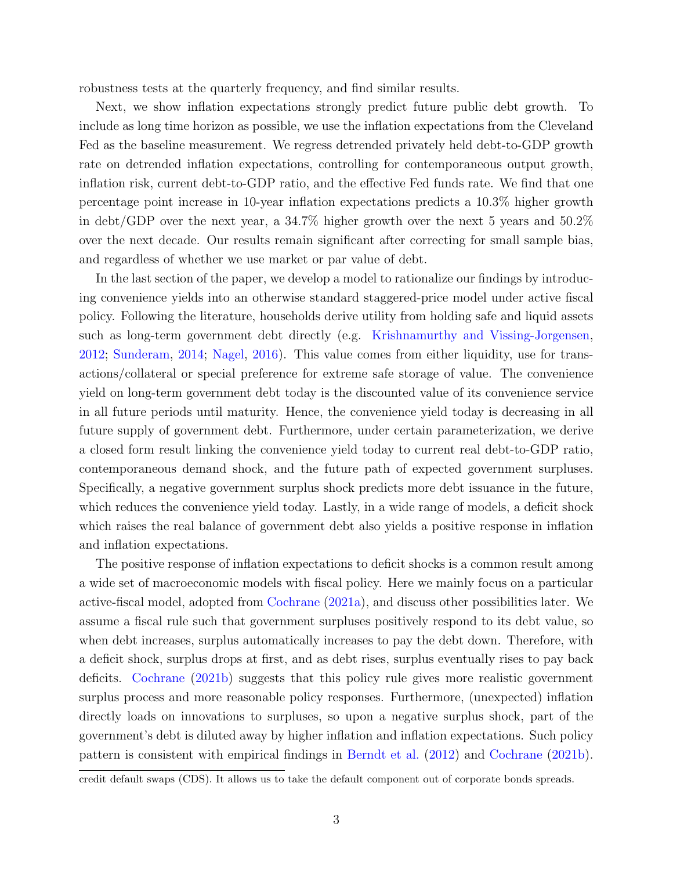robustness tests at the quarterly frequency, and find similar results.

Next, we show inflation expectations strongly predict future public debt growth. To include as long time horizon as possible, we use the inflation expectations from the Cleveland Fed as the baseline measurement. We regress detrended privately held debt-to-GDP growth rate on detrended inflation expectations, controlling for contemporaneous output growth, inflation risk, current debt-to-GDP ratio, and the effective Fed funds rate. We find that one percentage point increase in 10-year inflation expectations predicts a 10.3% higher growth in debt/GDP over the next year, a 34.7% higher growth over the next 5 years and 50.2% over the next decade. Our results remain significant after correcting for small sample bias, and regardless of whether we use market or par value of debt.

In the last section of the paper, we develop a model to rationalize our findings by introducing convenience yields into an otherwise standard staggered-price model under active fiscal policy. Following the literature, households derive utility from holding safe and liquid assets such as long-term government debt directly (e.g. [Krishnamurthy and Vissing-Jorgensen,](#page-35-0) [2012;](#page-35-0) [Sunderam,](#page-35-3) [2014;](#page-35-3) [Nagel,](#page-35-1) [2016\)](#page-35-1). This value comes from either liquidity, use for transactions/collateral or special preference for extreme safe storage of value. The convenience yield on long-term government debt today is the discounted value of its convenience service in all future periods until maturity. Hence, the convenience yield today is decreasing in all future supply of government debt. Furthermore, under certain parameterization, we derive a closed form result linking the convenience yield today to current real debt-to-GDP ratio, contemporaneous demand shock, and the future path of expected government surpluses. Specifically, a negative government surplus shock predicts more debt issuance in the future, which reduces the convenience yield today. Lastly, in a wide range of models, a deficit shock which raises the real balance of government debt also yields a positive response in inflation and inflation expectations.

The positive response of inflation expectations to deficit shocks is a common result among a wide set of macroeconomic models with fiscal policy. Here we mainly focus on a particular active-fiscal model, adopted from [Cochrane](#page-33-0) [\(2021a\)](#page-33-0), and discuss other possibilities later. We assume a fiscal rule such that government surpluses positively respond to its debt value, so when debt increases, surplus automatically increases to pay the debt down. Therefore, with a deficit shock, surplus drops at first, and as debt rises, surplus eventually rises to pay back deficits. [Cochrane](#page-33-1) [\(2021b\)](#page-33-1) suggests that this policy rule gives more realistic government surplus process and more reasonable policy responses. Furthermore, (unexpected) inflation directly loads on innovations to surpluses, so upon a negative surplus shock, part of the government's debt is diluted away by higher inflation and inflation expectations. Such policy pattern is consistent with empirical findings in [Berndt et al.](#page-32-0) [\(2012\)](#page-32-0) and [Cochrane](#page-33-1) [\(2021b\)](#page-33-1).

credit default swaps (CDS). It allows us to take the default component out of corporate bonds spreads.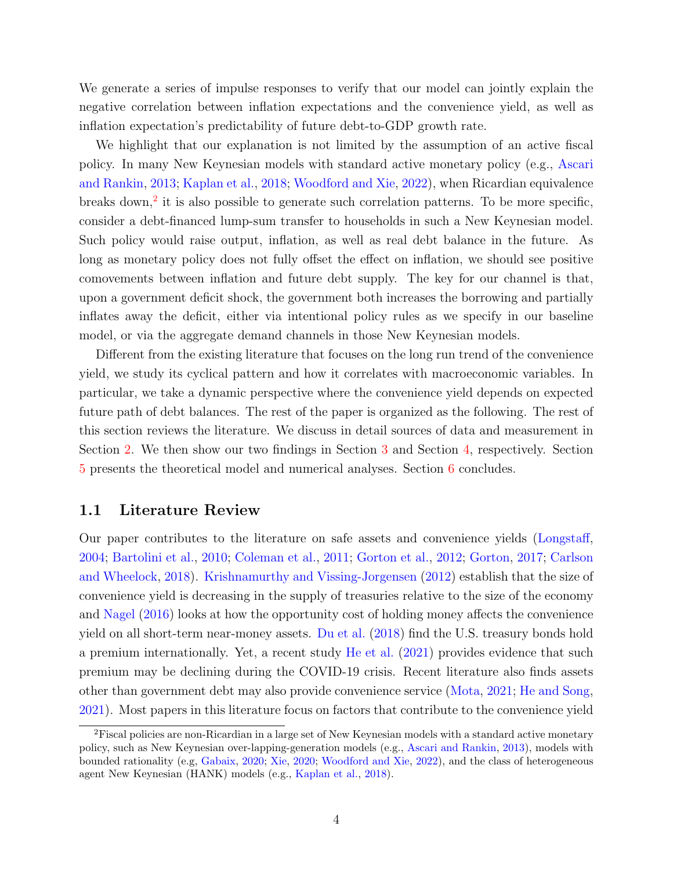We generate a series of impulse responses to verify that our model can jointly explain the negative correlation between inflation expectations and the convenience yield, as well as inflation expectation's predictability of future debt-to-GDP growth rate.

We highlight that our explanation is not limited by the assumption of an active fiscal policy. In many New Keynesian models with standard active monetary policy (e.g., [Ascari](#page-32-1) [and Rankin,](#page-32-1) [2013;](#page-32-1) [Kaplan et al.,](#page-35-4) [2018;](#page-35-4) [Woodford and Xie,](#page-36-0) [2022\)](#page-36-0), when Ricardian equivalence breaks down,<sup>[2](#page-0-0)</sup> it is also possible to generate such correlation patterns. To be more specific, consider a debt-financed lump-sum transfer to households in such a New Keynesian model. Such policy would raise output, inflation, as well as real debt balance in the future. As long as monetary policy does not fully offset the effect on inflation, we should see positive comovements between inflation and future debt supply. The key for our channel is that, upon a government deficit shock, the government both increases the borrowing and partially inflates away the deficit, either via intentional policy rules as we specify in our baseline model, or via the aggregate demand channels in those New Keynesian models.

Different from the existing literature that focuses on the long run trend of the convenience yield, we study its cyclical pattern and how it correlates with macroeconomic variables. In particular, we take a dynamic perspective where the convenience yield depends on expected future path of debt balances. The rest of the paper is organized as the following. The rest of this section reviews the literature. We discuss in detail sources of data and measurement in Section [2.](#page-6-0) We then show our two findings in Section [3](#page-9-0) and Section [4,](#page-15-0) respectively. Section [5](#page-18-0) presents the theoretical model and numerical analyses. Section [6](#page-31-0) concludes.

#### 1.1 Literature Review

Our paper contributes to the literature on safe assets and convenience yields [\(Longstaff,](#page-35-5) [2004;](#page-35-5) [Bartolini et al.,](#page-32-2) [2010;](#page-32-2) [Coleman et al.,](#page-33-2) [2011;](#page-33-2) [Gorton et al.,](#page-34-0) [2012;](#page-34-0) [Gorton,](#page-34-1) [2017;](#page-34-1) [Carlson](#page-33-3) [and Wheelock,](#page-33-3) [2018\)](#page-33-3). [Krishnamurthy and Vissing-Jorgensen](#page-35-0) [\(2012\)](#page-35-0) establish that the size of convenience yield is decreasing in the supply of treasuries relative to the size of the economy and [Nagel](#page-35-1) [\(2016\)](#page-35-1) looks at how the opportunity cost of holding money affects the convenience yield on all short-term near-money assets. [Du et al.](#page-33-4) [\(2018\)](#page-33-4) find the U.S. treasury bonds hold a premium internationally. Yet, a recent study [He et al.](#page-34-2) [\(2021\)](#page-34-2) provides evidence that such premium may be declining during the COVID-19 crisis. Recent literature also finds assets other than government debt may also provide convenience service [\(Mota,](#page-35-6) [2021;](#page-35-6) [He and Song,](#page-34-3) [2021\)](#page-34-3). Most papers in this literature focus on factors that contribute to the convenience yield

<sup>2</sup>Fiscal policies are non-Ricardian in a large set of New Keynesian models with a standard active monetary policy, such as New Keynesian over-lapping-generation models (e.g., [Ascari and Rankin,](#page-32-1) [2013\)](#page-32-1), models with bounded rationality (e.g, [Gabaix,](#page-34-4) [2020;](#page-34-4) [Xie,](#page-36-1) [2020;](#page-36-1) [Woodford and Xie,](#page-36-0) [2022\)](#page-36-0), and the class of heterogeneous agent New Keynesian (HANK) models (e.g., [Kaplan et al.,](#page-35-4) [2018\)](#page-35-4).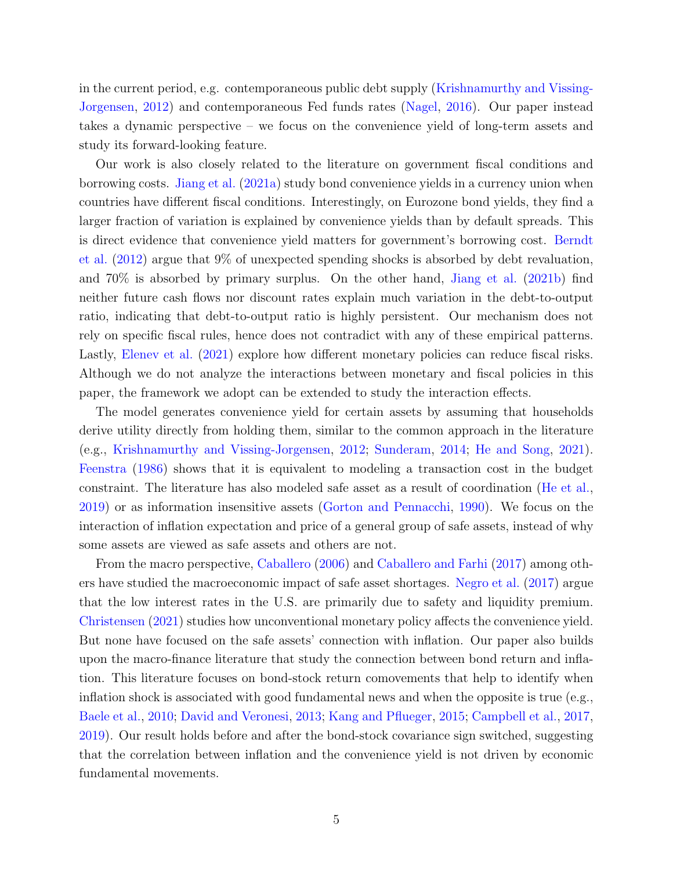in the current period, e.g. contemporaneous public debt supply [\(Krishnamurthy and Vissing-](#page-35-0)[Jorgensen,](#page-35-0) [2012\)](#page-35-0) and contemporaneous Fed funds rates [\(Nagel,](#page-35-1) [2016\)](#page-35-1). Our paper instead takes a dynamic perspective – we focus on the convenience yield of long-term assets and study its forward-looking feature.

Our work is also closely related to the literature on government fiscal conditions and borrowing costs. [Jiang et al.](#page-34-5) [\(2021a\)](#page-34-5) study bond convenience yields in a currency union when countries have different fiscal conditions. Interestingly, on Eurozone bond yields, they find a larger fraction of variation is explained by convenience yields than by default spreads. This is direct evidence that convenience yield matters for government's borrowing cost. [Berndt](#page-32-0) [et al.](#page-32-0) [\(2012\)](#page-32-0) argue that 9% of unexpected spending shocks is absorbed by debt revaluation, and 70% is absorbed by primary surplus. On the other hand, [Jiang et al.](#page-35-7) [\(2021b\)](#page-35-7) find neither future cash flows nor discount rates explain much variation in the debt-to-output ratio, indicating that debt-to-output ratio is highly persistent. Our mechanism does not rely on specific fiscal rules, hence does not contradict with any of these empirical patterns. Lastly, [Elenev et al.](#page-33-5) [\(2021\)](#page-33-5) explore how different monetary policies can reduce fiscal risks. Although we do not analyze the interactions between monetary and fiscal policies in this paper, the framework we adopt can be extended to study the interaction effects.

The model generates convenience yield for certain assets by assuming that households derive utility directly from holding them, similar to the common approach in the literature (e.g., [Krishnamurthy and Vissing-Jorgensen,](#page-35-0) [2012;](#page-35-0) [Sunderam,](#page-35-3) [2014;](#page-35-3) [He and Song,](#page-34-3) [2021\)](#page-34-3). [Feenstra](#page-33-6) [\(1986\)](#page-33-6) shows that it is equivalent to modeling a transaction cost in the budget constraint. The literature has also modeled safe asset as a result of coordination [\(He et al.,](#page-34-6) [2019\)](#page-34-6) or as information insensitive assets [\(Gorton and Pennacchi,](#page-34-7) [1990\)](#page-34-7). We focus on the interaction of inflation expectation and price of a general group of safe assets, instead of why some assets are viewed as safe assets and others are not.

From the macro perspective, [Caballero](#page-32-3) [\(2006\)](#page-32-3) and [Caballero and Farhi](#page-32-4) [\(2017\)](#page-32-4) among others have studied the macroeconomic impact of safe asset shortages. [Negro et al.](#page-35-8) [\(2017\)](#page-35-8) argue that the low interest rates in the U.S. are primarily due to safety and liquidity premium. [Christensen](#page-33-7) [\(2021\)](#page-33-7) studies how unconventional monetary policy affects the convenience yield. But none have focused on the safe assets' connection with inflation. Our paper also builds upon the macro-finance literature that study the connection between bond return and inflation. This literature focuses on bond-stock return comovements that help to identify when inflation shock is associated with good fundamental news and when the opposite is true (e.g., [Baele et al.,](#page-32-5) [2010;](#page-32-5) [David and Veronesi,](#page-33-8) [2013;](#page-33-8) [Kang and Pflueger,](#page-35-9) [2015;](#page-35-9) [Campbell et al.,](#page-33-9) [2017,](#page-33-9) [2019\)](#page-32-6). Our result holds before and after the bond-stock covariance sign switched, suggesting that the correlation between inflation and the convenience yield is not driven by economic fundamental movements.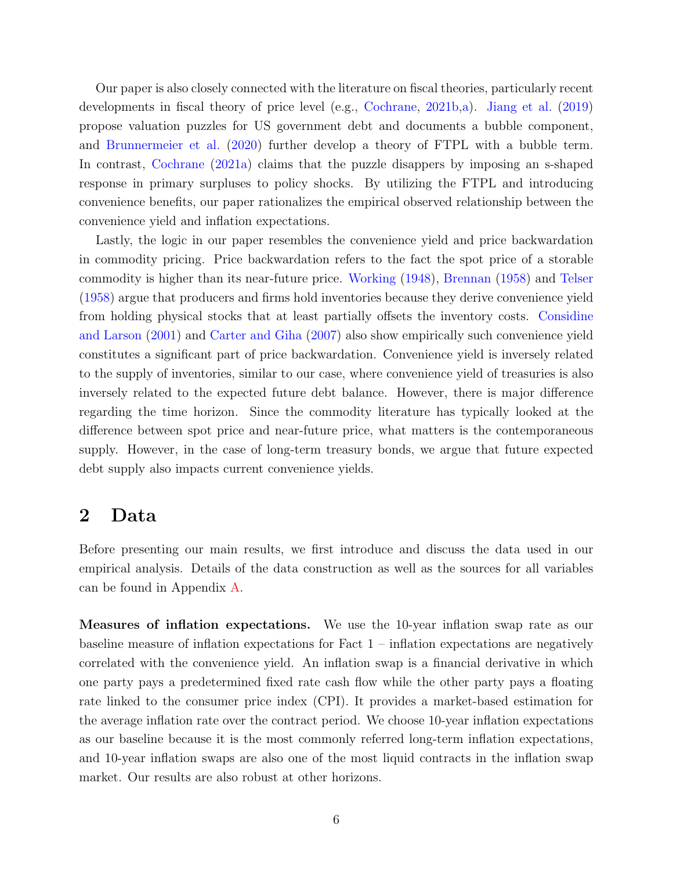Our paper is also closely connected with the literature on fiscal theories, particularly recent developments in fiscal theory of price level (e.g., [Cochrane,](#page-33-1) [2021b,](#page-33-1)[a\)](#page-33-0). [Jiang et al.](#page-34-8) [\(2019\)](#page-34-8) propose valuation puzzles for US government debt and documents a bubble component, and [Brunnermeier et al.](#page-32-7) [\(2020\)](#page-32-7) further develop a theory of FTPL with a bubble term. In contrast, [Cochrane](#page-33-0) [\(2021a\)](#page-33-0) claims that the puzzle disappers by imposing an s-shaped response in primary surpluses to policy shocks. By utilizing the FTPL and introducing convenience benefits, our paper rationalizes the empirical observed relationship between the convenience yield and inflation expectations.

Lastly, the logic in our paper resembles the convenience yield and price backwardation in commodity pricing. Price backwardation refers to the fact the spot price of a storable commodity is higher than its near-future price. [Working](#page-36-2) [\(1948\)](#page-36-2), [Brennan](#page-32-8) [\(1958\)](#page-32-8) and [Telser](#page-36-3) [\(1958\)](#page-36-3) argue that producers and firms hold inventories because they derive convenience yield from holding physical stocks that at least partially offsets the inventory costs. [Considine](#page-33-10) [and Larson](#page-33-10) [\(2001\)](#page-33-10) and [Carter and Giha](#page-33-11) [\(2007\)](#page-33-11) also show empirically such convenience yield constitutes a significant part of price backwardation. Convenience yield is inversely related to the supply of inventories, similar to our case, where convenience yield of treasuries is also inversely related to the expected future debt balance. However, there is major difference regarding the time horizon. Since the commodity literature has typically looked at the difference between spot price and near-future price, what matters is the contemporaneous supply. However, in the case of long-term treasury bonds, we argue that future expected debt supply also impacts current convenience yields.

### <span id="page-6-0"></span>2 Data

Before presenting our main results, we first introduce and discuss the data used in our empirical analysis. Details of the data construction as well as the sources for all variables can be found in Appendix [A.](#page-37-0)

<span id="page-6-1"></span>Measures of inflation expectations. We use the 10-year inflation swap rate as our baseline measure of inflation expectations for Fact  $1$  – inflation expectations are negatively correlated with the convenience yield. An inflation swap is a financial derivative in which one party pays a predetermined fixed rate cash flow while the other party pays a floating rate linked to the consumer price index (CPI). It provides a market-based estimation for the average inflation rate over the contract period. We choose 10-year inflation expectations as our baseline because it is the most commonly referred long-term inflation expectations, and 10-year inflation swaps are also one of the most liquid contracts in the inflation swap market. Our results are also robust at other horizons.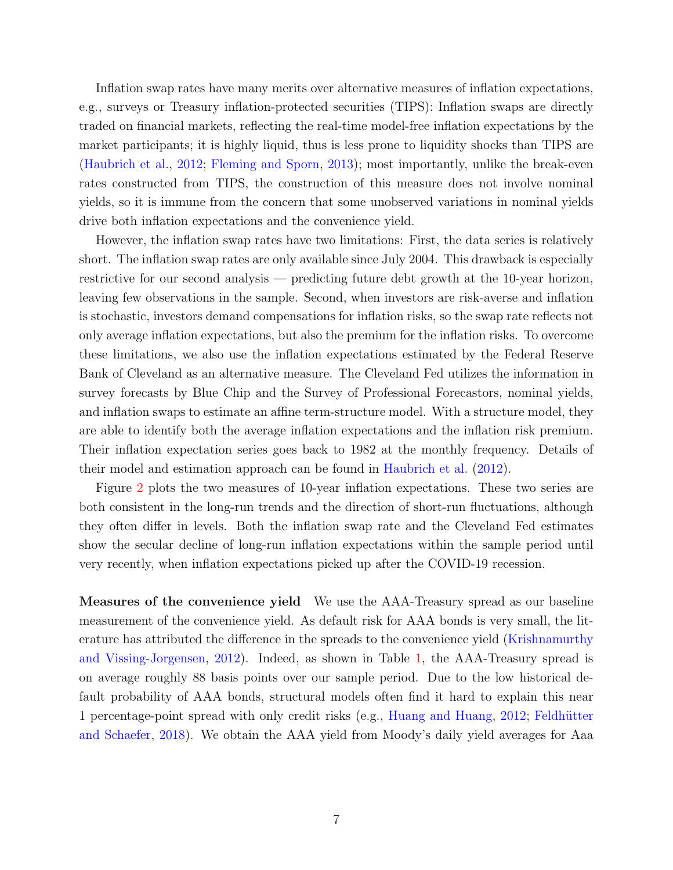Inflation swap rates have many merits over alternative measures of inflation expectations, e.g., surveys or Treasury inflation-protected securities (TIPS): Inflation swaps are directly traded on financial markets, reflecting the real-time model-free inflation expectations by the market participants; it is highly liquid, thus is less prone to liquidity shocks than TIPS are [\(Haubrich et al.,](#page-34-9) [2012;](#page-34-9) [Fleming and Sporn,](#page-33-12) [2013\)](#page-33-12); most importantly, unlike the break-even rates constructed from TIPS, the construction of this measure does not involve nominal yields, so it is immune from the concern that some unobserved variations in nominal yields drive both inflation expectations and the convenience yield.

However, the inflation swap rates have two limitations: First, the data series is relatively short. The inflation swap rates are only available since July 2004. This drawback is especially restrictive for our second analysis — predicting future debt growth at the 10-year horizon, leaving few observations in the sample. Second, when investors are risk-averse and inflation is stochastic, investors demand compensations for inflation risks, so the swap rate reflects not only average inflation expectations, but also the premium for the inflation risks. To overcome these limitations, we also use the inflation expectations estimated by the Federal Reserve Bank of Cleveland as an alternative measure. The Cleveland Fed utilizes the information in survey forecasts by Blue Chip and the Survey of Professional Forecastors, nominal yields, and inflation swaps to estimate an affine term-structure model. With a structure model, they are able to identify both the average inflation expectations and the inflation risk premium. Their inflation expectation series goes back to 1982 at the monthly frequency. Details of their model and estimation approach can be found in [Haubrich et al.](#page-34-9) [\(2012\)](#page-34-9).

Figure [2](#page-6-1) plots the two measures of 10-year inflation expectations. These two series are both consistent in the long-run trends and the direction of short-run fluctuations, although they often differ in levels. Both the inflation swap rate and the Cleveland Fed estimates show the secular decline of long-run inflation expectations within the sample period until very recently, when inflation expectations picked up after the COVID-19 recession.

Measures of the convenience yield We use the AAA-Treasury spread as our baseline measurement of the convenience yield. As default risk for AAA bonds is very small, the literature has attributed the difference in the spreads to the convenience yield [\(Krishnamurthy](#page-35-0) [and Vissing-Jorgensen,](#page-35-0) [2012\)](#page-35-0). Indeed, as shown in Table [1,](#page-10-0) the AAA-Treasury spread is on average roughly 88 basis points over our sample period. Due to the low historical default probability of AAA bonds, structural models often find it hard to explain this near 1 percentage-point spread with only credit risks (e.g., [Huang and Huang,](#page-34-10) [2012;](#page-34-10) [Feldh¨utter](#page-33-13) [and Schaefer,](#page-33-13) [2018\)](#page-33-13). We obtain the AAA yield from Moody's daily yield averages for Aaa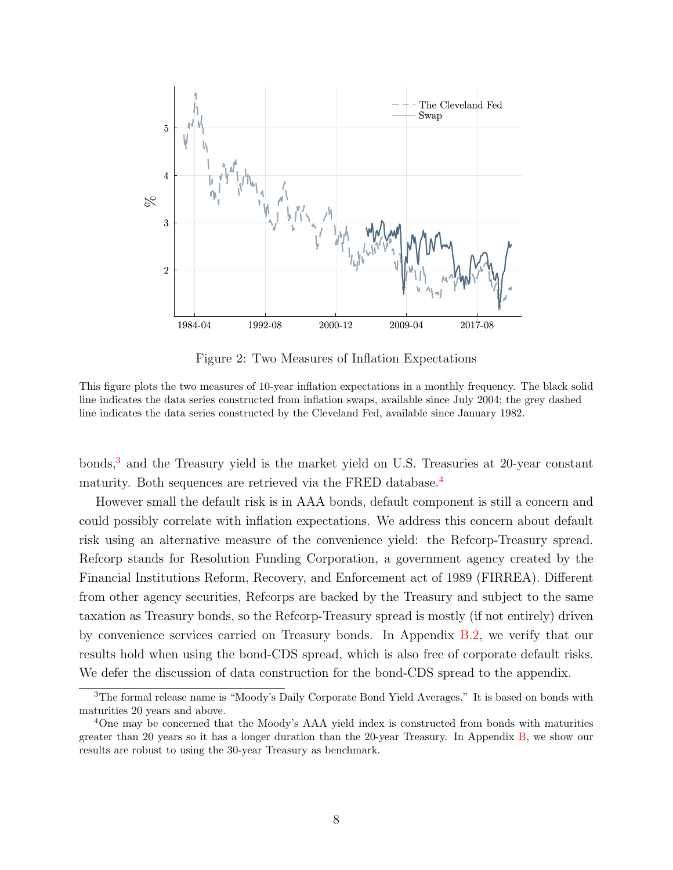

Figure 2: Two Measures of Inflation Expectations

This figure plots the two measures of 10-year inflation expectations in a monthly frequency. The black solid line indicates the data series constructed from inflation swaps, available since July 2004; the grey dashed line indicates the data series constructed by the Cleveland Fed, available since January 1982.

 $b$ onds, $3$  and the Treasury yield is the market yield on U.S. Treasuries at 20-year constant maturity. Both sequences are retrieved via the FRED database.<sup>[4](#page-0-0)</sup>

However small the default risk is in AAA bonds, default component is still a concern and could possibly correlate with inflation expectations. We address this concern about default risk using an alternative measure of the convenience yield: the Refcorp-Treasury spread. Refcorp stands for Resolution Funding Corporation, a government agency created by the Financial Institutions Reform, Recovery, and Enforcement act of 1989 (FIRREA). Different from other agency securities, Refcorps are backed by the Treasury and subject to the same taxation as Treasury bonds, so the Refcorp-Treasury spread is mostly (if not entirely) driven by convenience services carried on Treasury bonds. In Appendix [B.2,](#page-40-0) we verify that our results hold when using the bond-CDS spread, which is also free of corporate default risks. We defer the discussion of data construction for the bond-CDS spread to the appendix.

<sup>&</sup>lt;sup>3</sup>The formal release name is "Moody's Daily Corporate Bond Yield Averages." It is based on bonds with maturities 20 years and above.

<sup>4</sup>One may be concerned that the Moody's AAA yield index is constructed from bonds with maturities greater than 20 years so it has a longer duration than the 20-year Treasury. In Appendix [B,](#page-39-0) we show our results are robust to using the 30-year Treasury as benchmark.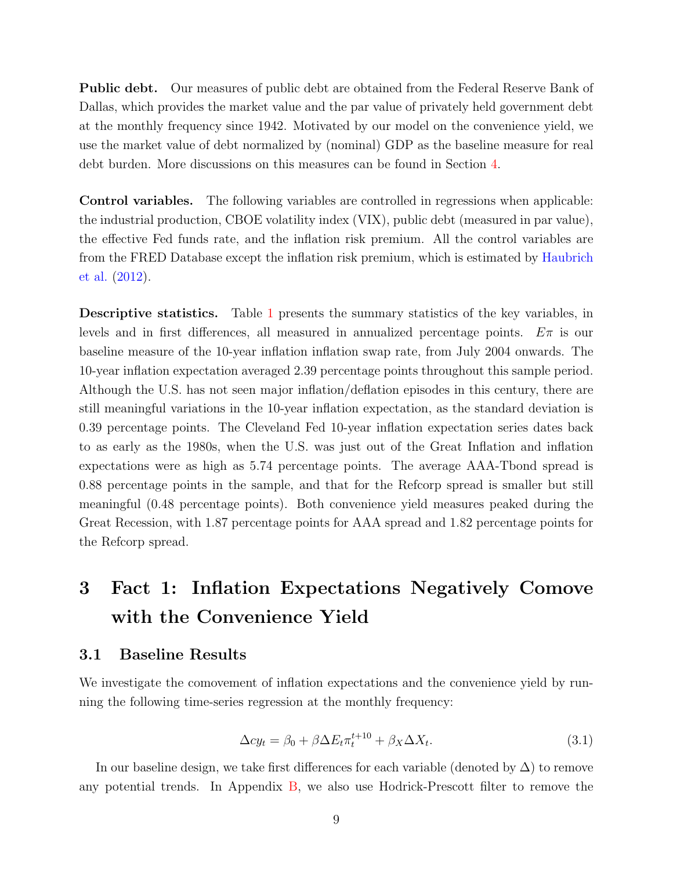Public debt. Our measures of public debt are obtained from the Federal Reserve Bank of Dallas, which provides the market value and the par value of privately held government debt at the monthly frequency since 1942. Motivated by our model on the convenience yield, we use the market value of debt normalized by (nominal) GDP as the baseline measure for real debt burden. More discussions on this measures can be found in Section [4.](#page-15-0)

Control variables. The following variables are controlled in regressions when applicable: the industrial production, CBOE volatility index (VIX), public debt (measured in par value), the effective Fed funds rate, and the inflation risk premium. All the control variables are from the FRED Database except the inflation risk premium, which is estimated by [Haubrich](#page-34-9) [et al.](#page-34-9) [\(2012\)](#page-34-9).

**Descriptive statistics.** Table [1](#page-10-0) presents the summary statistics of the key variables, in levels and in first differences, all measured in annualized percentage points.  $E\pi$  is our baseline measure of the 10-year inflation inflation swap rate, from July 2004 onwards. The 10-year inflation expectation averaged 2.39 percentage points throughout this sample period. Although the U.S. has not seen major inflation/deflation episodes in this century, there are still meaningful variations in the 10-year inflation expectation, as the standard deviation is 0.39 percentage points. The Cleveland Fed 10-year inflation expectation series dates back to as early as the 1980s, when the U.S. was just out of the Great Inflation and inflation expectations were as high as 5.74 percentage points. The average AAA-Tbond spread is 0.88 percentage points in the sample, and that for the Refcorp spread is smaller but still meaningful (0.48 percentage points). Both convenience yield measures peaked during the Great Recession, with 1.87 percentage points for AAA spread and 1.82 percentage points for the Refcorp spread.

## <span id="page-9-0"></span>3 Fact 1: Inflation Expectations Negatively Comove with the Convenience Yield

#### 3.1 Baseline Results

<span id="page-9-1"></span>We investigate the comovement of inflation expectations and the convenience yield by running the following time-series regression at the monthly frequency:

$$
\Delta c y_t = \beta_0 + \beta \Delta E_t \pi_t^{t+10} + \beta_X \Delta X_t.
$$
\n(3.1)

In our baseline design, we take first differences for each variable (denoted by  $\Delta$ ) to remove any potential trends. In Appendix [B,](#page-39-0) we also use Hodrick-Prescott filter to remove the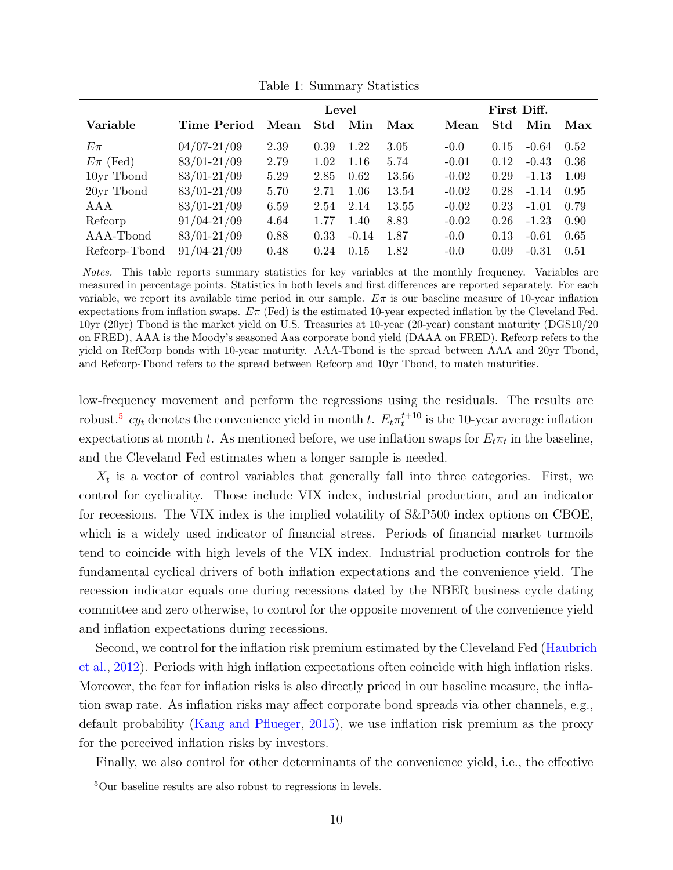|               |                 | Level |      |         |       | First Diff. |      |         |      |
|---------------|-----------------|-------|------|---------|-------|-------------|------|---------|------|
| Variable      | Time Period     | Mean  | Std  | Min     | Max   | Mean        | Std  | Min     | Max  |
| $E\pi$        | $04/07 - 21/09$ | 2.39  | 0.39 | 1.22    | 3.05  | $-0.0$      | 0.15 | $-0.64$ | 0.52 |
| $E\pi$ (Fed)  | $83/01 - 21/09$ | 2.79  | 1.02 | 1.16    | 5.74  | $-0.01$     | 0.12 | $-0.43$ | 0.36 |
| 10yr Tbond    | $83/01 - 21/09$ | 5.29  | 2.85 | 0.62    | 13.56 | $-0.02$     | 0.29 | $-1.13$ | 1.09 |
| 20yr Tbond    | 83/01-21/09     | 5.70  | 2.71 | 1.06    | 13.54 | $-0.02$     | 0.28 | $-1.14$ | 0.95 |
| AAA           | $83/01 - 21/09$ | 6.59  | 2.54 | 2.14    | 13.55 | $-0.02$     | 0.23 | $-1.01$ | 0.79 |
| Refcorp       | $91/04 - 21/09$ | 4.64  | 1.77 | 1.40    | 8.83  | $-0.02$     | 0.26 | $-1.23$ | 0.90 |
| AAA-Tbond     | $83/01 - 21/09$ | 0.88  | 0.33 | $-0.14$ | 1.87  | $-0.0$      | 0.13 | $-0.61$ | 0.65 |
| Refcorp-Tbond | $91/04 - 21/09$ | 0.48  | 0.24 | 0.15    | 1.82  | $-0.0$      | 0.09 | $-0.31$ | 0.51 |

<span id="page-10-0"></span>Table 1: Summary Statistics

Notes. This table reports summary statistics for key variables at the monthly frequency. Variables are measured in percentage points. Statistics in both levels and first differences are reported separately. For each variable, we report its available time period in our sample.  $E\pi$  is our baseline measure of 10-year inflation expectations from inflation swaps.  $E\pi$  (Fed) is the estimated 10-year expected inflation by the Cleveland Fed. 10yr (20yr) Tbond is the market yield on U.S. Treasuries at 10-year (20-year) constant maturity (DGS10/20 on FRED), AAA is the Moody's seasoned Aaa corporate bond yield (DAAA on FRED). Refcorp refers to the yield on RefCorp bonds with 10-year maturity. AAA-Tbond is the spread between AAA and 20yr Tbond, and Refcorp-Tbond refers to the spread between Refcorp and 10yr Tbond, to match maturities.

low-frequency movement and perform the regressions using the residuals. The results are robust.<sup>[5](#page-0-0)</sup>  $cy_t$  denotes the convenience yield in month t.  $E_t \pi_t^{t+10}$  is the 10-year average inflation expectations at month t. As mentioned before, we use inflation swaps for  $E_t\pi_t$  in the baseline, and the Cleveland Fed estimates when a longer sample is needed.

 $X_t$  is a vector of control variables that generally fall into three categories. First, we control for cyclicality. Those include VIX index, industrial production, and an indicator for recessions. The VIX index is the implied volatility of S&P500 index options on CBOE, which is a widely used indicator of financial stress. Periods of financial market turmoils tend to coincide with high levels of the VIX index. Industrial production controls for the fundamental cyclical drivers of both inflation expectations and the convenience yield. The recession indicator equals one during recessions dated by the NBER business cycle dating committee and zero otherwise, to control for the opposite movement of the convenience yield and inflation expectations during recessions.

Second, we control for the inflation risk premium estimated by the Cleveland Fed [\(Haubrich](#page-34-9) [et al.,](#page-34-9) [2012\)](#page-34-9). Periods with high inflation expectations often coincide with high inflation risks. Moreover, the fear for inflation risks is also directly priced in our baseline measure, the inflation swap rate. As inflation risks may affect corporate bond spreads via other channels, e.g., default probability [\(Kang and Pflueger,](#page-35-9) [2015\)](#page-35-9), we use inflation risk premium as the proxy for the perceived inflation risks by investors.

Finally, we also control for other determinants of the convenience yield, i.e., the effective

<sup>5</sup>Our baseline results are also robust to regressions in levels.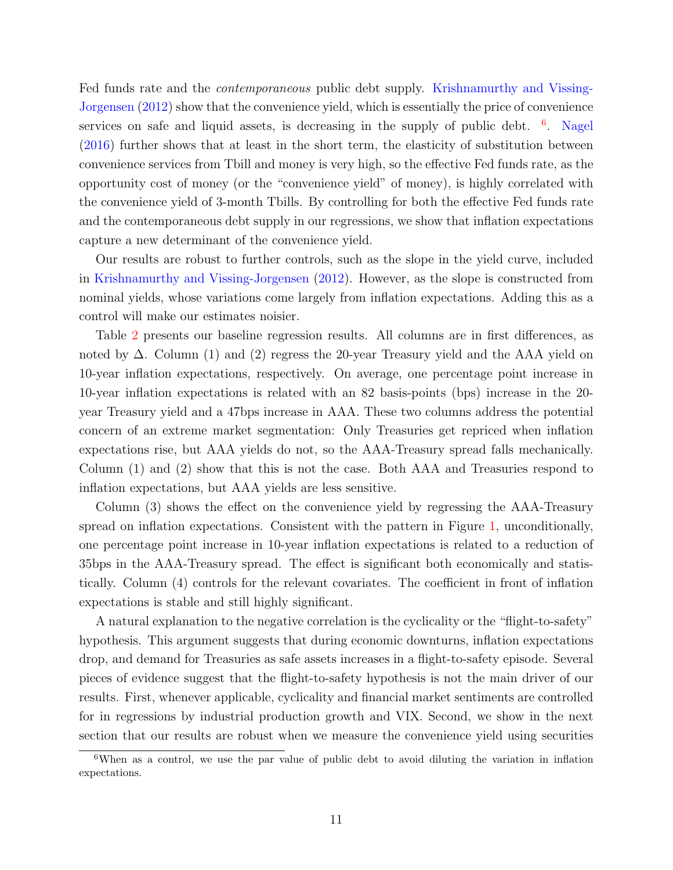Fed funds rate and the contemporaneous public debt supply. [Krishnamurthy and Vissing-](#page-35-0)[Jorgensen](#page-35-0) [\(2012\)](#page-35-0) show that the convenience yield, which is essentially the price of convenience services on safe and liquid assets, is decreasing in the supply of public debt. <sup>[6](#page-0-0)</sup>. [Nagel](#page-35-1) [\(2016\)](#page-35-1) further shows that at least in the short term, the elasticity of substitution between convenience services from Tbill and money is very high, so the effective Fed funds rate, as the opportunity cost of money (or the "convenience yield" of money), is highly correlated with the convenience yield of 3-month Tbills. By controlling for both the effective Fed funds rate and the contemporaneous debt supply in our regressions, we show that inflation expectations capture a new determinant of the convenience yield.

Our results are robust to further controls, such as the slope in the yield curve, included in [Krishnamurthy and Vissing-Jorgensen](#page-35-0) [\(2012\)](#page-35-0). However, as the slope is constructed from nominal yields, whose variations come largely from inflation expectations. Adding this as a control will make our estimates noisier.

Table [2](#page-12-0) presents our baseline regression results. All columns are in first differences, as noted by  $\Delta$ . Column (1) and (2) regress the 20-year Treasury yield and the AAA yield on 10-year inflation expectations, respectively. On average, one percentage point increase in 10-year inflation expectations is related with an 82 basis-points (bps) increase in the 20 year Treasury yield and a 47bps increase in AAA. These two columns address the potential concern of an extreme market segmentation: Only Treasuries get repriced when inflation expectations rise, but AAA yields do not, so the AAA-Treasury spread falls mechanically. Column (1) and (2) show that this is not the case. Both AAA and Treasuries respond to inflation expectations, but AAA yields are less sensitive.

Column (3) shows the effect on the convenience yield by regressing the AAA-Treasury spread on inflation expectations. Consistent with the pattern in Figure [1,](#page-1-0) unconditionally, one percentage point increase in 10-year inflation expectations is related to a reduction of 35bps in the AAA-Treasury spread. The effect is significant both economically and statistically. Column (4) controls for the relevant covariates. The coefficient in front of inflation expectations is stable and still highly significant.

A natural explanation to the negative correlation is the cyclicality or the "flight-to-safety" hypothesis. This argument suggests that during economic downturns, inflation expectations drop, and demand for Treasuries as safe assets increases in a flight-to-safety episode. Several pieces of evidence suggest that the flight-to-safety hypothesis is not the main driver of our results. First, whenever applicable, cyclicality and financial market sentiments are controlled for in regressions by industrial production growth and VIX. Second, we show in the next section that our results are robust when we measure the convenience yield using securities

<sup>&</sup>lt;sup>6</sup>When as a control, we use the par value of public debt to avoid diluting the variation in inflation expectations.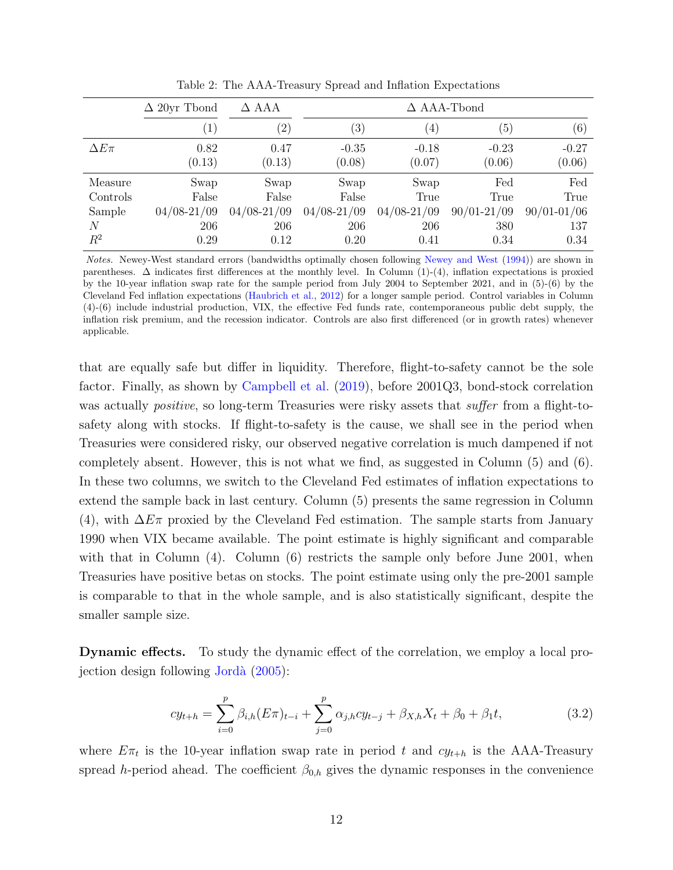|               | $\Delta$ 20yr Thond | $\Delta$ AAA    |                   | $\Delta$ AAA-Tbond |                 |                   |
|---------------|---------------------|-----------------|-------------------|--------------------|-----------------|-------------------|
|               | $\left( 1\right)$   | $^{\prime}2)$   | $\left( 3\right)$ | $\left(4\right)$   | (5)             | $\left( 6\right)$ |
| $\Delta E\pi$ | 0.82                | 0.47            | $-0.35$           | $-0.18$            | $-0.23$         | $-0.27$           |
|               | (0.13)              | (0.13)          | (0.08)            | (0.07)             | (0.06)          | (0.06)            |
| Measure       | Swap                | Swap            | Swap              | Swap               | Fed             | Fed               |
| Controls      | False               | False           | False             | True               | True            | True              |
| Sample        | $04/08 - 21/09$     | $04/08 - 21/09$ | $04/08 - 21/09$   | $04/08 - 21/09$    | $90/01 - 21/09$ | $90/01 - 01/06$   |
| N             | 206                 | 206             | 206               | 206                | 380             | 137               |
| $R^2$         | 0.29                | 0.12            | 0.20              | 0.41               | 0.34            | 0.34              |

<span id="page-12-0"></span>Table 2: The AAA-Treasury Spread and Inflation Expectations

Notes. Newey-West standard errors (bandwidths optimally chosen following [Newey and West](#page-35-10) [\(1994\)](#page-35-10)) are shown in parentheses. ∆ indicates first differences at the monthly level. In Column (1)-(4), inflation expectations is proxied by the 10-year inflation swap rate for the sample period from July 2004 to September 2021, and in (5)-(6) by the Cleveland Fed inflation expectations [\(Haubrich et al.,](#page-34-9) [2012\)](#page-34-9) for a longer sample period. Control variables in Column (4)-(6) include industrial production, VIX, the effective Fed funds rate, contemporaneous public debt supply, the inflation risk premium, and the recession indicator. Controls are also first differenced (or in growth rates) whenever applicable.

that are equally safe but differ in liquidity. Therefore, flight-to-safety cannot be the sole factor. Finally, as shown by [Campbell et al.](#page-32-6) [\(2019\)](#page-32-6), before 2001Q3, bond-stock correlation was actually *positive*, so long-term Treasuries were risky assets that *suffer* from a flight-tosafety along with stocks. If flight-to-safety is the cause, we shall see in the period when Treasuries were considered risky, our observed negative correlation is much dampened if not completely absent. However, this is not what we find, as suggested in Column (5) and (6). In these two columns, we switch to the Cleveland Fed estimates of inflation expectations to extend the sample back in last century. Column (5) presents the same regression in Column (4), with  $\Delta E \pi$  proxied by the Cleveland Fed estimation. The sample starts from January 1990 when VIX became available. The point estimate is highly significant and comparable with that in Column  $(4)$ . Column  $(6)$  restricts the sample only before June 2001, when Treasuries have positive betas on stocks. The point estimate using only the pre-2001 sample is comparable to that in the whole sample, and is also statistically significant, despite the smaller sample size.

<span id="page-12-1"></span>Dynamic effects. To study the dynamic effect of the correlation, we employ a local projection design following [Jord`a](#page-35-11) [\(2005\)](#page-35-11):

$$
cy_{t+h} = \sum_{i=0}^{p} \beta_{i,h}(E\pi)_{t-i} + \sum_{j=0}^{p} \alpha_{j,h}cy_{t-j} + \beta_{X,h}X_t + \beta_0 + \beta_1 t,
$$
\n(3.2)

where  $E\pi_t$  is the 10-year inflation swap rate in period t and  $cy_{t+h}$  is the AAA-Treasury spread h-period ahead. The coefficient  $\beta_{0,h}$  gives the dynamic responses in the convenience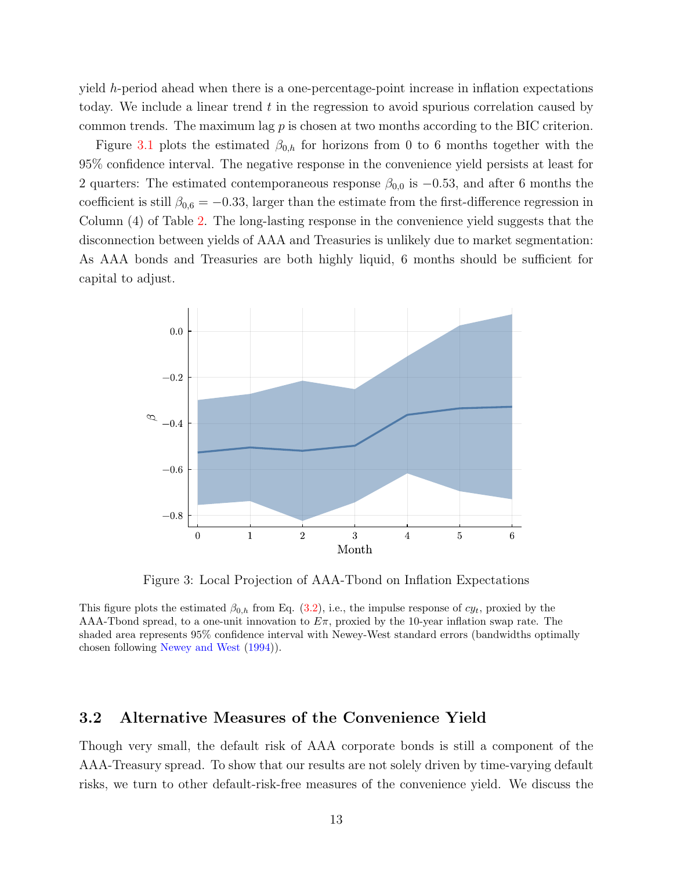yield h-period ahead when there is a one-percentage-point increase in inflation expectations today. We include a linear trend  $t$  in the regression to avoid spurious correlation caused by common trends. The maximum lag  $p$  is chosen at two months according to the BIC criterion.

Figure [3.1](#page-12-1) plots the estimated  $\beta_{0,h}$  for horizons from 0 to 6 months together with the 95% confidence interval. The negative response in the convenience yield persists at least for 2 quarters: The estimated contemporaneous response  $\beta_{0,0}$  is  $-0.53$ , and after 6 months the coefficient is still  $\beta_{0,6} = -0.33$ , larger than the estimate from the first-difference regression in Column (4) of Table [2.](#page-12-0) The long-lasting response in the convenience yield suggests that the disconnection between yields of AAA and Treasuries is unlikely due to market segmentation: As AAA bonds and Treasuries are both highly liquid, 6 months should be sufficient for capital to adjust.



Figure 3: Local Projection of AAA-Tbond on Inflation Expectations

This figure plots the estimated  $\beta_{0,h}$  from Eq. [\(3.2\)](#page-12-1), i.e., the impulse response of  $cy_t$ , proxied by the AAA-Tbond spread, to a one-unit innovation to  $E\pi$ , proxied by the 10-year inflation swap rate. The shaded area represents 95% confidence interval with Newey-West standard errors (bandwidths optimally chosen following [Newey and West](#page-35-10) [\(1994\)](#page-35-10)).

### 3.2 Alternative Measures of the Convenience Yield

Though very small, the default risk of AAA corporate bonds is still a component of the AAA-Treasury spread. To show that our results are not solely driven by time-varying default risks, we turn to other default-risk-free measures of the convenience yield. We discuss the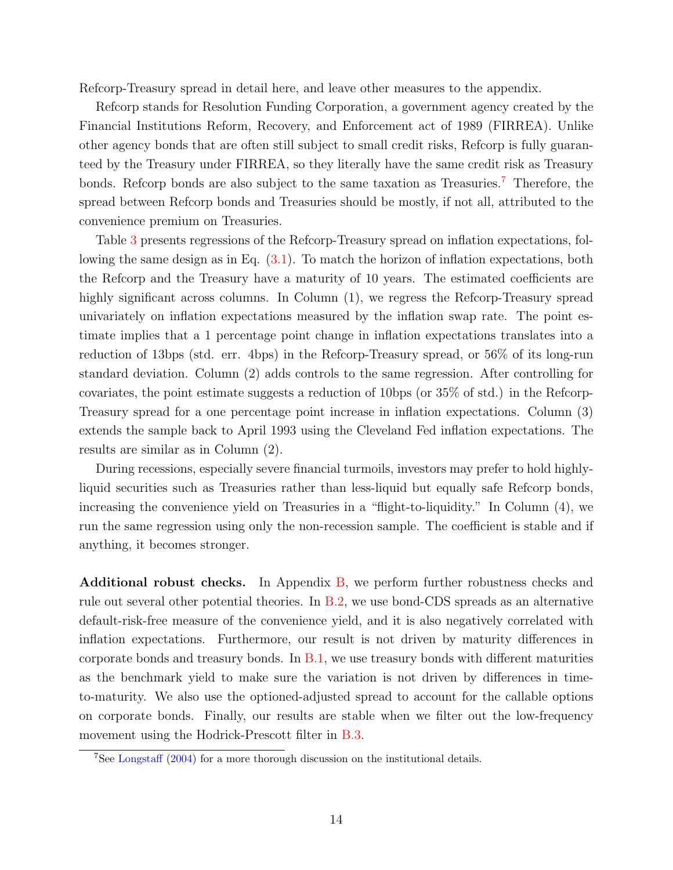Refcorp-Treasury spread in detail here, and leave other measures to the appendix.

Refcorp stands for Resolution Funding Corporation, a government agency created by the Financial Institutions Reform, Recovery, and Enforcement act of 1989 (FIRREA). Unlike other agency bonds that are often still subject to small credit risks, Refcorp is fully guaranteed by the Treasury under FIRREA, so they literally have the same credit risk as Treasury bonds. Refcorp bonds are also subject to the same taxation as Treasuries.<sup>[7](#page-0-0)</sup> Therefore, the spread between Refcorp bonds and Treasuries should be mostly, if not all, attributed to the convenience premium on Treasuries.

Table [3](#page-15-1) presents regressions of the Refcorp-Treasury spread on inflation expectations, following the same design as in Eq. [\(3.1\)](#page-9-1). To match the horizon of inflation expectations, both the Refcorp and the Treasury have a maturity of 10 years. The estimated coefficients are highly significant across columns. In Column  $(1)$ , we regress the Refcorp-Treasury spread univariately on inflation expectations measured by the inflation swap rate. The point estimate implies that a 1 percentage point change in inflation expectations translates into a reduction of 13bps (std. err. 4bps) in the Refcorp-Treasury spread, or 56% of its long-run standard deviation. Column (2) adds controls to the same regression. After controlling for covariates, the point estimate suggests a reduction of 10bps (or 35% of std.) in the Refcorp-Treasury spread for a one percentage point increase in inflation expectations. Column (3) extends the sample back to April 1993 using the Cleveland Fed inflation expectations. The results are similar as in Column (2).

During recessions, especially severe financial turmoils, investors may prefer to hold highlyliquid securities such as Treasuries rather than less-liquid but equally safe Refcorp bonds, increasing the convenience yield on Treasuries in a "flight-to-liquidity." In Column (4), we run the same regression using only the non-recession sample. The coefficient is stable and if anything, it becomes stronger.

Additional robust checks. In Appendix [B,](#page-39-0) we perform further robustness checks and rule out several other potential theories. In [B.2,](#page-40-0) we use bond-CDS spreads as an alternative default-risk-free measure of the convenience yield, and it is also negatively correlated with inflation expectations. Furthermore, our result is not driven by maturity differences in corporate bonds and treasury bonds. In [B.1,](#page-39-1) we use treasury bonds with different maturities as the benchmark yield to make sure the variation is not driven by differences in timeto-maturity. We also use the optioned-adjusted spread to account for the callable options on corporate bonds. Finally, our results are stable when we filter out the low-frequency movement using the Hodrick-Prescott filter in [B.3.](#page-42-0)

<sup>7</sup>See [Longstaff](#page-35-5) [\(2004\)](#page-35-5) for a more thorough discussion on the institutional details.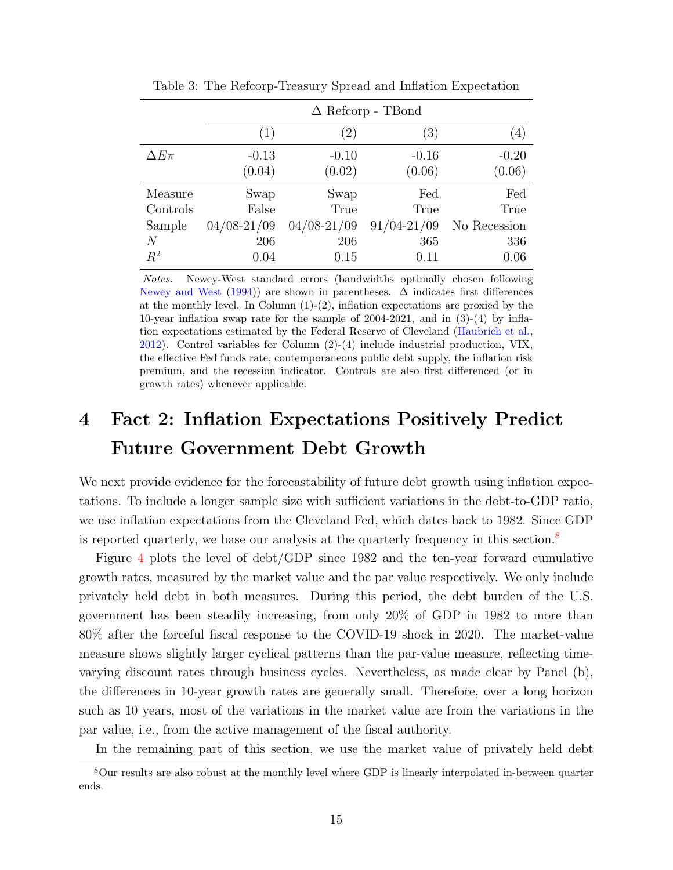|               |                 | $\Delta$ Refcorp - TBond |                  |              |  |  |  |  |  |  |
|---------------|-----------------|--------------------------|------------------|--------------|--|--|--|--|--|--|
|               | (1)             | $\left(2\right)$         | $\left(3\right)$ | (4)          |  |  |  |  |  |  |
| $\Delta E\pi$ | $-0.13$         | $-0.10$                  | $-0.16$          | $-0.20$      |  |  |  |  |  |  |
|               | (0.04)          | (0.02)                   | (0.06)           | (0.06)       |  |  |  |  |  |  |
| Measure       | Swap            | Swap                     | Fed              | $_{\rm Fed}$ |  |  |  |  |  |  |
| Controls      | False           | True                     | True             | True         |  |  |  |  |  |  |
| Sample        | $04/08 - 21/09$ | $04/08 - 21/09$          | $91/04 - 21/09$  | No Recession |  |  |  |  |  |  |
| N             | 206             | 206                      | 365              | 336          |  |  |  |  |  |  |
| $R^2$         | 0.04            | 0.15                     | 0.11             | 0.06         |  |  |  |  |  |  |

<span id="page-15-1"></span>Table 3: The Refcorp-Treasury Spread and Inflation Expectation

Notes. Newey-West standard errors (bandwidths optimally chosen following [Newey and West](#page-35-10) [\(1994\)](#page-35-10)) are shown in parentheses.  $\Delta$  indicates first differences at the monthly level. In Column  $(1)-(2)$ , inflation expectations are proxied by the 10-year inflation swap rate for the sample of 2004-2021, and in (3)-(4) by inflation expectations estimated by the Federal Reserve of Cleveland [\(Haubrich et al.,](#page-34-9) [2012\)](#page-34-9). Control variables for Column (2)-(4) include industrial production, VIX, the effective Fed funds rate, contemporaneous public debt supply, the inflation risk premium, and the recession indicator. Controls are also first differenced (or in growth rates) whenever applicable.

## <span id="page-15-0"></span>4 Fact 2: Inflation Expectations Positively Predict Future Government Debt Growth

We next provide evidence for the forecastability of future debt growth using inflation expectations. To include a longer sample size with sufficient variations in the debt-to-GDP ratio, we use inflation expectations from the Cleveland Fed, which dates back to 1982. Since GDP is reported quarterly, we base our analysis at the quarterly frequency in this section.[8](#page-0-0)

Figure [4](#page-16-0) plots the level of debt/GDP since 1982 and the ten-year forward cumulative growth rates, measured by the market value and the par value respectively. We only include privately held debt in both measures. During this period, the debt burden of the U.S. government has been steadily increasing, from only 20% of GDP in 1982 to more than 80% after the forceful fiscal response to the COVID-19 shock in 2020. The market-value measure shows slightly larger cyclical patterns than the par-value measure, reflecting timevarying discount rates through business cycles. Nevertheless, as made clear by Panel (b), the differences in 10-year growth rates are generally small. Therefore, over a long horizon such as 10 years, most of the variations in the market value are from the variations in the par value, i.e., from the active management of the fiscal authority.

In the remaining part of this section, we use the market value of privately held debt

<sup>8</sup>Our results are also robust at the monthly level where GDP is linearly interpolated in-between quarter ends.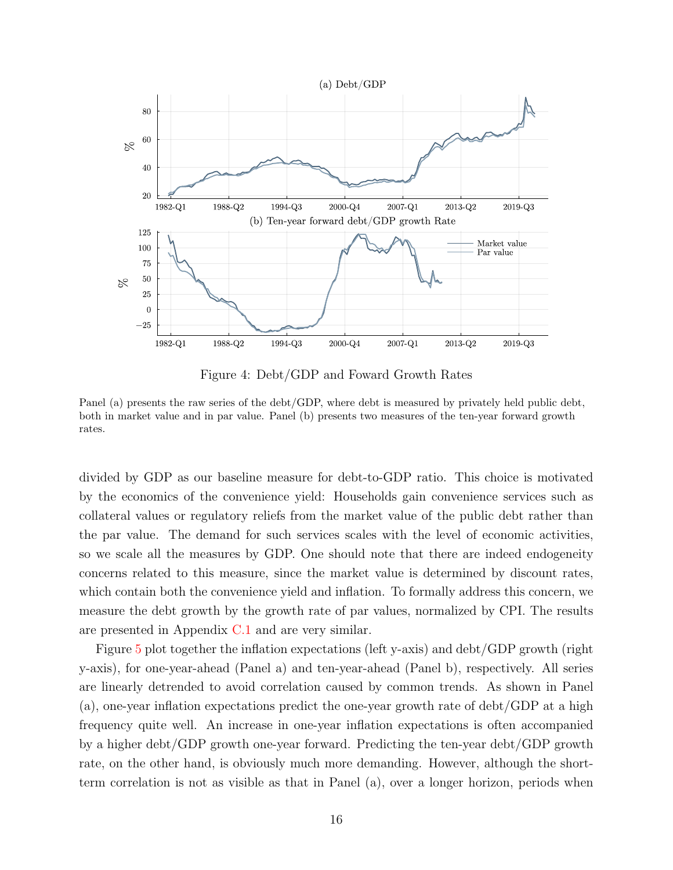

<span id="page-16-0"></span>Figure 4: Debt/GDP and Foward Growth Rates

Panel (a) presents the raw series of the debt/GDP, where debt is measured by privately held public debt, both in market value and in par value. Panel (b) presents two measures of the ten-year forward growth rates.

divided by GDP as our baseline measure for debt-to-GDP ratio. This choice is motivated by the economics of the convenience yield: Households gain convenience services such as collateral values or regulatory reliefs from the market value of the public debt rather than the par value. The demand for such services scales with the level of economic activities, so we scale all the measures by GDP. One should note that there are indeed endogeneity concerns related to this measure, since the market value is determined by discount rates, which contain both the convenience yield and inflation. To formally address this concern, we measure the debt growth by the growth rate of par values, normalized by CPI. The results are presented in Appendix [C.1](#page-43-0) and are very similar.

Figure [5](#page-17-0) plot together the inflation expectations (left y-axis) and debt/GDP growth (right y-axis), for one-year-ahead (Panel a) and ten-year-ahead (Panel b), respectively. All series are linearly detrended to avoid correlation caused by common trends. As shown in Panel (a), one-year inflation expectations predict the one-year growth rate of debt/GDP at a high frequency quite well. An increase in one-year inflation expectations is often accompanied by a higher debt/GDP growth one-year forward. Predicting the ten-year debt/GDP growth rate, on the other hand, is obviously much more demanding. However, although the shortterm correlation is not as visible as that in Panel (a), over a longer horizon, periods when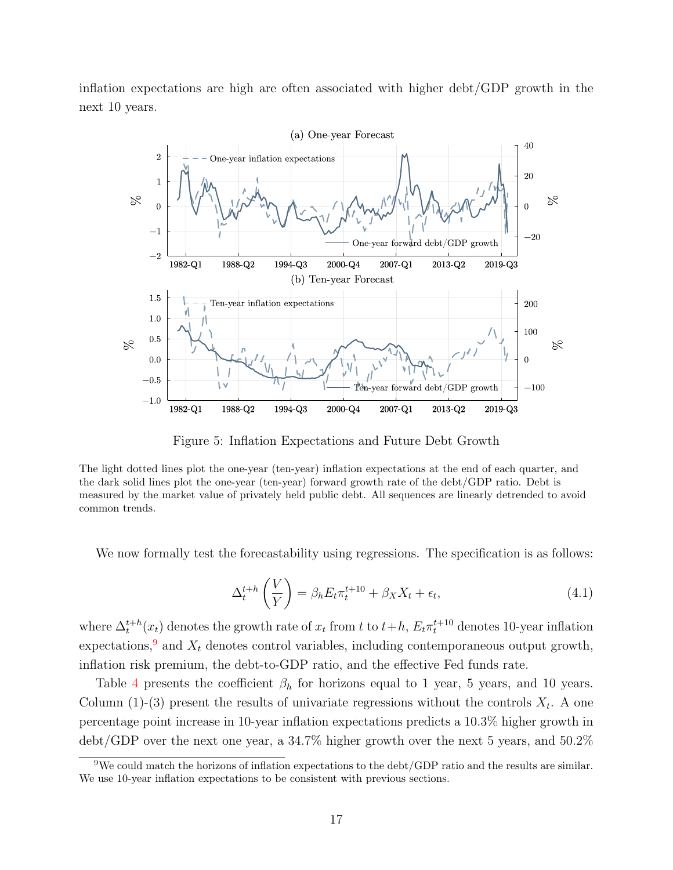inflation expectations are high are often associated with higher debt/GDP growth in the next 10 years.



<span id="page-17-0"></span>Figure 5: Inflation Expectations and Future Debt Growth

The light dotted lines plot the one-year (ten-year) inflation expectations at the end of each quarter, and the dark solid lines plot the one-year (ten-year) forward growth rate of the debt/GDP ratio. Debt is measured by the market value of privately held public debt. All sequences are linearly detrended to avoid common trends.

<span id="page-17-1"></span>We now formally test the forecastability using regressions. The specification is as follows:

$$
\Delta_t^{t+h}\left(\frac{V}{Y}\right) = \beta_h E_t \pi_t^{t+10} + \beta_X X_t + \epsilon_t, \tag{4.1}
$$

where  $\Delta_t^{t+h}(x_t)$  denotes the growth rate of  $x_t$  from t to  $t+h$ ,  $E_t \pi_t^{t+10}$  denotes 10-year inflation expectations,<sup>[9](#page-0-0)</sup> and  $X_t$  denotes control variables, including contemporaneous output growth, inflation risk premium, the debt-to-GDP ratio, and the effective Fed funds rate.

Table [4](#page-18-1) presents the coefficient  $\beta_h$  for horizons equal to 1 year, 5 years, and 10 years. Column (1)-(3) present the results of univariate regressions without the controls  $X_t$ . A one percentage point increase in 10-year inflation expectations predicts a 10.3% higher growth in debt/GDP over the next one year, a 34.7% higher growth over the next 5 years, and 50.2%

<sup>9</sup>We could match the horizons of inflation expectations to the debt/GDP ratio and the results are similar. We use 10-year inflation expectations to be consistent with previous sections.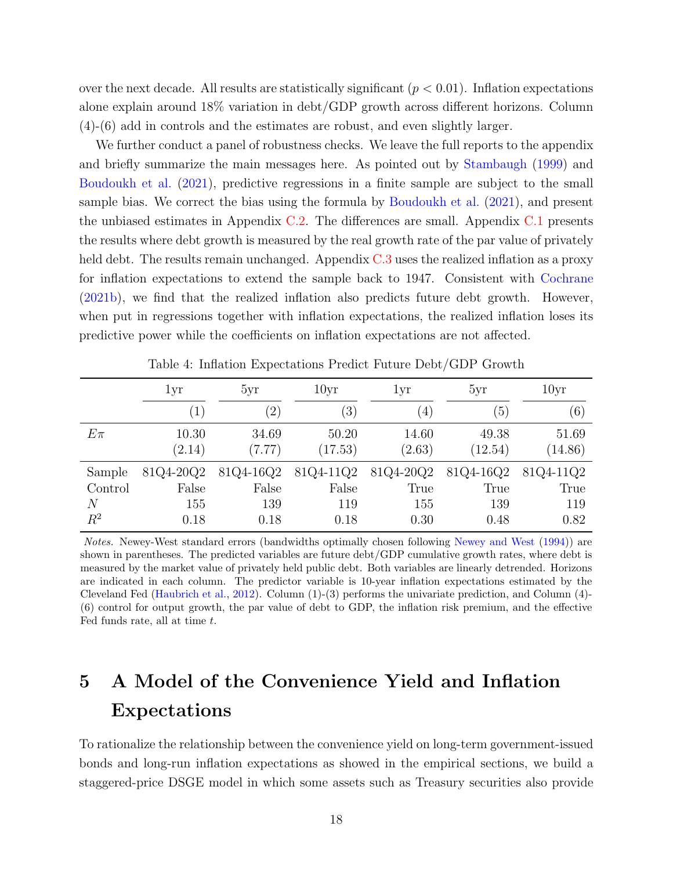over the next decade. All results are statistically significant ( $p < 0.01$ ). Inflation expectations alone explain around 18% variation in debt/GDP growth across different horizons. Column (4)-(6) add in controls and the estimates are robust, and even slightly larger.

We further conduct a panel of robustness checks. We leave the full reports to the appendix and briefly summarize the main messages here. As pointed out by [Stambaugh](#page-35-12) [\(1999\)](#page-35-12) and [Boudoukh et al.](#page-32-9) [\(2021\)](#page-32-9), predictive regressions in a finite sample are subject to the small sample bias. We correct the bias using the formula by [Boudoukh et al.](#page-32-9) [\(2021\)](#page-32-9), and present the unbiased estimates in Appendix [C.2.](#page-45-0) The differences are small. Appendix [C.1](#page-43-0) presents the results where debt growth is measured by the real growth rate of the par value of privately held debt. The results remain unchanged. Appendix [C.3](#page-45-1) uses the realized inflation as a proxy for inflation expectations to extend the sample back to 1947. Consistent with [Cochrane](#page-33-1) [\(2021b\)](#page-33-1), we find that the realized inflation also predicts future debt growth. However, when put in regressions together with inflation expectations, the realized inflation loses its predictive power while the coefficients on inflation expectations are not affected.

|         | 1yr               | 5yr               | 10 <sub>yr</sub> | 1yr              | 5yr       | 10yr      |
|---------|-------------------|-------------------|------------------|------------------|-----------|-----------|
|         | $\left( 1\right)$ | $\left( 2\right)$ | $\left(3\right)$ | $\left(4\right)$ | (5)       | (6)       |
| $E\pi$  | 10.30             | 34.69             | 50.20            | 14.60            | 49.38     | 51.69     |
|         | (2.14)            | (7.77)            | (17.53)          | (2.63)           | (12.54)   | (14.86)   |
| Sample  | 81Q4-20Q2         | 81Q4-16Q2         | 81Q4-11Q2        | 81Q4-20Q2        | 81Q4-16Q2 | 81Q4-11Q2 |
| Control | False             | False             | False            | True             | True      | True      |
| N       | 155               | 139               | 119              | 155              | 139       | 119       |
| $R^2$   | 0.18              | 0.18              | 0.18             | 0.30             | 0.48      | 0.82      |

<span id="page-18-1"></span>Table 4: Inflation Expectations Predict Future Debt/GDP Growth

Notes. Newey-West standard errors (bandwidths optimally chosen following [Newey and West](#page-35-10) [\(1994\)](#page-35-10)) are shown in parentheses. The predicted variables are future debt/GDP cumulative growth rates, where debt is measured by the market value of privately held public debt. Both variables are linearly detrended. Horizons are indicated in each column. The predictor variable is 10-year inflation expectations estimated by the Cleveland Fed [\(Haubrich et al.,](#page-34-9) [2012\)](#page-34-9). Column (1)-(3) performs the univariate prediction, and Column (4)- (6) control for output growth, the par value of debt to GDP, the inflation risk premium, and the effective Fed funds rate, all at time  $t$ .

## <span id="page-18-0"></span>5 A Model of the Convenience Yield and Inflation Expectations

To rationalize the relationship between the convenience yield on long-term government-issued bonds and long-run inflation expectations as showed in the empirical sections, we build a staggered-price DSGE model in which some assets such as Treasury securities also provide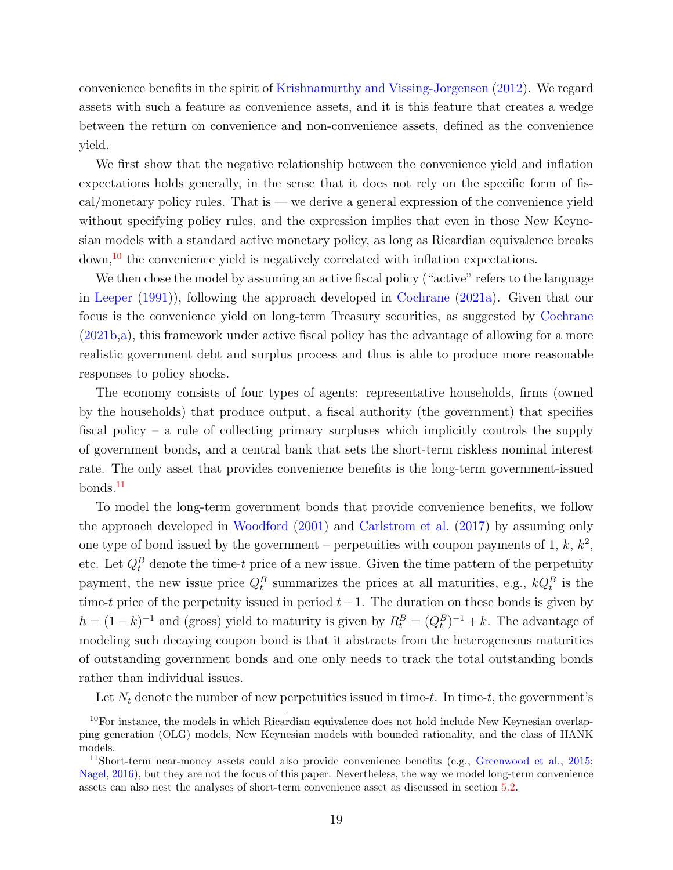convenience benefits in the spirit of [Krishnamurthy and Vissing-Jorgensen](#page-35-0) [\(2012\)](#page-35-0). We regard assets with such a feature as convenience assets, and it is this feature that creates a wedge between the return on convenience and non-convenience assets, defined as the convenience yield.

We first show that the negative relationship between the convenience yield and inflation expectations holds generally, in the sense that it does not rely on the specific form of fiscal/monetary policy rules. That is — we derive a general expression of the convenience yield without specifying policy rules, and the expression implies that even in those New Keynesian models with a standard active monetary policy, as long as Ricardian equivalence breaks down,[10](#page-0-0) the convenience yield is negatively correlated with inflation expectations.

We then close the model by assuming an active fiscal policy ("active" refers to the language in [Leeper](#page-35-2) [\(1991\)](#page-35-2)), following the approach developed in [Cochrane](#page-33-0) [\(2021a\)](#page-33-0). Given that our focus is the convenience yield on long-term Treasury securities, as suggested by [Cochrane](#page-33-1) [\(2021b](#page-33-1)[,a\)](#page-33-0), this framework under active fiscal policy has the advantage of allowing for a more realistic government debt and surplus process and thus is able to produce more reasonable responses to policy shocks.

The economy consists of four types of agents: representative households, firms (owned by the households) that produce output, a fiscal authority (the government) that specifies fiscal policy – a rule of collecting primary surpluses which implicitly controls the supply of government bonds, and a central bank that sets the short-term riskless nominal interest rate. The only asset that provides convenience benefits is the long-term government-issued bonds.<sup>[11](#page-0-0)</sup>

To model the long-term government bonds that provide convenience benefits, we follow the approach developed in [Woodford](#page-36-4) [\(2001\)](#page-36-4) and [Carlstrom et al.](#page-33-14) [\(2017\)](#page-33-14) by assuming only one type of bond issued by the government – perpetuities with coupon payments of 1, k,  $k^2$ , etc. Let  $Q_t^B$  denote the time-t price of a new issue. Given the time pattern of the perpetuity payment, the new issue price  $Q_t^B$  summarizes the prices at all maturities, e.g.,  $kQ_t^B$  is the time-t price of the perpetuity issued in period  $t-1$ . The duration on these bonds is given by  $h = (1 - k)^{-1}$  and (gross) yield to maturity is given by  $R_t^B = (Q_t^B)^{-1} + k$ . The advantage of modeling such decaying coupon bond is that it abstracts from the heterogeneous maturities of outstanding government bonds and one only needs to track the total outstanding bonds rather than individual issues.

Let  $N_t$  denote the number of new perpetuities issued in time-t. In time-t, the government's

<sup>10</sup>For instance, the models in which Ricardian equivalence does not hold include New Keynesian overlapping generation (OLG) models, New Keynesian models with bounded rationality, and the class of HANK models.

<sup>&</sup>lt;sup>11</sup>Short-term near-money assets could also provide convenience benefits (e.g., [Greenwood et al.,](#page-34-11) [2015;](#page-34-11) [Nagel,](#page-35-1) [2016\)](#page-35-1), but they are not the focus of this paper. Nevertheless, the way we model long-term convenience assets can also nest the analyses of short-term convenience asset as discussed in section [5.2.](#page-21-0)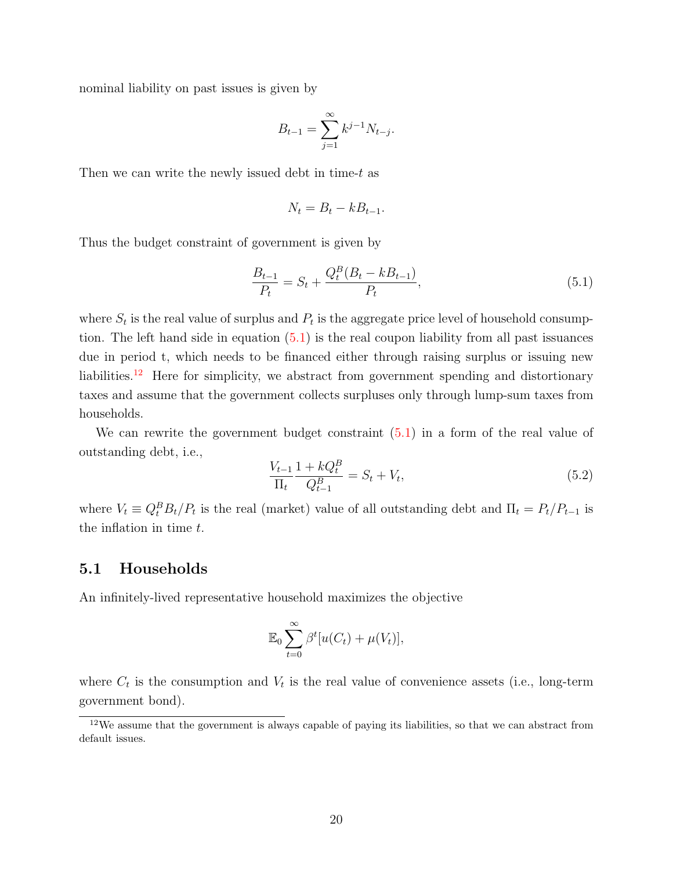nominal liability on past issues is given by

$$
B_{t-1} = \sum_{j=1}^{\infty} k^{j-1} N_{t-j}.
$$

Then we can write the newly issued debt in time-t as

<span id="page-20-0"></span>
$$
N_t = B_t - kB_{t-1}.
$$

Thus the budget constraint of government is given by

$$
\frac{B_{t-1}}{P_t} = S_t + \frac{Q_t^B (B_t - k B_{t-1})}{P_t},\tag{5.1}
$$

where  $S_t$  is the real value of surplus and  $P_t$  is the aggregate price level of household consumption. The left hand side in equation  $(5.1)$  is the real coupon liability from all past issuances due in period t, which needs to be financed either through raising surplus or issuing new liabilities.<sup>[12](#page-0-0)</sup> Here for simplicity, we abstract from government spending and distortionary taxes and assume that the government collects surpluses only through lump-sum taxes from households.

We can rewrite the government budget constraint [\(5.1\)](#page-20-0) in a form of the real value of outstanding debt, i.e.,

<span id="page-20-1"></span>
$$
\frac{V_{t-1}}{\Pi_t} \frac{1 + kQ_t^B}{Q_{t-1}^B} = S_t + V_t,
$$
\n(5.2)

where  $V_t \equiv Q_t^B B_t / P_t$  is the real (market) value of all outstanding debt and  $\Pi_t = P_t / P_{t-1}$  is the inflation in time t.

### 5.1 Households

An infinitely-lived representative household maximizes the objective

$$
\mathbb{E}_0 \sum_{t=0}^{\infty} \beta^t [u(C_t) + \mu(V_t)],
$$

where  $C_t$  is the consumption and  $V_t$  is the real value of convenience assets (i.e., long-term government bond).

 $12$ We assume that the government is always capable of paying its liabilities, so that we can abstract from default issues.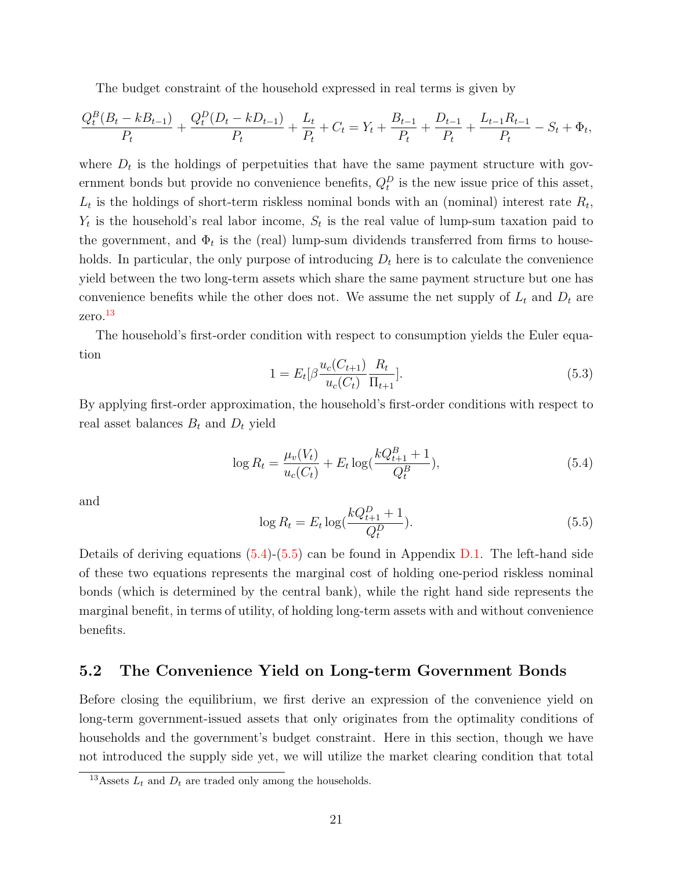The budget constraint of the household expressed in real terms is given by

$$
\frac{Q_t^B(B_t - kB_{t-1})}{P_t} + \frac{Q_t^D(D_t - kD_{t-1})}{P_t} + \frac{L_t}{P_t} + C_t = Y_t + \frac{B_{t-1}}{P_t} + \frac{D_{t-1}}{P_t} + \frac{L_{t-1}R_{t-1}}{P_t} - S_t + \Phi_t,
$$

where  $D_t$  is the holdings of perpetuities that have the same payment structure with government bonds but provide no convenience benefits,  $Q_t^D$  is the new issue price of this asset,  $L_t$  is the holdings of short-term riskless nominal bonds with an (nominal) interest rate  $R_t$ ,  $Y_t$  is the household's real labor income,  $S_t$  is the real value of lump-sum taxation paid to the government, and  $\Phi_t$  is the (real) lump-sum dividends transferred from firms to households. In particular, the only purpose of introducing  $D_t$  here is to calculate the convenience yield between the two long-term assets which share the same payment structure but one has convenience benefits while the other does not. We assume the net supply of  $L_t$  and  $D_t$  are zero.[13](#page-0-0)

<span id="page-21-3"></span>The household's first-order condition with respect to consumption yields the Euler equation

<span id="page-21-1"></span>
$$
1 = E_t[\beta \frac{u_c(C_{t+1})}{u_c(C_t)} \frac{R_t}{\Pi_{t+1}}].
$$
\n(5.3)

By applying first-order approximation, the household's first-order conditions with respect to real asset balances  $B_t$  and  $D_t$  yield

$$
\log R_t = \frac{\mu_v(V_t)}{u_c(C_t)} + E_t \log(\frac{kQ_{t+1}^B + 1}{Q_t^B}),\tag{5.4}
$$

<span id="page-21-2"></span>and

$$
\log R_t = E_t \log(\frac{kQ_{t+1}^D + 1}{Q_t^D}).
$$
\n(5.5)

Details of deriving equations  $(5.4)-(5.5)$  $(5.4)-(5.5)$  $(5.4)-(5.5)$  can be found in Appendix [D.1.](#page-47-0) The left-hand side of these two equations represents the marginal cost of holding one-period riskless nominal bonds (which is determined by the central bank), while the right hand side represents the marginal benefit, in terms of utility, of holding long-term assets with and without convenience benefits.

### <span id="page-21-0"></span>5.2 The Convenience Yield on Long-term Government Bonds

Before closing the equilibrium, we first derive an expression of the convenience yield on long-term government-issued assets that only originates from the optimality conditions of households and the government's budget constraint. Here in this section, though we have not introduced the supply side yet, we will utilize the market clearing condition that total

<sup>&</sup>lt;sup>13</sup>Assets  $L_t$  and  $D_t$  are traded only among the households.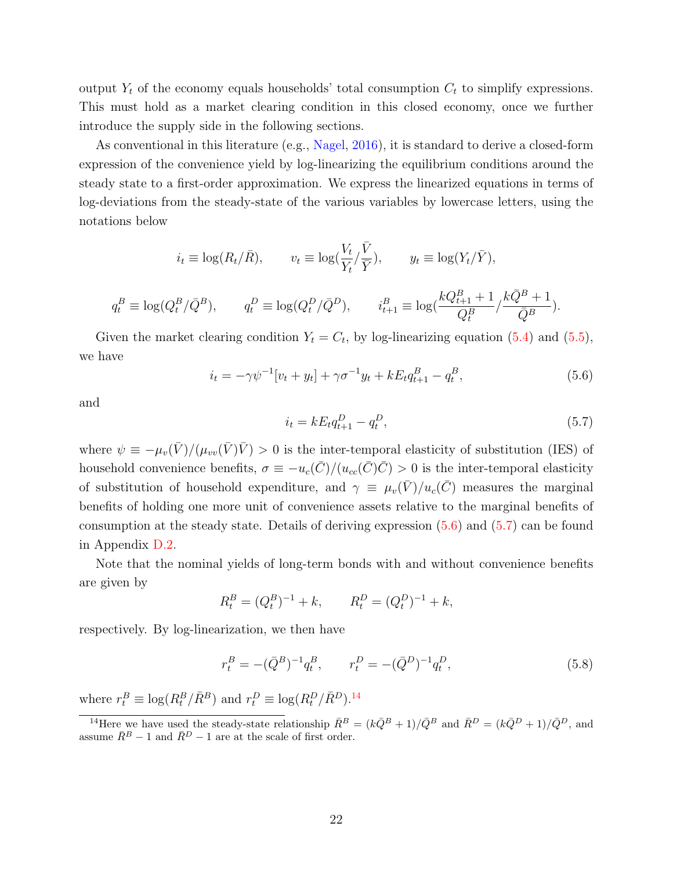output  $Y_t$  of the economy equals households' total consumption  $C_t$  to simplify expressions. This must hold as a market clearing condition in this closed economy, once we further introduce the supply side in the following sections.

As conventional in this literature (e.g., [Nagel,](#page-35-1) [2016\)](#page-35-1), it is standard to derive a closed-form expression of the convenience yield by log-linearizing the equilibrium conditions around the steady state to a first-order approximation. We express the linearized equations in terms of log-deviations from the steady-state of the various variables by lowercase letters, using the notations below

$$
i_t \equiv \log(R_t/\bar{R}), \qquad v_t \equiv \log(\frac{V_t}{Y_t}/\frac{\bar{V}}{\bar{Y}}), \qquad y_t \equiv \log(Y_t/\bar{Y}),
$$
  

$$
q_t^B \equiv \log(Q_t^B/\bar{Q}^B), \qquad q_t^D \equiv \log(Q_t^D/\bar{Q}^D), \qquad i_{t+1}^B \equiv \log(\frac{kQ_{t+1}^B + 1}{Q_t^B}/\frac{k\bar{Q}^B + 1}{\bar{Q}^B}).
$$

<span id="page-22-0"></span>Given the market clearing condition  $Y_t = C_t$ , by log-linearizing equation [\(5.4\)](#page-21-1) and [\(5.5\)](#page-21-2), we have

$$
i_t = -\gamma \psi^{-1} [v_t + y_t] + \gamma \sigma^{-1} y_t + k E_t q_{t+1}^B - q_t^B,
$$
\n(5.6)

<span id="page-22-1"></span>and

$$
i_t = k E_t q_{t+1}^D - q_t^D, \tag{5.7}
$$

where  $\psi \equiv -\mu_v(\bar{V})/(\mu_{vv}(\bar{V})\bar{V}) > 0$  is the inter-temporal elasticity of substitution (IES) of household convenience benefits,  $\sigma \equiv -u_c(\bar{C})/(u_{cc}(\bar{C})\bar{C}) > 0$  is the inter-temporal elasticity of substitution of household expenditure, and  $\gamma \equiv \mu_v(\bar{V})/u_c(\bar{C})$  measures the marginal benefits of holding one more unit of convenience assets relative to the marginal benefits of consumption at the steady state. Details of deriving expression [\(5.6\)](#page-22-0) and [\(5.7\)](#page-22-1) can be found in Appendix [D.2.](#page-47-1)

Note that the nominal yields of long-term bonds with and without convenience benefits are given by

<span id="page-22-2"></span>
$$
R_t^B = (Q_t^B)^{-1} + k, \qquad R_t^D = (Q_t^D)^{-1} + k,
$$

respectively. By log-linearization, we then have

$$
r_t^B = -(\bar{Q}^B)^{-1} q_t^B, \qquad r_t^D = -(\bar{Q}^D)^{-1} q_t^D,
$$
\n(5.8)

where  $r_t^B \equiv \log(R_t^B/\bar{R}^B)$  and  $r_t^D \equiv \log(R_t^D/\bar{R}^D)$ .<sup>[14](#page-0-0)</sup>

<sup>&</sup>lt;sup>14</sup>Here we have used the steady-state relationship  $\bar{R}^B = (k\bar{Q}^B + 1)/\bar{Q}^B$  and  $\bar{R}^D = (k\bar{Q}^D + 1)/\bar{Q}^D$ , and assume  $\bar{R}^B - 1$  and  $\bar{R}^D - 1$  are at the scale of first order.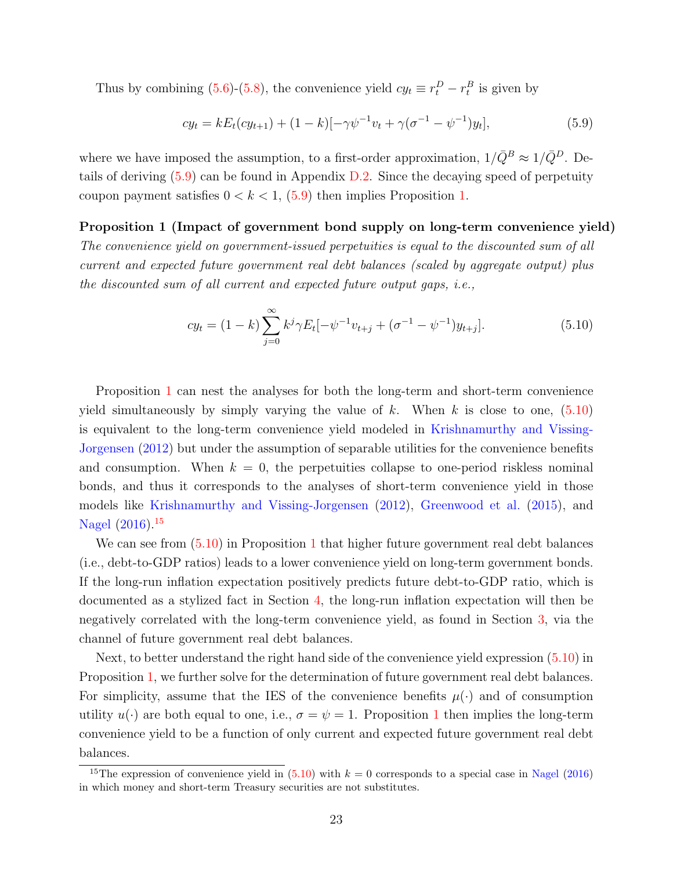Thus by combining [\(5.6\)](#page-22-0)-[\(5.8\)](#page-22-2), the convenience yield  $cy_t \equiv r_t^D - r_t^B$  is given by

<span id="page-23-0"></span>
$$
cy_t = kE_t(cy_{t+1}) + (1-k)[-\gamma\psi^{-1}v_t + \gamma(\sigma^{-1} - \psi^{-1})y_t],
$$
\n(5.9)

where we have imposed the assumption, to a first-order approximation,  $1/\bar{Q}^B \approx 1/\bar{Q}^D$ . Details of deriving [\(5.9\)](#page-23-0) can be found in Appendix [D.2.](#page-47-1) Since the decaying speed of perpetuity coupon payment satisfies  $0 < k < 1$ ,  $(5.9)$  then implies Proposition [1.](#page-23-1)

### Proposition 1 (Impact of government bond supply on long-term convenience yield) The convenience yield on government-issued perpetuities is equal to the discounted sum of all current and expected future government real debt balances (scaled by aggregate output) plus the discounted sum of all current and expected future output gaps, i.e.,

<span id="page-23-1"></span>
$$
cy_t = (1 - k) \sum_{j=0}^{\infty} k^j \gamma E_t[-\psi^{-1} v_{t+j} + (\sigma^{-1} - \psi^{-1}) y_{t+j}].
$$
\n(5.10)

Proposition [1](#page-23-1) can nest the analyses for both the long-term and short-term convenience yield simultaneously by simply varying the value of k. When k is close to one,  $(5.10)$ is equivalent to the long-term convenience yield modeled in [Krishnamurthy and Vissing-](#page-35-0)[Jorgensen](#page-35-0) [\(2012\)](#page-35-0) but under the assumption of separable utilities for the convenience benefits and consumption. When  $k = 0$ , the perpetuities collapse to one-period riskless nominal bonds, and thus it corresponds to the analyses of short-term convenience yield in those models like [Krishnamurthy and Vissing-Jorgensen](#page-35-0) [\(2012\)](#page-35-0), [Greenwood et al.](#page-34-11) [\(2015\)](#page-34-11), and [Nagel](#page-35-1) [\(2016\)](#page-35-1).<sup>[15](#page-0-0)</sup>

We can see from  $(5.10)$  in Proposition [1](#page-23-1) that higher future government real debt balances (i.e., debt-to-GDP ratios) leads to a lower convenience yield on long-term government bonds. If the long-run inflation expectation positively predicts future debt-to-GDP ratio, which is documented as a stylized fact in Section [4,](#page-15-0) the long-run inflation expectation will then be negatively correlated with the long-term convenience yield, as found in Section [3,](#page-9-0) via the channel of future government real debt balances.

Next, to better understand the right hand side of the convenience yield expression [\(5.10\)](#page-23-1) in Proposition [1,](#page-23-1) we further solve for the determination of future government real debt balances. For simplicity, assume that the IES of the convenience benefits  $\mu(\cdot)$  and of consumption utility  $u(\cdot)$  are both equal to one, i.e.,  $\sigma = \psi = 1$  $\sigma = \psi = 1$ . Proposition 1 then implies the long-term convenience yield to be a function of only current and expected future government real debt balances.

<sup>&</sup>lt;sup>15</sup>The expression of convenience yield in [\(5.10\)](#page-23-1) with  $k = 0$  corresponds to a special case in [Nagel](#page-35-1) [\(2016\)](#page-35-1) in which money and short-term Treasury securities are not substitutes.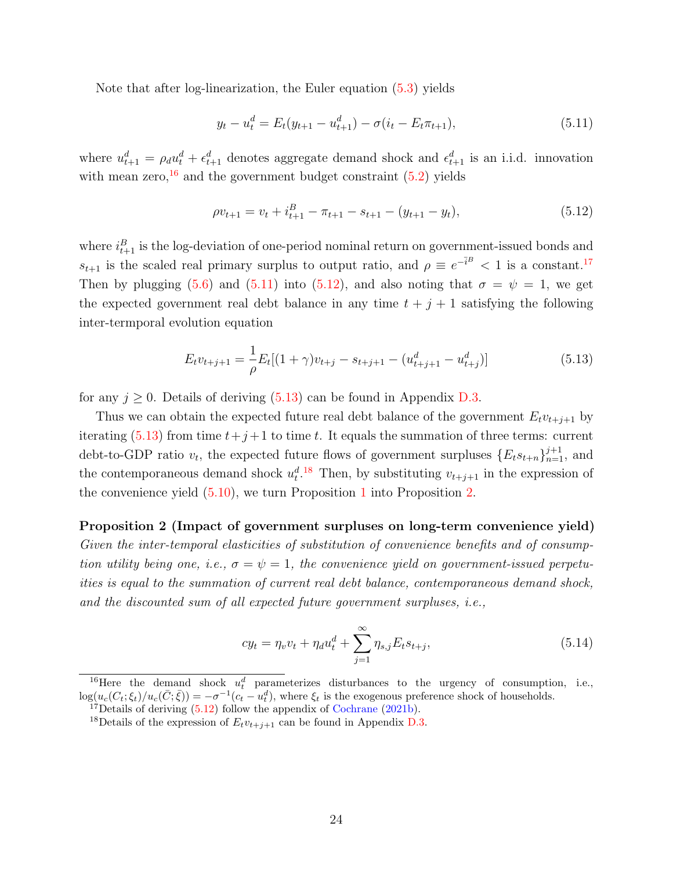Note that after log-linearization, the Euler equation [\(5.3\)](#page-21-3) yields

<span id="page-24-1"></span><span id="page-24-0"></span>
$$
y_t - u_t^d = E_t(y_{t+1} - u_{t+1}^d) - \sigma(i_t - E_t \pi_{t+1}),
$$
\n(5.11)

where  $u_{t+1}^d = \rho_d u_t^d + \epsilon_{t+1}^d$  denotes aggregate demand shock and  $\epsilon_{t+1}^d$  is an i.i.d. innovation with mean zero,  $^{16}$  $^{16}$  $^{16}$  and the government budget constraint  $(5.2)$  yields

$$
\rho v_{t+1} = v_t + i_{t+1}^B - \pi_{t+1} - s_{t+1} - (y_{t+1} - y_t), \tag{5.12}
$$

where  $i_{t+1}^B$  is the log-deviation of one-period nominal return on government-issued bonds and  $s_{t+1}$  is the scaled real primary surplus to output ratio, and  $\rho \equiv e^{-\bar{i}B} < 1$  is a constant.<sup>[17](#page-0-0)</sup> Then by plugging [\(5.6\)](#page-22-0) and [\(5.11\)](#page-24-0) into [\(5.12\)](#page-24-1), and also noting that  $\sigma = \psi = 1$ , we get the expected government real debt balance in any time  $t + j + 1$  satisfying the following inter-termporal evolution equation

<span id="page-24-2"></span>
$$
E_t v_{t+j+1} = \frac{1}{\rho} E_t [(1+\gamma)v_{t+j} - s_{t+j+1} - (u_{t+j+1}^d - u_{t+j}^d)]
$$
\n(5.13)

for any  $j \geq 0$ . Details of deriving [\(5.13\)](#page-24-2) can be found in Appendix [D.3.](#page-48-0)

Thus we can obtain the expected future real debt balance of the government  $E_t v_{t+i+1}$  by iterating [\(5.13\)](#page-24-2) from time  $t+j+1$  to time t. It equals the summation of three terms: current debt-to-GDP ratio  $v_t$ , the expected future flows of government surpluses  $\{E_ts_{t+n}\}_{n=1}^{j+1}$ , and the contemporaneous demand shock  $u_t^{d}$ .<sup>[18](#page-0-0)</sup> Then, by substituting  $v_{t+j+1}$  in the expression of the convenience yield [\(5.10\)](#page-23-1), we turn Proposition [1](#page-23-1) into Proposition [2.](#page-24-3)

Proposition 2 (Impact of government surpluses on long-term convenience yield) Given the inter-temporal elasticities of substitution of convenience benefits and of consumption utility being one, i.e.,  $\sigma = \psi = 1$ , the convenience yield on government-issued perpetuities is equal to the summation of current real debt balance, contemporaneous demand shock, and the discounted sum of all expected future government surpluses, i.e.,

<span id="page-24-3"></span>
$$
cy_t = \eta_v v_t + \eta_d u_t^d + \sum_{j=1}^{\infty} \eta_{s,j} E_t s_{t+j},
$$
\n(5.14)

<sup>16</sup>Here the demand shock  $u_t^d$  parameterizes disturbances to the urgency of consumption, i.e.,  $\log(u_c(C_t;\xi_t)/u_c(\bar{C};\bar{\xi})) = -\sigma^{-1}(c_t - u_t^d)$ , where  $\xi_t$  is the exogenous preference shock of households.

<sup>&</sup>lt;sup>17</sup>Details of deriving  $(5.12)$  follow the appendix of [Cochrane](#page-33-1)  $(2021b)$ .

<sup>&</sup>lt;sup>18</sup>Details of the expression of  $E_t v_{t+j+1}$  can be found in Appendix [D.3.](#page-48-0)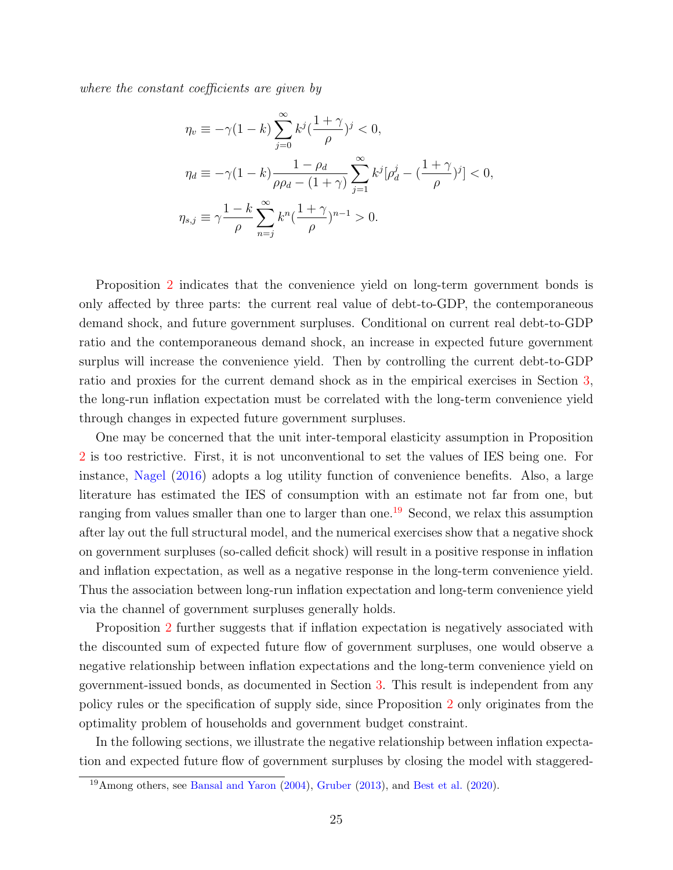where the constant coefficients are given by

$$
\eta_v \equiv -\gamma (1 - k) \sum_{j=0}^{\infty} k^j \left(\frac{1 + \gamma}{\rho}\right)^j < 0,
$$
\n
$$
\eta_d \equiv -\gamma (1 - k) \frac{1 - \rho_d}{\rho \rho_d - (1 + \gamma)} \sum_{j=1}^{\infty} k^j [\rho_d^j - \left(\frac{1 + \gamma}{\rho}\right)^j] < 0,
$$
\n
$$
\eta_{s,j} \equiv \gamma \frac{1 - k}{\rho} \sum_{n=j}^{\infty} k^n \left(\frac{1 + \gamma}{\rho}\right)^{n-1} > 0.
$$

Proposition [2](#page-24-3) indicates that the convenience yield on long-term government bonds is only affected by three parts: the current real value of debt-to-GDP, the contemporaneous demand shock, and future government surpluses. Conditional on current real debt-to-GDP ratio and the contemporaneous demand shock, an increase in expected future government surplus will increase the convenience yield. Then by controlling the current debt-to-GDP ratio and proxies for the current demand shock as in the empirical exercises in Section [3,](#page-9-0) the long-run inflation expectation must be correlated with the long-term convenience yield through changes in expected future government surpluses.

One may be concerned that the unit inter-temporal elasticity assumption in Proposition [2](#page-24-3) is too restrictive. First, it is not unconventional to set the values of IES being one. For instance, [Nagel](#page-35-1) [\(2016\)](#page-35-1) adopts a log utility function of convenience benefits. Also, a large literature has estimated the IES of consumption with an estimate not far from one, but ranging from values smaller than one to larger than one.<sup>[19](#page-0-0)</sup> Second, we relax this assumption after lay out the full structural model, and the numerical exercises show that a negative shock on government surpluses (so-called deficit shock) will result in a positive response in inflation and inflation expectation, as well as a negative response in the long-term convenience yield. Thus the association between long-run inflation expectation and long-term convenience yield via the channel of government surpluses generally holds.

Proposition [2](#page-24-3) further suggests that if inflation expectation is negatively associated with the discounted sum of expected future flow of government surpluses, one would observe a negative relationship between inflation expectations and the long-term convenience yield on government-issued bonds, as documented in Section [3.](#page-9-0) This result is independent from any policy rules or the specification of supply side, since Proposition [2](#page-24-3) only originates from the optimality problem of households and government budget constraint.

In the following sections, we illustrate the negative relationship between inflation expectation and expected future flow of government surpluses by closing the model with staggered-

<sup>19</sup>Among others, see [Bansal and Yaron](#page-32-10) [\(2004\)](#page-32-10), [Gruber](#page-34-12) [\(2013\)](#page-34-12), and [Best et al.](#page-32-11) [\(2020\)](#page-32-11).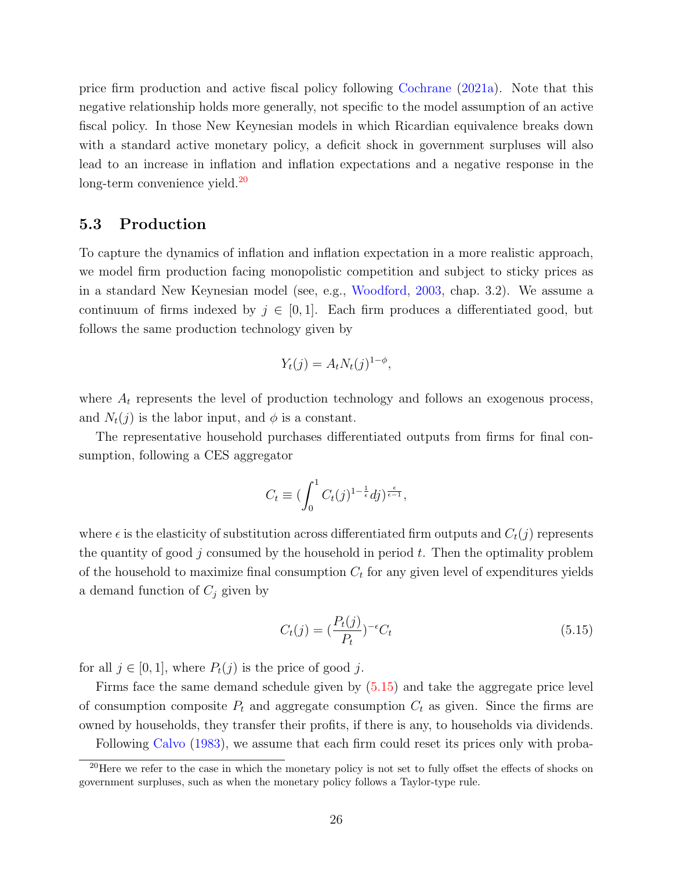price firm production and active fiscal policy following [Cochrane](#page-33-0) [\(2021a\)](#page-33-0). Note that this negative relationship holds more generally, not specific to the model assumption of an active fiscal policy. In those New Keynesian models in which Ricardian equivalence breaks down with a standard active monetary policy, a deficit shock in government surpluses will also lead to an increase in inflation and inflation expectations and a negative response in the long-term convenience yield.<sup>[20](#page-0-0)</sup>

### 5.3 Production

To capture the dynamics of inflation and inflation expectation in a more realistic approach, we model firm production facing monopolistic competition and subject to sticky prices as in a standard New Keynesian model (see, e.g., [Woodford,](#page-36-5) [2003,](#page-36-5) chap. 3.2). We assume a continuum of firms indexed by  $j \in [0, 1]$ . Each firm produces a differentiated good, but follows the same production technology given by

$$
Y_t(j) = A_t N_t(j)^{1-\phi},
$$

where  $A_t$  represents the level of production technology and follows an exogenous process, and  $N_t(j)$  is the labor input, and  $\phi$  is a constant.

The representative household purchases differentiated outputs from firms for final consumption, following a CES aggregator

$$
C_t \equiv \left(\int_0^1 C_t(j)^{1-\frac{1}{\epsilon}}dj\right)^{\frac{\epsilon}{\epsilon-1}},
$$

where  $\epsilon$  is the elasticity of substitution across differentiated firm outputs and  $C_t(j)$  represents the quantity of good j consumed by the household in period  $t$ . Then the optimality problem of the household to maximize final consumption  $C_t$  for any given level of expenditures yields a demand function of  $C_j$  given by

<span id="page-26-0"></span>
$$
C_t(j) = \left(\frac{P_t(j)}{P_t}\right)^{-\epsilon} C_t \tag{5.15}
$$

for all  $j \in [0,1]$ , where  $P_t(j)$  is the price of good j.

Firms face the same demand schedule given by [\(5.15\)](#page-26-0) and take the aggregate price level of consumption composite  $P_t$  and aggregate consumption  $C_t$  as given. Since the firms are owned by households, they transfer their profits, if there is any, to households via dividends. Following [Calvo](#page-32-12) [\(1983\)](#page-32-12), we assume that each firm could reset its prices only with proba-

<sup>20</sup>Here we refer to the case in which the monetary policy is not set to fully offset the effects of shocks on government surpluses, such as when the monetary policy follows a Taylor-type rule.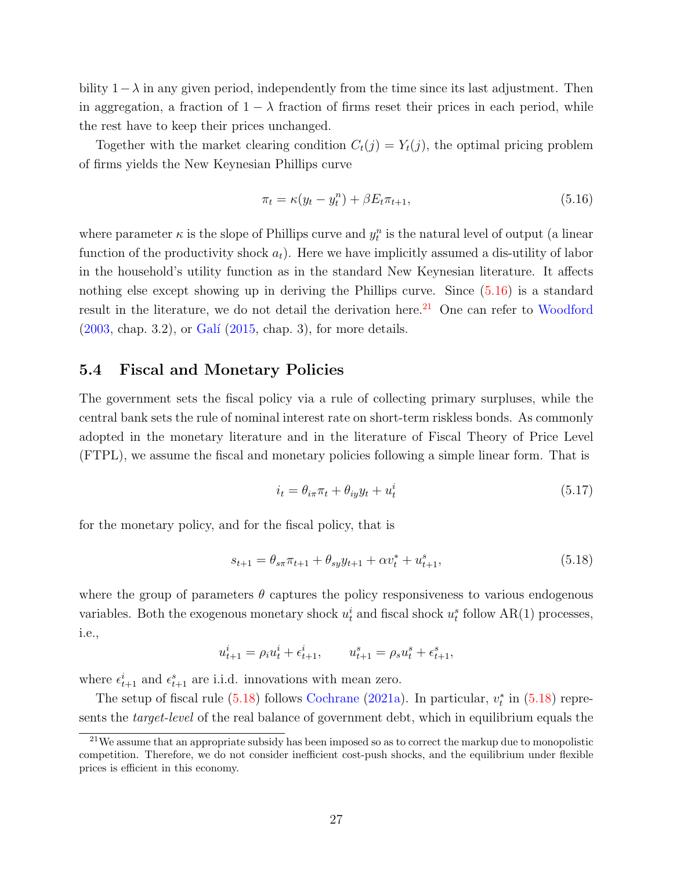bility  $1-\lambda$  in any given period, independently from the time since its last adjustment. Then in aggregation, a fraction of  $1 - \lambda$  fraction of firms reset their prices in each period, while the rest have to keep their prices unchanged.

Together with the market clearing condition  $C_t(j) = Y_t(j)$ , the optimal pricing problem of firms yields the New Keynesian Phillips curve

<span id="page-27-0"></span>
$$
\pi_t = \kappa (y_t - y_t^n) + \beta E_t \pi_{t+1}, \tag{5.16}
$$

where parameter  $\kappa$  is the slope of Phillips curve and  $y_t^n$  is the natural level of output (a linear function of the productivity shock  $a_t$ ). Here we have implicitly assumed a dis-utility of labor in the household's utility function as in the standard New Keynesian literature. It affects nothing else except showing up in deriving the Phillips curve. Since  $(5.16)$  is a standard result in the literature, we do not detail the derivation here.<sup>[21](#page-0-0)</sup> One can refer to [Woodford](#page-36-5)  $(2003, \text{ chap. } 3.2), \text{ or } \text{Gal}'(2015, \text{ chap. } 3), \text{ for more details.}$  $(2003, \text{ chap. } 3.2), \text{ or } \text{Gal}'(2015, \text{ chap. } 3), \text{ for more details.}$  $(2003, \text{ chap. } 3.2), \text{ or } \text{Gal}'(2015, \text{ chap. } 3), \text{ for more details.}$  $(2003, \text{ chap. } 3.2), \text{ or } \text{Gal}'(2015, \text{ chap. } 3), \text{ for more details.}$ 

### 5.4 Fiscal and Monetary Policies

The government sets the fiscal policy via a rule of collecting primary surpluses, while the central bank sets the rule of nominal interest rate on short-term riskless bonds. As commonly adopted in the monetary literature and in the literature of Fiscal Theory of Price Level (FTPL), we assume the fiscal and monetary policies following a simple linear form. That is

<span id="page-27-2"></span><span id="page-27-1"></span>
$$
i_t = \theta_{i\pi}\pi_t + \theta_{iy}y_t + u^i_t \tag{5.17}
$$

for the monetary policy, and for the fiscal policy, that is

$$
s_{t+1} = \theta_{s\pi} \pi_{t+1} + \theta_{s} y_{t+1} + \alpha v_t^* + u_{t+1}^s,
$$
\n(5.18)

where the group of parameters  $\theta$  captures the policy responsiveness to various endogenous variables. Both the exogenous monetary shock  $u_t^i$  and fiscal shock  $u_t^s$  follow AR(1) processes, i.e.,

$$
u_{t+1}^i = \rho_i u_t^i + \epsilon_{t+1}^i, \qquad u_{t+1}^s = \rho_s u_t^s + \epsilon_{t+1}^s,
$$

where  $\epsilon_{t+1}^i$  and  $\epsilon_{t+1}^s$  are i.i.d. innovations with mean zero.

The setup of fiscal rule  $(5.18)$  follows [Cochrane](#page-33-0)  $(2021a)$ . In particular,  $v_t^*$  in  $(5.18)$  represents the target-level of the real balance of government debt, which in equilibrium equals the

<sup>&</sup>lt;sup>21</sup>We assume that an appropriate subsidy has been imposed so as to correct the markup due to monopolistic competition. Therefore, we do not consider inefficient cost-push shocks, and the equilibrium under flexible prices is efficient in this economy.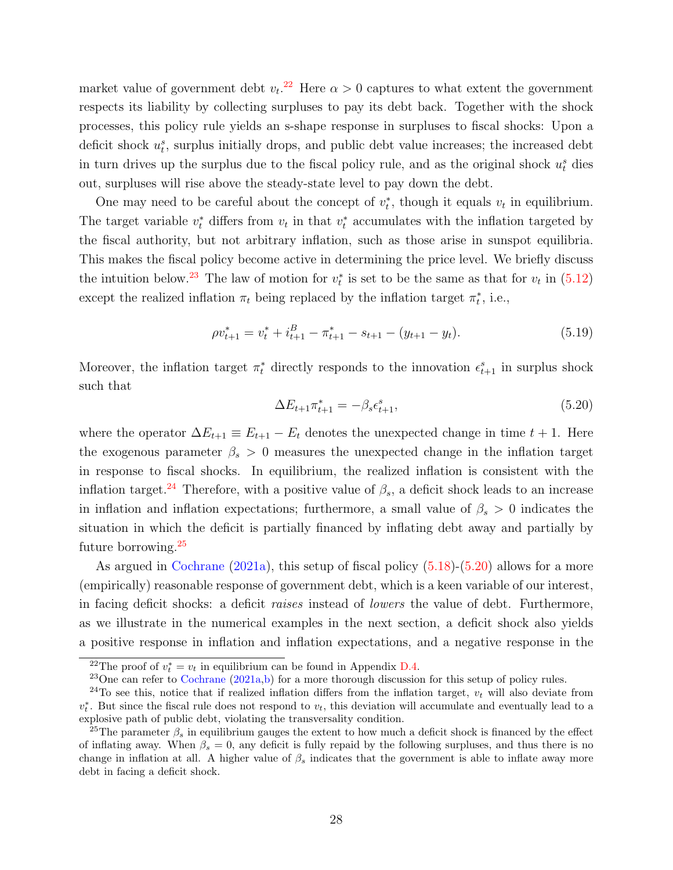market value of government debt  $v_t$ <sup>[22](#page-0-0)</sup> Here  $\alpha > 0$  captures to what extent the government respects its liability by collecting surpluses to pay its debt back. Together with the shock processes, this policy rule yields an s-shape response in surpluses to fiscal shocks: Upon a deficit shock  $u_t^s$ , surplus initially drops, and public debt value increases; the increased debt in turn drives up the surplus due to the fiscal policy rule, and as the original shock  $u_t^s$  dies out, surpluses will rise above the steady-state level to pay down the debt.

One may need to be careful about the concept of  $v_t^*$ , though it equals  $v_t$  in equilibrium. The target variable  $v_t^*$  differs from  $v_t$  in that  $v_t^*$  accumulates with the inflation targeted by the fiscal authority, but not arbitrary inflation, such as those arise in sunspot equilibria. This makes the fiscal policy become active in determining the price level. We briefly discuss the intuition below.<sup>[23](#page-0-0)</sup> The law of motion for  $v_t^*$  is set to be the same as that for  $v_t$  in [\(5.12\)](#page-24-1) except the realized inflation  $\pi_t$  being replaced by the inflation target  $\pi_t^*$ , i.e.,

$$
\rho v_{t+1}^* = v_t^* + i_{t+1}^B - \pi_{t+1}^* - s_{t+1} - (y_{t+1} - y_t). \tag{5.19}
$$

<span id="page-28-0"></span>Moreover, the inflation target  $\pi_t^*$  directly responds to the innovation  $\epsilon_{t+1}^s$  in surplus shock such that

$$
\Delta E_{t+1} \pi_{t+1}^* = -\beta_s \epsilon_{t+1}^s,\tag{5.20}
$$

where the operator  $\Delta E_{t+1} \equiv E_{t+1} - E_t$  denotes the unexpected change in time  $t + 1$ . Here the exogenous parameter  $\beta_s > 0$  measures the unexpected change in the inflation target in response to fiscal shocks. In equilibrium, the realized inflation is consistent with the inflation target.<sup>[24](#page-0-0)</sup> Therefore, with a positive value of  $\beta_s$ , a deficit shock leads to an increase in inflation and inflation expectations; furthermore, a small value of  $\beta_s > 0$  indicates the situation in which the deficit is partially financed by inflating debt away and partially by future borrowing.[25](#page-0-0)

As argued in [Cochrane](#page-33-0) [\(2021a\)](#page-33-0), this setup of fiscal policy [\(5.18\)](#page-27-1)-[\(5.20\)](#page-28-0) allows for a more (empirically) reasonable response of government debt, which is a keen variable of our interest, in facing deficit shocks: a deficit raises instead of lowers the value of debt. Furthermore, as we illustrate in the numerical examples in the next section, a deficit shock also yields a positive response in inflation and inflation expectations, and a negative response in the

<sup>&</sup>lt;sup>22</sup>The proof of  $v_t^* = v_t$  in equilibrium can be found in Appendix [D.4.](#page-50-0)

<sup>&</sup>lt;sup>23</sup>One can refer to [Cochrane](#page-33-0)  $(2021a,b)$  $(2021a,b)$  for a more thorough discussion for this setup of policy rules.

<sup>&</sup>lt;sup>24</sup>To see this, notice that if realized inflation differs from the inflation target,  $v_t$  will also deviate from  $v_t^*$ . But since the fiscal rule does not respond to  $v_t$ , this deviation will accumulate and eventually lead to a explosive path of public debt, violating the transversality condition.

<sup>&</sup>lt;sup>25</sup>The parameter  $\beta_s$  in equilibrium gauges the extent to how much a deficit shock is financed by the effect of inflating away. When  $\beta_s = 0$ , any deficit is fully repaid by the following surpluses, and thus there is no change in inflation at all. A higher value of  $\beta_s$  indicates that the government is able to inflate away more debt in facing a deficit shock.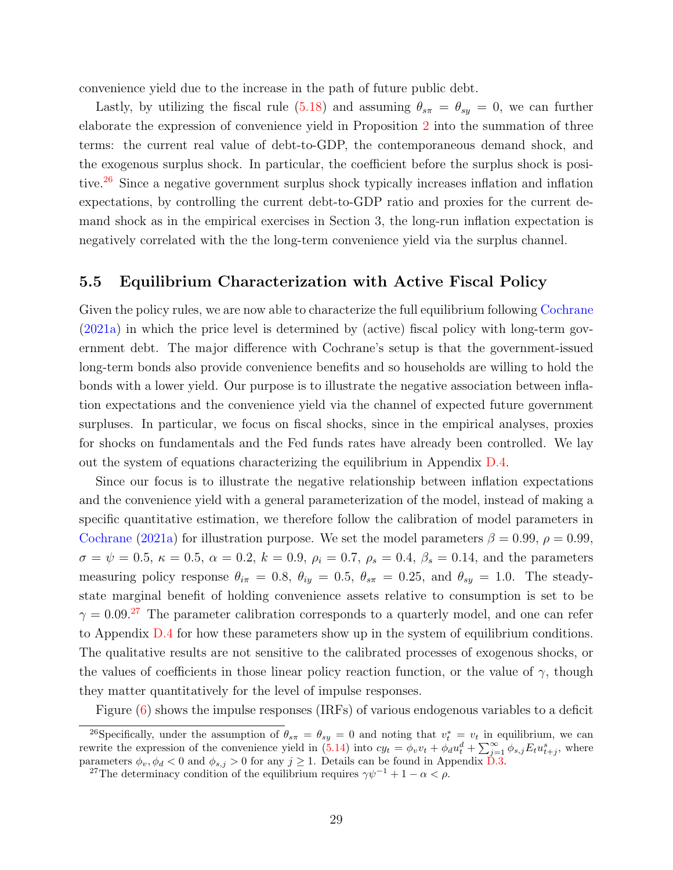convenience yield due to the increase in the path of future public debt.

Lastly, by utilizing the fiscal rule [\(5.18\)](#page-27-1) and assuming  $\theta_{s\pi} = \theta_{sy} = 0$ , we can further elaborate the expression of convenience yield in Proposition [2](#page-24-3) into the summation of three terms: the current real value of debt-to-GDP, the contemporaneous demand shock, and the exogenous surplus shock. In particular, the coefficient before the surplus shock is posi-tive.<sup>[26](#page-0-0)</sup> Since a negative government surplus shock typically increases inflation and inflation expectations, by controlling the current debt-to-GDP ratio and proxies for the current demand shock as in the empirical exercises in Section 3, the long-run inflation expectation is negatively correlated with the the long-term convenience yield via the surplus channel.

### 5.5 Equilibrium Characterization with Active Fiscal Policy

Given the policy rules, we are now able to characterize the full equilibrium following [Cochrane](#page-33-0) [\(2021a\)](#page-33-0) in which the price level is determined by (active) fiscal policy with long-term government debt. The major difference with Cochrane's setup is that the government-issued long-term bonds also provide convenience benefits and so households are willing to hold the bonds with a lower yield. Our purpose is to illustrate the negative association between inflation expectations and the convenience yield via the channel of expected future government surpluses. In particular, we focus on fiscal shocks, since in the empirical analyses, proxies for shocks on fundamentals and the Fed funds rates have already been controlled. We lay out the system of equations characterizing the equilibrium in Appendix [D.4.](#page-50-0)

Since our focus is to illustrate the negative relationship between inflation expectations and the convenience yield with a general parameterization of the model, instead of making a specific quantitative estimation, we therefore follow the calibration of model parameters in [Cochrane](#page-33-0) [\(2021a\)](#page-33-0) for illustration purpose. We set the model parameters  $\beta = 0.99$ ,  $\rho = 0.99$ ,  $\sigma = \psi = 0.5, \, \kappa = 0.5, \, \alpha = 0.2, \, k = 0.9, \, \rho_i = 0.7, \, \rho_s = 0.4, \, \beta_s = 0.14, \, \text{and the parameters}$ measuring policy response  $\theta_{i\pi} = 0.8$ ,  $\theta_{iy} = 0.5$ ,  $\theta_{s\pi} = 0.25$ , and  $\theta_{sy} = 1.0$ . The steadystate marginal benefit of holding convenience assets relative to consumption is set to be  $\gamma = 0.09$ <sup>[27](#page-0-0)</sup>. The parameter calibration corresponds to a quarterly model, and one can refer to Appendix [D.4](#page-50-0) for how these parameters show up in the system of equilibrium conditions. The qualitative results are not sensitive to the calibrated processes of exogenous shocks, or the values of coefficients in those linear policy reaction function, or the value of  $\gamma$ , though they matter quantitatively for the level of impulse responses.

Figure [\(6\)](#page-30-0) shows the impulse responses (IRFs) of various endogenous variables to a deficit

<sup>&</sup>lt;sup>26</sup>Specifically, under the assumption of  $\theta_{s\pi} = \theta_{sy} = 0$  and noting that  $v_t^* = v_t$  in equilibrium, we can rewrite the expression of the convenience yield in  $(5.14)$  into  $cy_t = \phi_v v_t + \phi_u^i u_t^d + \sum_{j=1}^{\infty} \phi_{s,j} E_t u_{t+j}^s$ , where parameters  $\phi_v, \phi_d < 0$  and  $\phi_{s,j} > 0$  for any  $j \geq 1$ . Details can be found in Appendix [D.3.](#page-48-0)

<sup>&</sup>lt;sup>27</sup>The determinacy condition of the equilibrium requires  $\gamma \psi^{-1} + 1 - \alpha < \rho$ .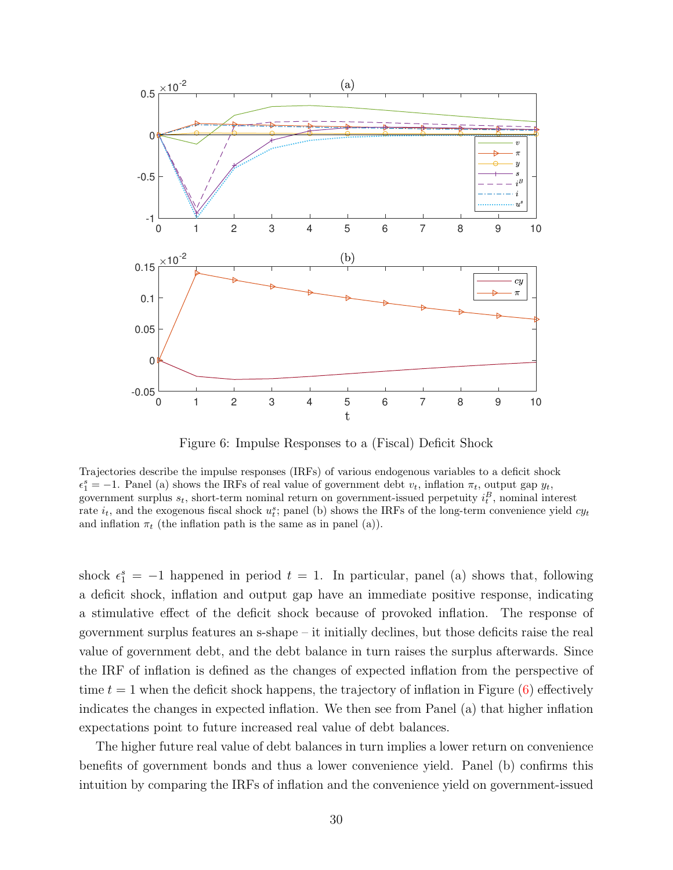

<span id="page-30-0"></span>Figure 6: Impulse Responses to a (Fiscal) Deficit Shock

Trajectories describe the impulse responses (IRFs) of various endogenous variables to a deficit shock  $\epsilon_1^s = -1$ . Panel (a) shows the IRFs of real value of government debt  $v_t$ , inflation  $\pi_t$ , output gap  $y_t$ , government surplus  $s_t$ , short-term nominal return on government-issued perpetuity  $i_t^B$ , nominal interest rate  $i_t$ , and the exogenous fiscal shock  $u_t^s$ ; panel (b) shows the IRFs of the long-term convenience yield  $cy_t$ and inflation  $\pi_t$  (the inflation path is the same as in panel (a)).

shock  $\epsilon_1^s = -1$  happened in period  $t = 1$ . In particular, panel (a) shows that, following a deficit shock, inflation and output gap have an immediate positive response, indicating a stimulative effect of the deficit shock because of provoked inflation. The response of government surplus features an s-shape – it initially declines, but those deficits raise the real value of government debt, and the debt balance in turn raises the surplus afterwards. Since the IRF of inflation is defined as the changes of expected inflation from the perspective of time  $t = 1$  when the deficit shock happens, the trajectory of inflation in Figure  $(6)$  effectively indicates the changes in expected inflation. We then see from Panel (a) that higher inflation expectations point to future increased real value of debt balances.

The higher future real value of debt balances in turn implies a lower return on convenience benefits of government bonds and thus a lower convenience yield. Panel (b) confirms this intuition by comparing the IRFs of inflation and the convenience yield on government-issued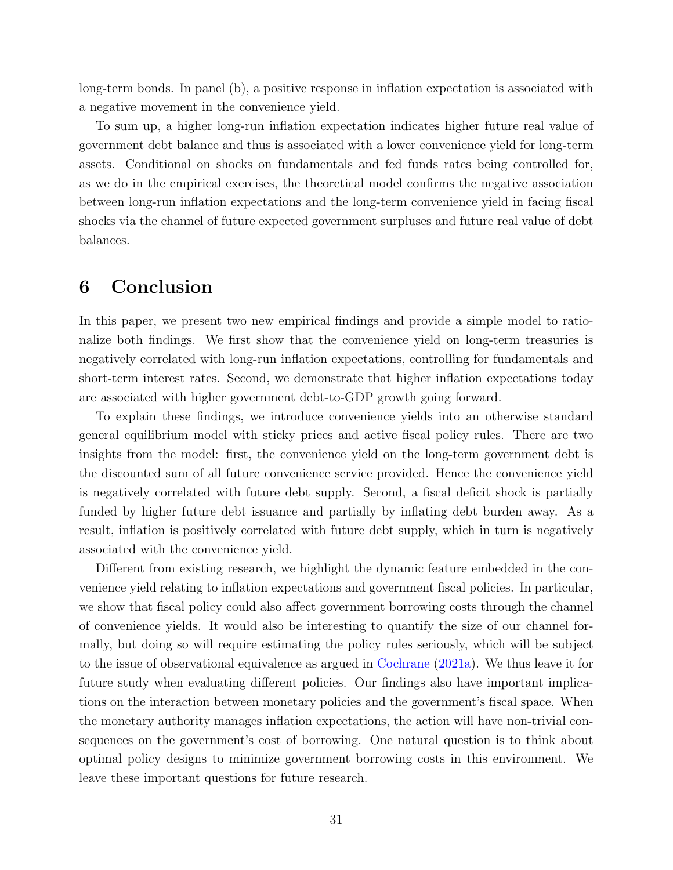long-term bonds. In panel (b), a positive response in inflation expectation is associated with a negative movement in the convenience yield.

To sum up, a higher long-run inflation expectation indicates higher future real value of government debt balance and thus is associated with a lower convenience yield for long-term assets. Conditional on shocks on fundamentals and fed funds rates being controlled for, as we do in the empirical exercises, the theoretical model confirms the negative association between long-run inflation expectations and the long-term convenience yield in facing fiscal shocks via the channel of future expected government surpluses and future real value of debt balances.

## <span id="page-31-0"></span>6 Conclusion

In this paper, we present two new empirical findings and provide a simple model to rationalize both findings. We first show that the convenience yield on long-term treasuries is negatively correlated with long-run inflation expectations, controlling for fundamentals and short-term interest rates. Second, we demonstrate that higher inflation expectations today are associated with higher government debt-to-GDP growth going forward.

To explain these findings, we introduce convenience yields into an otherwise standard general equilibrium model with sticky prices and active fiscal policy rules. There are two insights from the model: first, the convenience yield on the long-term government debt is the discounted sum of all future convenience service provided. Hence the convenience yield is negatively correlated with future debt supply. Second, a fiscal deficit shock is partially funded by higher future debt issuance and partially by inflating debt burden away. As a result, inflation is positively correlated with future debt supply, which in turn is negatively associated with the convenience yield.

Different from existing research, we highlight the dynamic feature embedded in the convenience yield relating to inflation expectations and government fiscal policies. In particular, we show that fiscal policy could also affect government borrowing costs through the channel of convenience yields. It would also be interesting to quantify the size of our channel formally, but doing so will require estimating the policy rules seriously, which will be subject to the issue of observational equivalence as argued in [Cochrane](#page-33-0) [\(2021a\)](#page-33-0). We thus leave it for future study when evaluating different policies. Our findings also have important implications on the interaction between monetary policies and the government's fiscal space. When the monetary authority manages inflation expectations, the action will have non-trivial consequences on the government's cost of borrowing. One natural question is to think about optimal policy designs to minimize government borrowing costs in this environment. We leave these important questions for future research.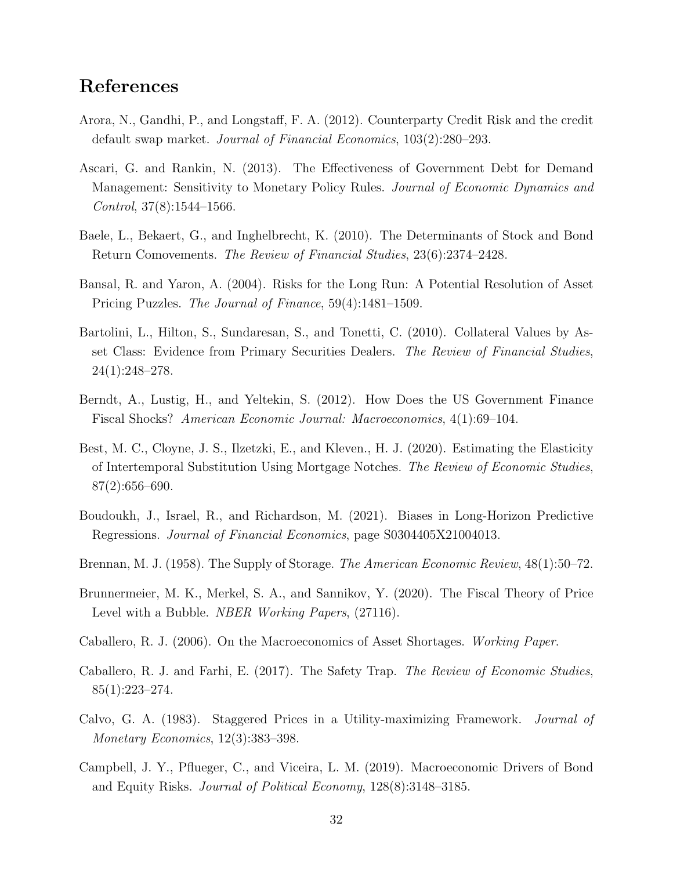## References

- <span id="page-32-13"></span>Arora, N., Gandhi, P., and Longstaff, F. A. (2012). Counterparty Credit Risk and the credit default swap market. Journal of Financial Economics, 103(2):280–293.
- <span id="page-32-1"></span>Ascari, G. and Rankin, N. (2013). The Effectiveness of Government Debt for Demand Management: Sensitivity to Monetary Policy Rules. Journal of Economic Dynamics and  $Control, 37(8):1544-1566.$
- <span id="page-32-5"></span>Baele, L., Bekaert, G., and Inghelbrecht, K. (2010). The Determinants of Stock and Bond Return Comovements. The Review of Financial Studies, 23(6):2374–2428.
- <span id="page-32-10"></span>Bansal, R. and Yaron, A. (2004). Risks for the Long Run: A Potential Resolution of Asset Pricing Puzzles. The Journal of Finance, 59(4):1481–1509.
- <span id="page-32-2"></span>Bartolini, L., Hilton, S., Sundaresan, S., and Tonetti, C. (2010). Collateral Values by Asset Class: Evidence from Primary Securities Dealers. The Review of Financial Studies, 24(1):248–278.
- <span id="page-32-0"></span>Berndt, A., Lustig, H., and Yeltekin, S. (2012). How Does the US Government Finance Fiscal Shocks? American Economic Journal: Macroeconomics, 4(1):69–104.
- <span id="page-32-11"></span>Best, M. C., Cloyne, J. S., Ilzetzki, E., and Kleven., H. J. (2020). Estimating the Elasticity of Intertemporal Substitution Using Mortgage Notches. The Review of Economic Studies, 87(2):656–690.
- <span id="page-32-9"></span>Boudoukh, J., Israel, R., and Richardson, M. (2021). Biases in Long-Horizon Predictive Regressions. Journal of Financial Economics, page S0304405X21004013.
- <span id="page-32-8"></span>Brennan, M. J. (1958). The Supply of Storage. The American Economic Review, 48(1):50–72.
- <span id="page-32-7"></span>Brunnermeier, M. K., Merkel, S. A., and Sannikov, Y. (2020). The Fiscal Theory of Price Level with a Bubble. *NBER Working Papers*,  $(27116)$ .
- <span id="page-32-3"></span>Caballero, R. J. (2006). On the Macroeconomics of Asset Shortages. Working Paper.
- <span id="page-32-4"></span>Caballero, R. J. and Farhi, E. (2017). The Safety Trap. The Review of Economic Studies,  $85(1):223-274.$
- <span id="page-32-12"></span>Calvo, G. A. (1983). Staggered Prices in a Utility-maximizing Framework. Journal of Monetary Economics, 12(3):383–398.
- <span id="page-32-6"></span>Campbell, J. Y., Pflueger, C., and Viceira, L. M. (2019). Macroeconomic Drivers of Bond and Equity Risks. Journal of Political Economy, 128(8):3148–3185.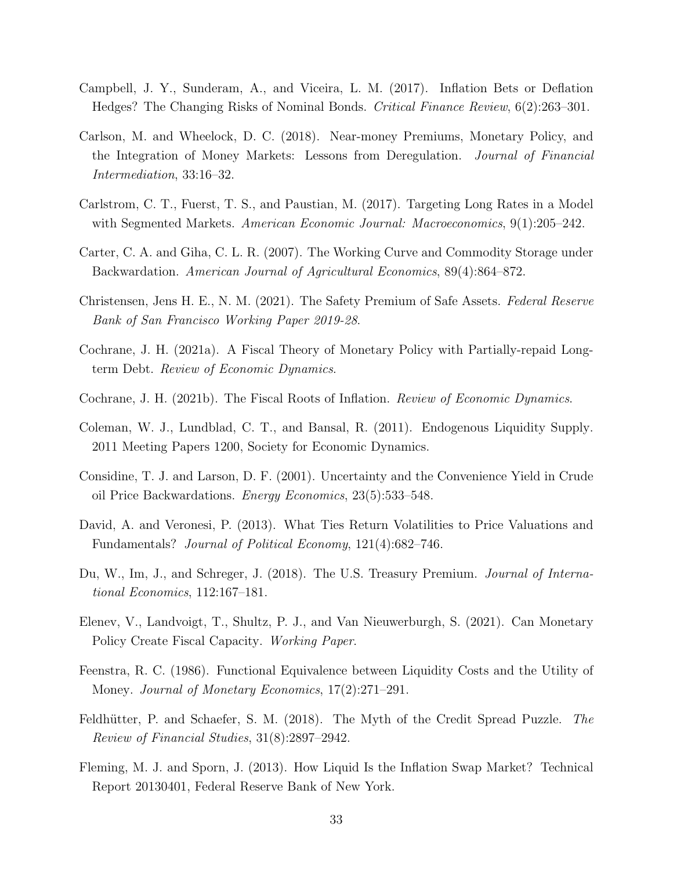- <span id="page-33-9"></span>Campbell, J. Y., Sunderam, A., and Viceira, L. M. (2017). Inflation Bets or Deflation Hedges? The Changing Risks of Nominal Bonds. Critical Finance Review, 6(2):263–301.
- <span id="page-33-3"></span>Carlson, M. and Wheelock, D. C. (2018). Near-money Premiums, Monetary Policy, and the Integration of Money Markets: Lessons from Deregulation. Journal of Financial Intermediation, 33:16–32.
- <span id="page-33-14"></span>Carlstrom, C. T., Fuerst, T. S., and Paustian, M. (2017). Targeting Long Rates in a Model with Segmented Markets. American Economic Journal: Macroeconomics, 9(1):205–242.
- <span id="page-33-11"></span>Carter, C. A. and Giha, C. L. R. (2007). The Working Curve and Commodity Storage under Backwardation. American Journal of Agricultural Economics, 89(4):864–872.
- <span id="page-33-7"></span>Christensen, Jens H. E., N. M. (2021). The Safety Premium of Safe Assets. Federal Reserve Bank of San Francisco Working Paper 2019-28.
- <span id="page-33-0"></span>Cochrane, J. H. (2021a). A Fiscal Theory of Monetary Policy with Partially-repaid Longterm Debt. Review of Economic Dynamics.
- <span id="page-33-1"></span>Cochrane, J. H. (2021b). The Fiscal Roots of Inflation. Review of Economic Dynamics.
- <span id="page-33-2"></span>Coleman, W. J., Lundblad, C. T., and Bansal, R. (2011). Endogenous Liquidity Supply. 2011 Meeting Papers 1200, Society for Economic Dynamics.
- <span id="page-33-10"></span>Considine, T. J. and Larson, D. F. (2001). Uncertainty and the Convenience Yield in Crude oil Price Backwardations. Energy Economics, 23(5):533–548.
- <span id="page-33-8"></span>David, A. and Veronesi, P. (2013). What Ties Return Volatilities to Price Valuations and Fundamentals? Journal of Political Economy, 121(4):682–746.
- <span id="page-33-4"></span>Du, W., Im, J., and Schreger, J. (2018). The U.S. Treasury Premium. *Journal of Interna*tional Economics, 112:167–181.
- <span id="page-33-5"></span>Elenev, V., Landvoigt, T., Shultz, P. J., and Van Nieuwerburgh, S. (2021). Can Monetary Policy Create Fiscal Capacity. Working Paper.
- <span id="page-33-6"></span>Feenstra, R. C. (1986). Functional Equivalence between Liquidity Costs and the Utility of Money. Journal of Monetary Economics, 17(2):271–291.
- <span id="page-33-13"></span>Feldhütter, P. and Schaefer, S. M. (2018). The Myth of the Credit Spread Puzzle. The Review of Financial Studies, 31(8):2897–2942.
- <span id="page-33-12"></span>Fleming, M. J. and Sporn, J. (2013). How Liquid Is the Inflation Swap Market? Technical Report 20130401, Federal Reserve Bank of New York.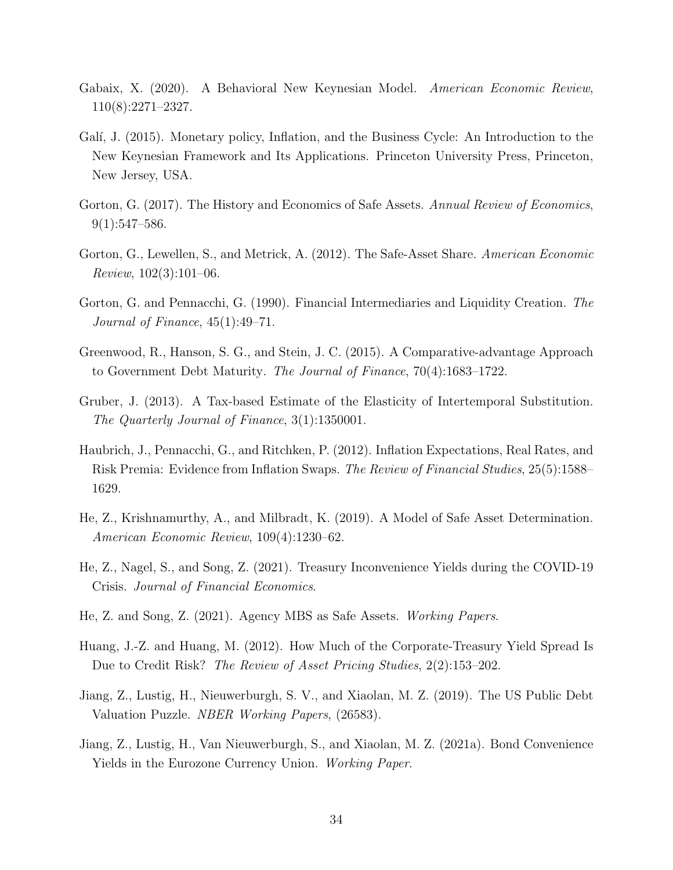- <span id="page-34-4"></span>Gabaix, X. (2020). A Behavioral New Keynesian Model. American Economic Review, 110(8):2271–2327.
- <span id="page-34-13"></span>Galí, J. (2015). Monetary policy, Inflation, and the Business Cycle: An Introduction to the New Keynesian Framework and Its Applications. Princeton University Press, Princeton, New Jersey, USA.
- <span id="page-34-1"></span>Gorton, G. (2017). The History and Economics of Safe Assets. Annual Review of Economics,  $9(1):547-586.$
- <span id="page-34-0"></span>Gorton, G., Lewellen, S., and Metrick, A. (2012). The Safe-Asset Share. American Economic Review, 102(3):101–06.
- <span id="page-34-7"></span>Gorton, G. and Pennacchi, G. (1990). Financial Intermediaries and Liquidity Creation. The Journal of Finance, 45(1):49–71.
- <span id="page-34-11"></span>Greenwood, R., Hanson, S. G., and Stein, J. C. (2015). A Comparative-advantage Approach to Government Debt Maturity. The Journal of Finance, 70(4):1683–1722.
- <span id="page-34-12"></span>Gruber, J. (2013). A Tax-based Estimate of the Elasticity of Intertemporal Substitution. The Quarterly Journal of Finance, 3(1):1350001.
- <span id="page-34-9"></span>Haubrich, J., Pennacchi, G., and Ritchken, P. (2012). Inflation Expectations, Real Rates, and Risk Premia: Evidence from Inflation Swaps. The Review of Financial Studies, 25(5):1588– 1629.
- <span id="page-34-6"></span>He, Z., Krishnamurthy, A., and Milbradt, K. (2019). A Model of Safe Asset Determination. American Economic Review, 109(4):1230–62.
- <span id="page-34-2"></span>He, Z., Nagel, S., and Song, Z. (2021). Treasury Inconvenience Yields during the COVID-19 Crisis. Journal of Financial Economics.
- <span id="page-34-3"></span>He, Z. and Song, Z. (2021). Agency MBS as Safe Assets. Working Papers.
- <span id="page-34-10"></span>Huang, J.-Z. and Huang, M. (2012). How Much of the Corporate-Treasury Yield Spread Is Due to Credit Risk? The Review of Asset Pricing Studies, 2(2):153–202.
- <span id="page-34-8"></span>Jiang, Z., Lustig, H., Nieuwerburgh, S. V., and Xiaolan, M. Z. (2019). The US Public Debt Valuation Puzzle. NBER Working Papers, (26583).
- <span id="page-34-5"></span>Jiang, Z., Lustig, H., Van Nieuwerburgh, S., and Xiaolan, M. Z. (2021a). Bond Convenience Yields in the Eurozone Currency Union. Working Paper.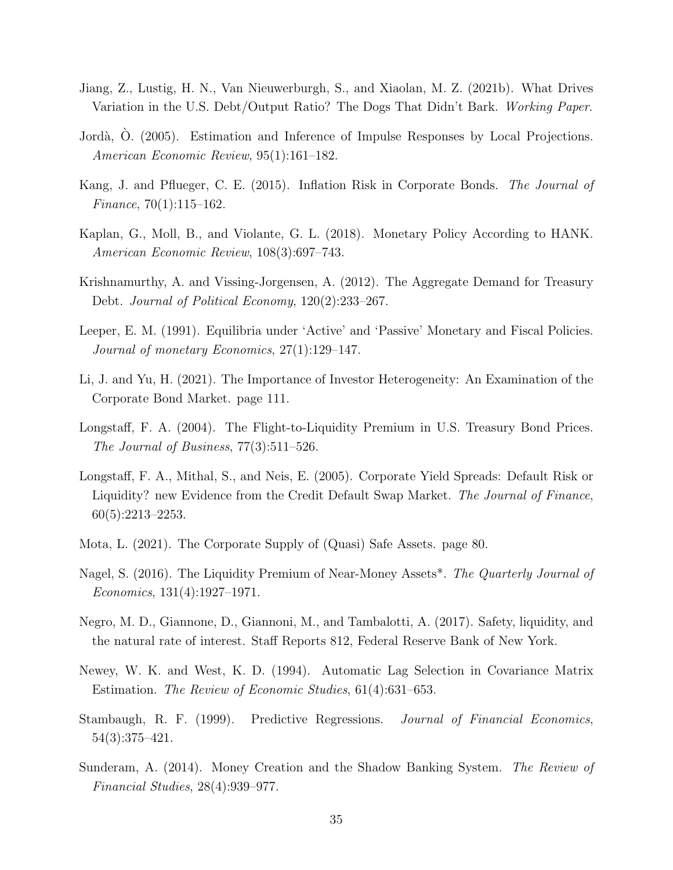- <span id="page-35-7"></span>Jiang, Z., Lustig, H. N., Van Nieuwerburgh, S., and Xiaolan, M. Z. (2021b). What Drives Variation in the U.S. Debt/Output Ratio? The Dogs That Didn't Bark. Working Paper.
- <span id="page-35-11"></span>Jordà, O. (2005). Estimation and Inference of Impulse Responses by Local Projections. American Economic Review, 95(1):161–182.
- <span id="page-35-9"></span>Kang, J. and Pflueger, C. E. (2015). Inflation Risk in Corporate Bonds. The Journal of Finance, 70(1):115–162.
- <span id="page-35-4"></span>Kaplan, G., Moll, B., and Violante, G. L. (2018). Monetary Policy According to HANK. American Economic Review, 108(3):697–743.
- <span id="page-35-0"></span>Krishnamurthy, A. and Vissing-Jorgensen, A. (2012). The Aggregate Demand for Treasury Debt. Journal of Political Economy, 120(2):233–267.
- <span id="page-35-2"></span>Leeper, E. M. (1991). Equilibria under 'Active' and 'Passive' Monetary and Fiscal Policies. Journal of monetary Economics, 27(1):129–147.
- <span id="page-35-14"></span>Li, J. and Yu, H. (2021). The Importance of Investor Heterogeneity: An Examination of the Corporate Bond Market. page 111.
- <span id="page-35-5"></span>Longstaff, F. A. (2004). The Flight-to-Liquidity Premium in U.S. Treasury Bond Prices. The Journal of Business, 77(3):511–526.
- <span id="page-35-13"></span>Longstaff, F. A., Mithal, S., and Neis, E. (2005). Corporate Yield Spreads: Default Risk or Liquidity? new Evidence from the Credit Default Swap Market. The Journal of Finance, 60(5):2213–2253.
- <span id="page-35-6"></span>Mota, L. (2021). The Corporate Supply of (Quasi) Safe Assets. page 80.
- <span id="page-35-1"></span>Nagel, S. (2016). The Liquidity Premium of Near-Money Assets<sup>\*</sup>. The Quarterly Journal of Economics, 131(4):1927–1971.
- <span id="page-35-8"></span>Negro, M. D., Giannone, D., Giannoni, M., and Tambalotti, A. (2017). Safety, liquidity, and the natural rate of interest. Staff Reports 812, Federal Reserve Bank of New York.
- <span id="page-35-10"></span>Newey, W. K. and West, K. D. (1994). Automatic Lag Selection in Covariance Matrix Estimation. The Review of Economic Studies, 61(4):631–653.
- <span id="page-35-12"></span>Stambaugh, R. F. (1999). Predictive Regressions. Journal of Financial Economics, 54(3):375–421.
- <span id="page-35-3"></span>Sunderam, A. (2014). Money Creation and the Shadow Banking System. The Review of Financial Studies, 28(4):939–977.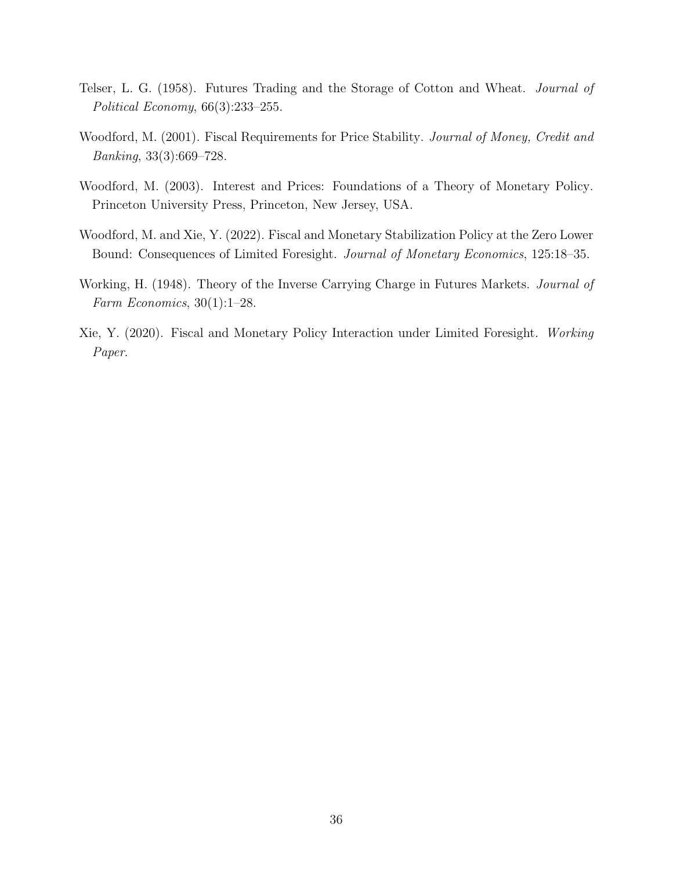- <span id="page-36-3"></span>Telser, L. G. (1958). Futures Trading and the Storage of Cotton and Wheat. Journal of Political Economy, 66(3):233–255.
- <span id="page-36-4"></span>Woodford, M. (2001). Fiscal Requirements for Price Stability. Journal of Money, Credit and Banking, 33(3):669–728.
- <span id="page-36-5"></span>Woodford, M. (2003). Interest and Prices: Foundations of a Theory of Monetary Policy. Princeton University Press, Princeton, New Jersey, USA.
- <span id="page-36-0"></span>Woodford, M. and Xie, Y. (2022). Fiscal and Monetary Stabilization Policy at the Zero Lower Bound: Consequences of Limited Foresight. Journal of Monetary Economics, 125:18–35.
- <span id="page-36-2"></span>Working, H. (1948). Theory of the Inverse Carrying Charge in Futures Markets. *Journal of* Farm Economics, 30(1):1–28.
- <span id="page-36-1"></span>Xie, Y. (2020). Fiscal and Monetary Policy Interaction under Limited Foresight. Working Paper.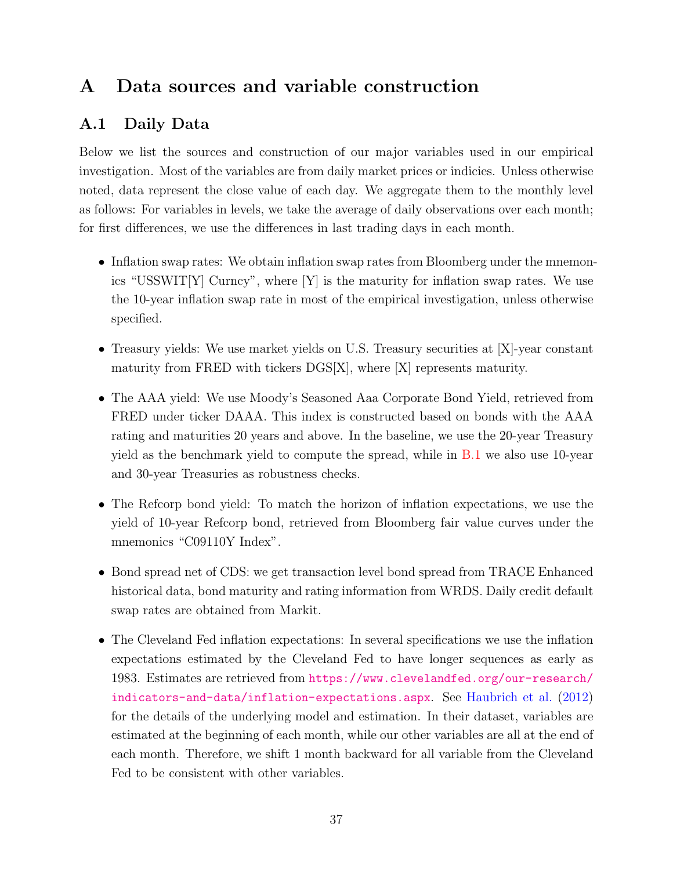## <span id="page-37-0"></span>A Data sources and variable construction

### A.1 Daily Data

Below we list the sources and construction of our major variables used in our empirical investigation. Most of the variables are from daily market prices or indicies. Unless otherwise noted, data represent the close value of each day. We aggregate them to the monthly level as follows: For variables in levels, we take the average of daily observations over each month; for first differences, we use the differences in last trading days in each month.

- Inflation swap rates: We obtain inflation swap rates from Bloomberg under the mnemonics "USSWIT[Y] Curncy", where  $[Y]$  is the maturity for inflation swap rates. We use the 10-year inflation swap rate in most of the empirical investigation, unless otherwise specified.
- Treasury yields: We use market yields on U.S. Treasury securities at [X]-year constant maturity from FRED with tickers  $DGS[X]$ , where  $[X]$  represents maturity.
- The AAA yield: We use Moody's Seasoned Aaa Corporate Bond Yield, retrieved from FRED under ticker DAAA. This index is constructed based on bonds with the AAA rating and maturities 20 years and above. In the baseline, we use the 20-year Treasury yield as the benchmark yield to compute the spread, while in [B.1](#page-39-1) we also use 10-year and 30-year Treasuries as robustness checks.
- The Refcorp bond yield: To match the horizon of inflation expectations, we use the yield of 10-year Refcorp bond, retrieved from Bloomberg fair value curves under the mnemonics "C09110Y Index".
- Bond spread net of CDS: we get transaction level bond spread from TRACE Enhanced historical data, bond maturity and rating information from WRDS. Daily credit default swap rates are obtained from Markit.
- The Cleveland Fed inflation expectations: In several specifications we use the inflation expectations estimated by the Cleveland Fed to have longer sequences as early as 1983. Estimates are retrieved from [https://www.clevelandfed.org/our-research/](https://www.clevelandfed.org/our-research/indicators-and-data/inflation-expectations.aspx) [indicators-and-data/inflation-expectations.aspx](https://www.clevelandfed.org/our-research/indicators-and-data/inflation-expectations.aspx). See [Haubrich et al.](#page-34-9) [\(2012\)](#page-34-9) for the details of the underlying model and estimation. In their dataset, variables are estimated at the beginning of each month, while our other variables are all at the end of each month. Therefore, we shift 1 month backward for all variable from the Cleveland Fed to be consistent with other variables.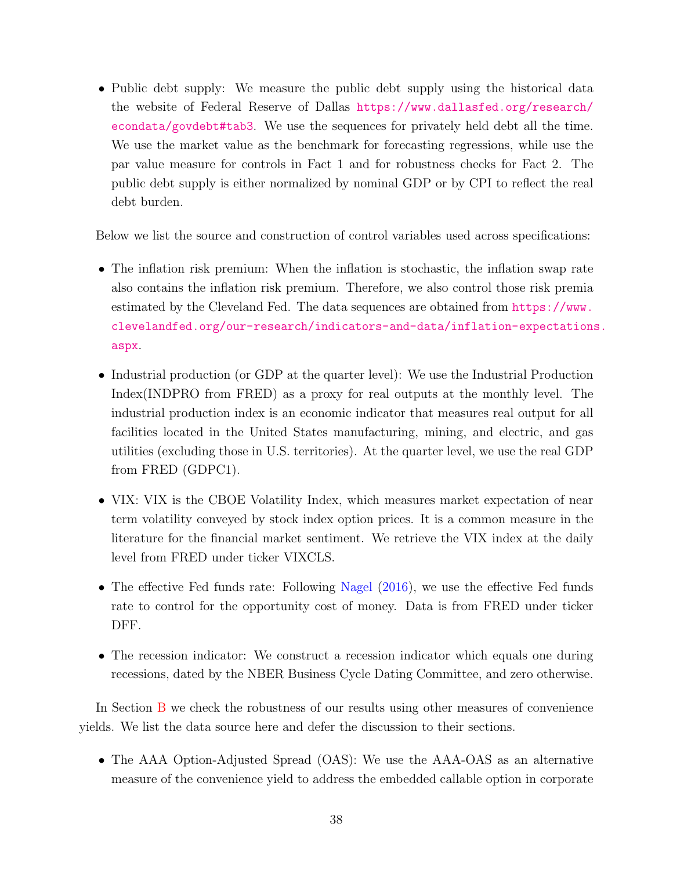• Public debt supply: We measure the public debt supply using the historical data the website of Federal Reserve of Dallas [https://www.dallasfed.org/research/](https://www.dallasfed.org/research/econdata/govdebt#tab3) [econdata/govdebt#tab3](https://www.dallasfed.org/research/econdata/govdebt#tab3). We use the sequences for privately held debt all the time. We use the market value as the benchmark for forecasting regressions, while use the par value measure for controls in Fact 1 and for robustness checks for Fact 2. The public debt supply is either normalized by nominal GDP or by CPI to reflect the real debt burden.

Below we list the source and construction of control variables used across specifications:

- The inflation risk premium: When the inflation is stochastic, the inflation swap rate also contains the inflation risk premium. Therefore, we also control those risk premia estimated by the Cleveland Fed. The data sequences are obtained from [https://www.](https://www.clevelandfed.org/our-research/indicators-and-data/inflation-expectations.aspx) [clevelandfed.org/our-research/indicators-and-data/inflation-expectations](https://www.clevelandfed.org/our-research/indicators-and-data/inflation-expectations.aspx). [aspx](https://www.clevelandfed.org/our-research/indicators-and-data/inflation-expectations.aspx).
- Industrial production (or GDP at the quarter level): We use the Industrial Production Index(INDPRO from FRED) as a proxy for real outputs at the monthly level. The industrial production index is an economic indicator that measures real output for all facilities located in the United States manufacturing, mining, and electric, and gas utilities (excluding those in U.S. territories). At the quarter level, we use the real GDP from FRED (GDPC1).
- VIX: VIX is the CBOE Volatility Index, which measures market expectation of near term volatility conveyed by stock index option prices. It is a common measure in the literature for the financial market sentiment. We retrieve the VIX index at the daily level from FRED under ticker VIXCLS.
- The effective Fed funds rate: Following [Nagel](#page-35-1) [\(2016\)](#page-35-1), we use the effective Fed funds rate to control for the opportunity cost of money. Data is from FRED under ticker DFF.
- The recession indicator: We construct a recession indicator which equals one during recessions, dated by the NBER Business Cycle Dating Committee, and zero otherwise.

In Section [B](#page-39-0) we check the robustness of our results using other measures of convenience yields. We list the data source here and defer the discussion to their sections.

• The AAA Option-Adjusted Spread (OAS): We use the AAA-OAS as an alternative measure of the convenience yield to address the embedded callable option in corporate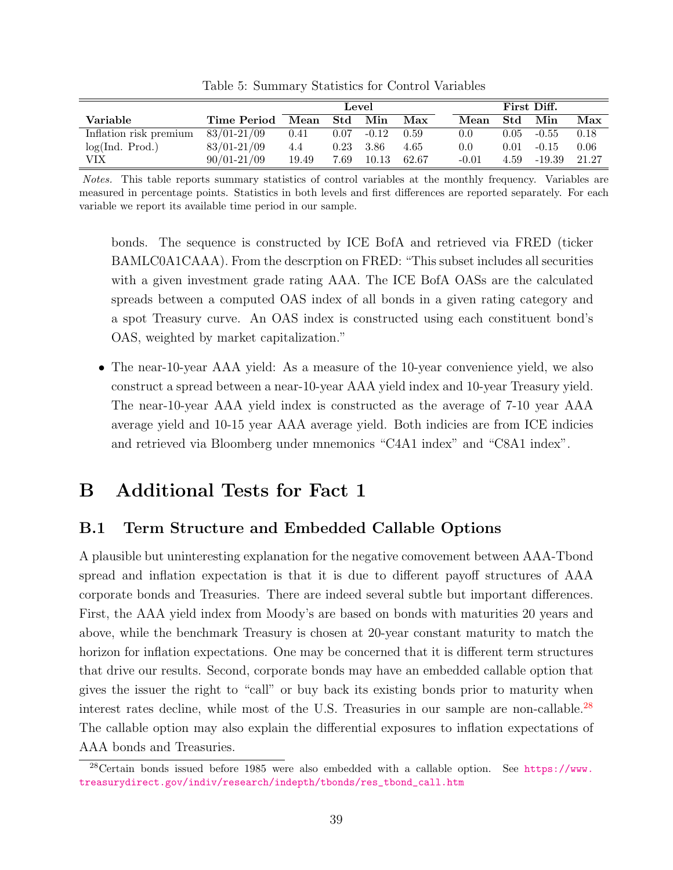|                        |                 | Level                 |      |               | First Diff. |         |      |         |       |
|------------------------|-----------------|-----------------------|------|---------------|-------------|---------|------|---------|-------|
| Variable               | Time Period     | $\operatorname{Mean}$ | Std  | Min           | Max         | Mean    | Std  | Min     | Max   |
| Inflation risk premium | 83/01-21/09     | 0.41                  |      | $0.07 - 0.12$ | 0.59        | 0.0     | 0.05 | $-0.55$ | 0.18  |
| log(Ind. Prod.)        | $83/01 - 21/09$ | 4.4                   | 0.23 | - 3.86        | 4.65        | 0.0     | 0.01 | $-0.15$ | 0.06  |
| VIX                    | $90/01 - 21/09$ | 19.49                 | 7.69 | 10.13         | 62.67       | $-0.01$ | 4.59 | -19.39  | 21.27 |

Table 5: Summary Statistics for Control Variables

Notes. This table reports summary statistics of control variables at the monthly frequency. Variables are measured in percentage points. Statistics in both levels and first differences are reported separately. For each variable we report its available time period in our sample.

bonds. The sequence is constructed by ICE BofA and retrieved via FRED (ticker BAMLC0A1CAAA). From the descrption on FRED: "This subset includes all securities with a given investment grade rating AAA. The ICE BofA OASs are the calculated spreads between a computed OAS index of all bonds in a given rating category and a spot Treasury curve. An OAS index is constructed using each constituent bond's OAS, weighted by market capitalization."

• The near-10-year AAA yield: As a measure of the 10-year convenience yield, we also construct a spread between a near-10-year AAA yield index and 10-year Treasury yield. The near-10-year AAA yield index is constructed as the average of 7-10 year AAA average yield and 10-15 year AAA average yield. Both indicies are from ICE indicies and retrieved via Bloomberg under mnemonics "C4A1 index" and "C8A1 index".

## <span id="page-39-0"></span>B Additional Tests for Fact 1

### <span id="page-39-1"></span>B.1 Term Structure and Embedded Callable Options

A plausible but uninteresting explanation for the negative comovement between AAA-Tbond spread and inflation expectation is that it is due to different payoff structures of AAA corporate bonds and Treasuries. There are indeed several subtle but important differences. First, the AAA yield index from Moody's are based on bonds with maturities 20 years and above, while the benchmark Treasury is chosen at 20-year constant maturity to match the horizon for inflation expectations. One may be concerned that it is different term structures that drive our results. Second, corporate bonds may have an embedded callable option that gives the issuer the right to "call" or buy back its existing bonds prior to maturity when interest rates decline, while most of the U.S. Treasuries in our sample are non-callable.<sup>[28](#page-0-0)</sup> The callable option may also explain the differential exposures to inflation expectations of AAA bonds and Treasuries.

 $^{28}$ Certain bonds issued before 1985 were also embedded with a callable option. See [https://www.](https://www.treasurydirect.gov/indiv/research/indepth/tbonds/res_tbond_call.htm) [treasurydirect.gov/indiv/research/indepth/tbonds/res\\_tbond\\_call.htm](https://www.treasurydirect.gov/indiv/research/indepth/tbonds/res_tbond_call.htm)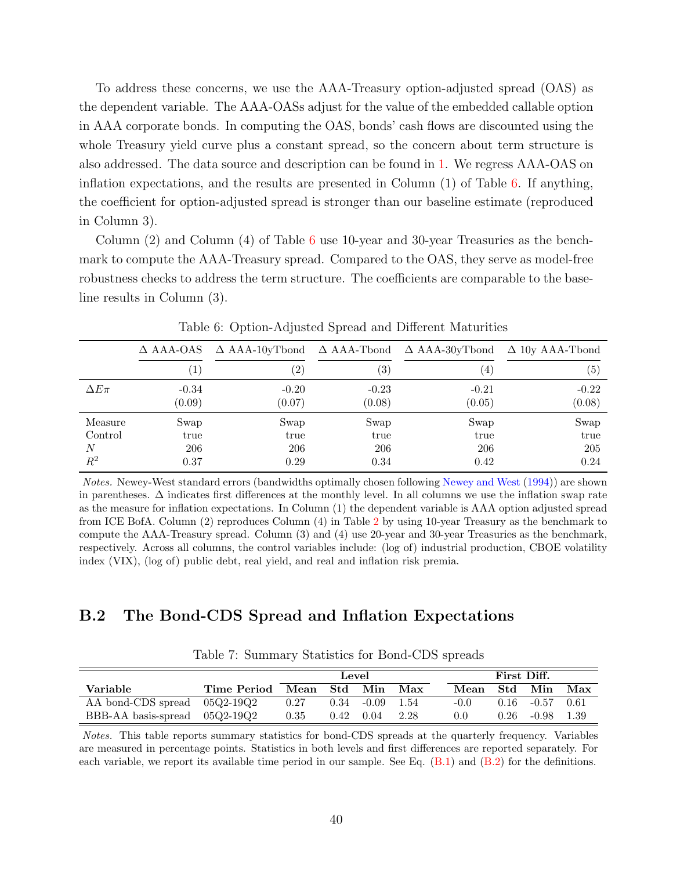To address these concerns, we use the AAA-Treasury option-adjusted spread (OAS) as the dependent variable. The AAA-OASs adjust for the value of the embedded callable option in AAA corporate bonds. In computing the OAS, bonds' cash flows are discounted using the whole Treasury yield curve plus a constant spread, so the concern about term structure is also addressed. The data source and description can be found in [1.](#page-10-0) We regress AAA-OAS on inflation expectations, and the results are presented in Column (1) of Table [6.](#page-40-1) If anything, the coefficient for option-adjusted spread is stronger than our baseline estimate (reproduced in Column 3).

Column (2) and Column (4) of Table [6](#page-40-1) use 10-year and 30-year Treasuries as the benchmark to compute the AAA-Treasury spread. Compared to the OAS, they serve as model-free robustness checks to address the term structure. The coefficients are comparable to the baseline results in Column (3).

|               | $\Delta$ AAA-OAS |               |                   | $\Delta$ AAA-10yTbond $\Delta$ AAA-Tbond $\Delta$ AAA-30yTbond $\Delta$ 10y AAA-Tbond |                   |
|---------------|------------------|---------------|-------------------|---------------------------------------------------------------------------------------|-------------------|
|               |                  | $^{\prime}2)$ | $\left( 3\right)$ | $\mathbf{A}$                                                                          | $\left( 5\right)$ |
| $\Delta E\pi$ | $-0.34$          | $-0.20$       | $-0.23$           | $-0.21$                                                                               | $-0.22$           |
|               | (0.09)           | (0.07)        | (0.08)            | (0.05)                                                                                | (0.08)            |
| Measure       | Swap             | Swap          | Swap              | Swap                                                                                  | Swap              |
| Control       | true             | true          | true              | true                                                                                  | true              |
| N             | 206              | 206           | 206               | 206                                                                                   | 205               |
| $\,R^2$       | 0.37             | 0.29          | 0.34              | 0.42                                                                                  | 0.24              |

<span id="page-40-1"></span>Table 6: Option-Adjusted Spread and Different Maturities

Notes. Newey-West standard errors (bandwidths optimally chosen following [Newey and West](#page-35-10) [\(1994\)](#page-35-10)) are shown in parentheses. ∆ indicates first differences at the monthly level. In all columns we use the inflation swap rate as the measure for inflation expectations. In Column (1) the dependent variable is AAA option adjusted spread from ICE BofA. Column (2) reproduces Column (4) in Table [2](#page-12-0) by using 10-year Treasury as the benchmark to compute the AAA-Treasury spread. Column (3) and (4) use 20-year and 30-year Treasuries as the benchmark, respectively. Across all columns, the control variables include: (log of) industrial production, CBOE volatility index (VIX), (log of) public debt, real yield, and real and inflation risk premia.

### <span id="page-40-0"></span>B.2 The Bond-CDS Spread and Inflation Expectations

|                                 |             | Level    |      |         |        | First Diff. |      |                       |       |
|---------------------------------|-------------|----------|------|---------|--------|-------------|------|-----------------------|-------|
| Variable                        | Time Period | Mean Std |      | Min Max |        | Mean Std    |      | Min                   | Max   |
| AA bond-CDS spread 05Q2-19Q2    |             | 0.27     | 0.34 | $-0.09$ | - 1.54 | $-0.0$      |      | $0.16$ $-0.57$ $0.61$ |       |
| BBB-AA basis-spread $05Q2-19Q2$ |             | 0.35     | 0.42 | 0.04    | 2.28   | 0.0         | 0.26 | -0.98                 | -1.39 |

<span id="page-40-2"></span>Table 7: Summary Statistics for Bond-CDS spreads

Notes. This table reports summary statistics for bond-CDS spreads at the quarterly frequency. Variables are measured in percentage points. Statistics in both levels and first differences are reported separately. For each variable, we report its available time period in our sample. See Eq. [\(B.1\)](#page-41-0) and [\(B.2\)](#page-42-1) for the definitions.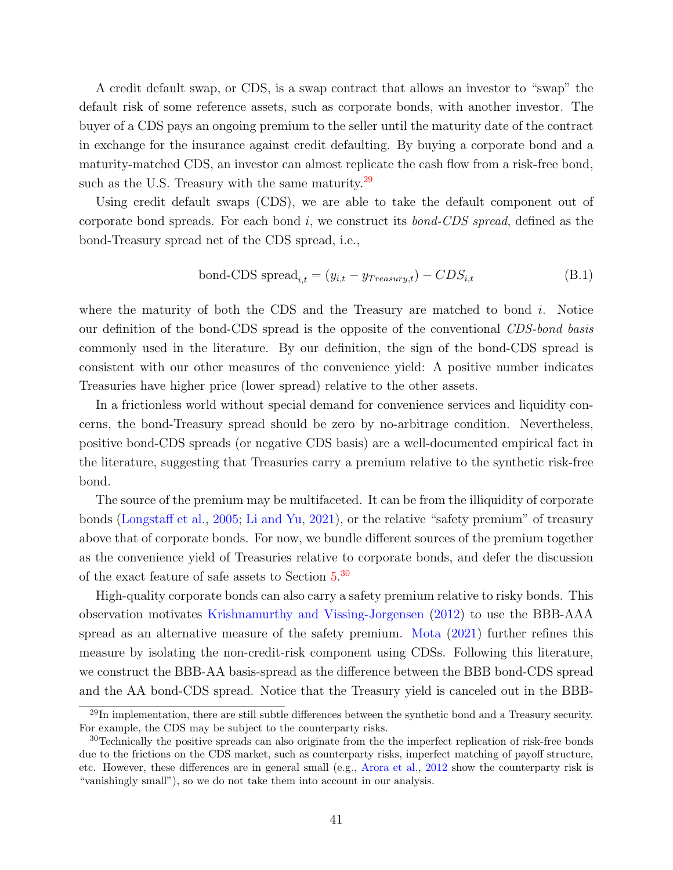A credit default swap, or CDS, is a swap contract that allows an investor to "swap" the default risk of some reference assets, such as corporate bonds, with another investor. The buyer of a CDS pays an ongoing premium to the seller until the maturity date of the contract in exchange for the insurance against credit defaulting. By buying a corporate bond and a maturity-matched CDS, an investor can almost replicate the cash flow from a risk-free bond, such as the U.S. Treasury with the same maturity. $^{29}$  $^{29}$  $^{29}$ 

Using credit default swaps (CDS), we are able to take the default component out of corporate bond spreads. For each bond  $i$ , we construct its *bond-CDS spread*, defined as the bond-Treasury spread net of the CDS spread, i.e.,

<span id="page-41-0"></span>bond-CDS spread<sub>i,t</sub> = 
$$
(y_{i,t} - y_{Treasury,t}) - CDS_{i,t}
$$
 (B.1)

where the maturity of both the CDS and the Treasury are matched to bond  $i$ . Notice our definition of the bond-CDS spread is the opposite of the conventional CDS-bond basis commonly used in the literature. By our definition, the sign of the bond-CDS spread is consistent with our other measures of the convenience yield: A positive number indicates Treasuries have higher price (lower spread) relative to the other assets.

In a frictionless world without special demand for convenience services and liquidity concerns, the bond-Treasury spread should be zero by no-arbitrage condition. Nevertheless, positive bond-CDS spreads (or negative CDS basis) are a well-documented empirical fact in the literature, suggesting that Treasuries carry a premium relative to the synthetic risk-free bond.

The source of the premium may be multifaceted. It can be from the illiquidity of corporate bonds [\(Longstaff et al.,](#page-35-13) [2005;](#page-35-13) [Li and Yu,](#page-35-14) [2021\)](#page-35-14), or the relative "safety premium" of treasury above that of corporate bonds. For now, we bundle different sources of the premium together as the convenience yield of Treasuries relative to corporate bonds, and defer the discussion of the exact feature of safe assets to Section [5.](#page-18-0)<sup>[30](#page-0-0)</sup>

High-quality corporate bonds can also carry a safety premium relative to risky bonds. This observation motivates [Krishnamurthy and Vissing-Jorgensen](#page-35-0) [\(2012\)](#page-35-0) to use the BBB-AAA spread as an alternative measure of the safety premium. [Mota](#page-35-6) [\(2021\)](#page-35-6) further refines this measure by isolating the non-credit-risk component using CDSs. Following this literature, we construct the BBB-AA basis-spread as the difference between the BBB bond-CDS spread and the AA bond-CDS spread. Notice that the Treasury yield is canceled out in the BBB-

 $^{29}$ In implementation, there are still subtle differences between the synthetic bond and a Treasury security. For example, the CDS may be subject to the counterparty risks.

<sup>30</sup>Technically the positive spreads can also originate from the the imperfect replication of risk-free bonds due to the frictions on the CDS market, such as counterparty risks, imperfect matching of payoff structure, etc. However, these differences are in general small (e.g., [Arora et al.,](#page-32-13) [2012](#page-32-13) show the counterparty risk is "vanishingly small"), so we do not take them into account in our analysis.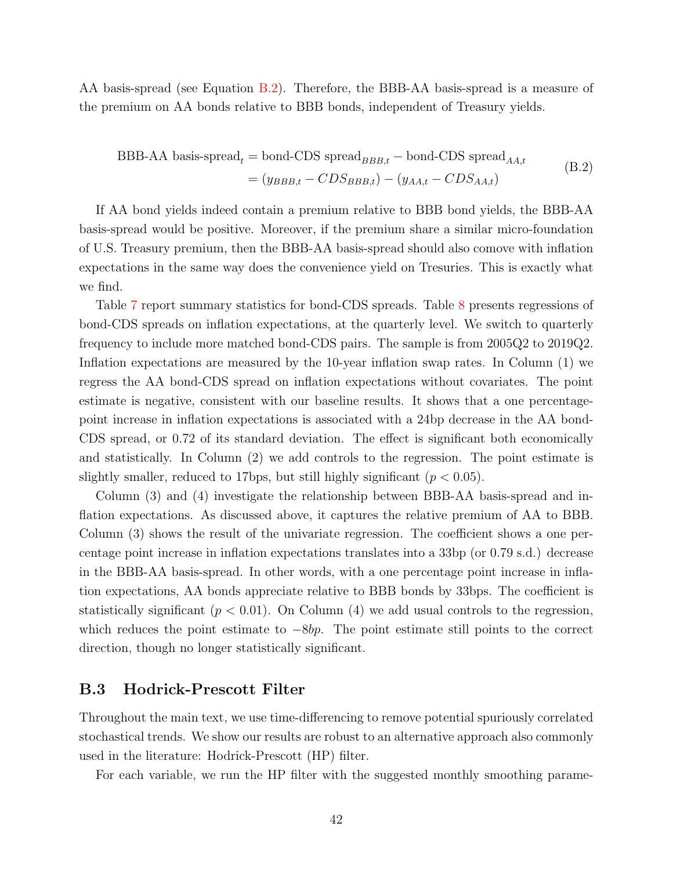<span id="page-42-1"></span>AA basis-spread (see Equation [B.2\)](#page-42-1). Therefore, the BBB-AA basis-spread is a measure of the premium on AA bonds relative to BBB bonds, independent of Treasury yields.

BBB-AA basis-spread<sub>t</sub> = bond-CDS spread<sub>BBB,t</sub> – bond-CDS spread<sub>AA,t</sub>  
= 
$$
(y_{BBB,t} - CDS_{BBB,t}) - (y_{AA,t} - CDS_{AA,t})
$$
 (B.2)

If AA bond yields indeed contain a premium relative to BBB bond yields, the BBB-AA basis-spread would be positive. Moreover, if the premium share a similar micro-foundation of U.S. Treasury premium, then the BBB-AA basis-spread should also comove with inflation expectations in the same way does the convenience yield on Tresuries. This is exactly what we find.

Table [7](#page-40-2) report summary statistics for bond-CDS spreads. Table [8](#page-43-1) presents regressions of bond-CDS spreads on inflation expectations, at the quarterly level. We switch to quarterly frequency to include more matched bond-CDS pairs. The sample is from 2005Q2 to 2019Q2. Inflation expectations are measured by the 10-year inflation swap rates. In Column (1) we regress the AA bond-CDS spread on inflation expectations without covariates. The point estimate is negative, consistent with our baseline results. It shows that a one percentagepoint increase in inflation expectations is associated with a 24bp decrease in the AA bond-CDS spread, or 0.72 of its standard deviation. The effect is significant both economically and statistically. In Column (2) we add controls to the regression. The point estimate is slightly smaller, reduced to 17bps, but still highly significant ( $p < 0.05$ ).

Column (3) and (4) investigate the relationship between BBB-AA basis-spread and inflation expectations. As discussed above, it captures the relative premium of AA to BBB. Column (3) shows the result of the univariate regression. The coefficient shows a one percentage point increase in inflation expectations translates into a 33bp (or 0.79 s.d.) decrease in the BBB-AA basis-spread. In other words, with a one percentage point increase in inflation expectations, AA bonds appreciate relative to BBB bonds by 33bps. The coefficient is statistically significant ( $p < 0.01$ ). On Column (4) we add usual controls to the regression, which reduces the point estimate to  $-\delta bp$ . The point estimate still points to the correct direction, though no longer statistically significant.

### <span id="page-42-0"></span>B.3 Hodrick-Prescott Filter

Throughout the main text, we use time-differencing to remove potential spuriously correlated stochastical trends. We show our results are robust to an alternative approach also commonly used in the literature: Hodrick-Prescott (HP) filter.

For each variable, we run the HP filter with the suggested monthly smoothing parame-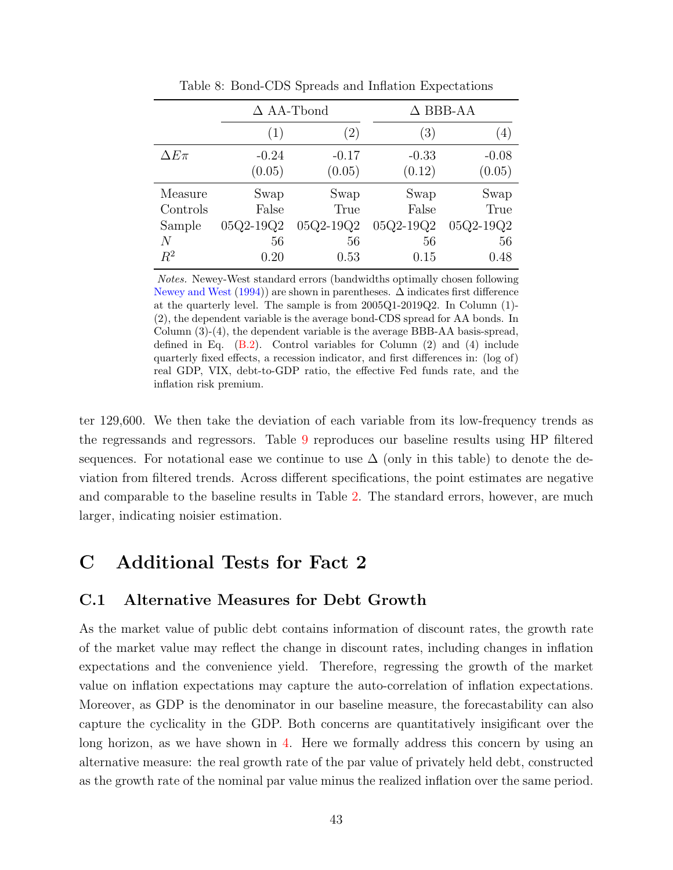|               |                   | $\Delta$ AA-Tbond |           | $\Delta$ BBB-AA |  |  |
|---------------|-------------------|-------------------|-----------|-----------------|--|--|
|               | $\left( 1\right)$ | $\left( 2\right)$ | (3)       | (4)             |  |  |
| $\Delta E\pi$ | $-0.24$           | $-0.17$           | $-0.33$   | $-0.08$         |  |  |
|               | (0.05)            | (0.05)            | (0.12)    | (0.05)          |  |  |
| Measure       | Swap              | Swap              | Swap      | Swap            |  |  |
| Controls      | False             | True              | False     | True            |  |  |
| Sample        | 05Q2-19Q2         | 05Q2-19Q2         | 05Q2-19Q2 | 05Q2-19Q2       |  |  |
| N             | 56                | 56                | 56        | 56              |  |  |
| $R^2$         | 0.20              | 0.53              | 0.15      | 0.48            |  |  |

<span id="page-43-1"></span>Table 8: Bond-CDS Spreads and Inflation Expectations

Notes. Newey-West standard errors (bandwidths optimally chosen following [Newey and West](#page-35-10)  $(1994)$  are shown in parentheses.  $\Delta$  indicates first difference at the quarterly level. The sample is from 2005Q1-2019Q2. In Column (1)- (2), the dependent variable is the average bond-CDS spread for AA bonds. In Column (3)-(4), the dependent variable is the average BBB-AA basis-spread, defined in Eq. [\(B.2\)](#page-42-1). Control variables for Column (2) and (4) include quarterly fixed effects, a recession indicator, and first differences in: (log of) real GDP, VIX, debt-to-GDP ratio, the effective Fed funds rate, and the inflation risk premium.

ter 129,600. We then take the deviation of each variable from its low-frequency trends as the regressands and regressors. Table [9](#page-44-0) reproduces our baseline results using HP filtered sequences. For notational ease we continue to use  $\Delta$  (only in this table) to denote the deviation from filtered trends. Across different specifications, the point estimates are negative and comparable to the baseline results in Table [2.](#page-12-0) The standard errors, however, are much larger, indicating noisier estimation.

## C Additional Tests for Fact 2

### <span id="page-43-0"></span>C.1 Alternative Measures for Debt Growth

As the market value of public debt contains information of discount rates, the growth rate of the market value may reflect the change in discount rates, including changes in inflation expectations and the convenience yield. Therefore, regressing the growth of the market value on inflation expectations may capture the auto-correlation of inflation expectations. Moreover, as GDP is the denominator in our baseline measure, the forecastability can also capture the cyclicality in the GDP. Both concerns are quantitatively insigificant over the long horizon, as we have shown in [4.](#page-15-0) Here we formally address this concern by using an alternative measure: the real growth rate of the par value of privately held debt, constructed as the growth rate of the nominal par value minus the realized inflation over the same period.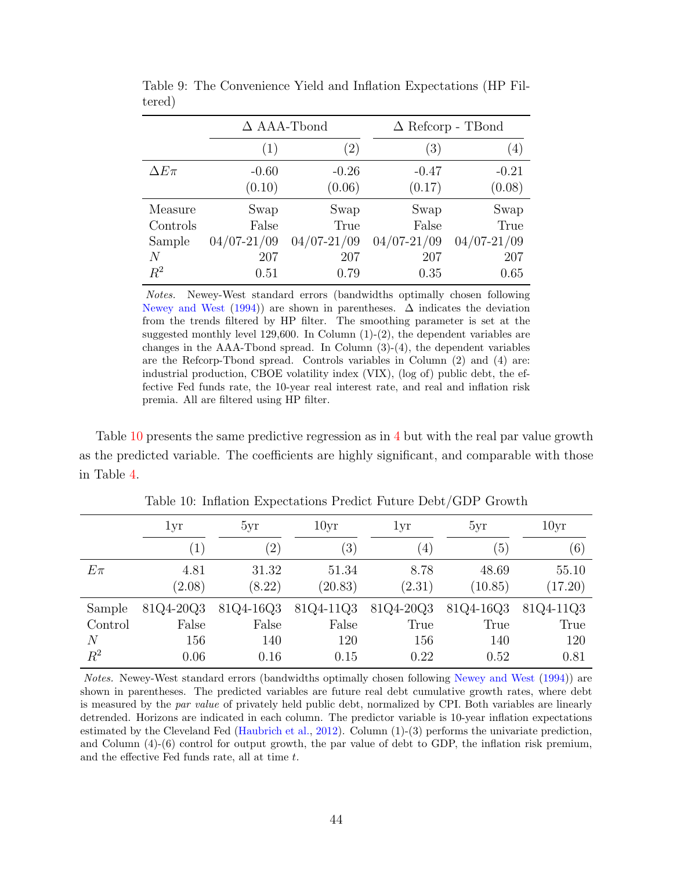|               | $\Delta$ AAA-Tbond |                 | $\Delta$ Refcorp - TBond |                 |  |
|---------------|--------------------|-----------------|--------------------------|-----------------|--|
|               | (1)                | (2)             | (3)                      | (4)             |  |
| $\Delta E\pi$ | $-0.60$            | $-0.26$         | $-0.47$                  | $-0.21$         |  |
|               | (0.10)             | (0.06)          | (0.17)                   | (0.08)          |  |
| Measure       | Swap               | Swap            | Swap                     | Swap            |  |
| Controls      | False              | True            | False                    | True            |  |
| Sample        | $04/07 - 21/09$    | $04/07 - 21/09$ | $04/07 - 21/09$          | $04/07 - 21/09$ |  |
| N             | 207                | 207             | 207                      | 207             |  |
| $R^2$         | 0.51               | 0.79            | 0.35                     | 0.65            |  |

<span id="page-44-0"></span>Table 9: The Convenience Yield and Inflation Expectations (HP Filtered)

Notes. Newey-West standard errors (bandwidths optimally chosen following [Newey and West](#page-35-10) [\(1994\)](#page-35-10)) are shown in parentheses.  $\Delta$  indicates the deviation from the trends filtered by HP filter. The smoothing parameter is set at the suggested monthly level  $129,600$ . In Column  $(1)-(2)$ , the dependent variables are changes in the AAA-Tbond spread. In Column  $(3)-(4)$ , the dependent variables are the Refcorp-Tbond spread. Controls variables in Column (2) and (4) are: industrial production, CBOE volatility index (VIX), (log of) public debt, the effective Fed funds rate, the 10-year real interest rate, and real and inflation risk premia. All are filtered using HP filter.

Table [10](#page-44-1) presents the same predictive regression as in [4](#page-15-0) but with the real par value growth as the predicted variable. The coefficients are highly significant, and comparable with those in Table [4.](#page-18-1)

|         | 1yr               | 5yr               | 10yr             | 1yr              | 5yr       | 10yr      |
|---------|-------------------|-------------------|------------------|------------------|-----------|-----------|
|         | $\left( 1\right)$ | $\left( 2\right)$ | $\left(3\right)$ | $\left(4\right)$ | (5)       | (6)       |
| $E\pi$  | 4.81              | 31.32             | 51.34            | 8.78             | 48.69     | 55.10     |
|         | (2.08)            | (8.22)            | (20.83)          | (2.31)           | (10.85)   | (17.20)   |
| Sample  | 81Q4-20Q3         | 81Q4-16Q3         | 81Q4-11Q3        | 81Q4-20Q3        | 81Q4-16Q3 | 81Q4-11Q3 |
| Control | False             | False             | False            | True             | True      | True      |
| $\,N$   | 156               | 140               | 120              | 156              | 140       | 120       |
| $\,R^2$ | 0.06              | 0.16              | 0.15             | 0.22             | 0.52      | 0.81      |

<span id="page-44-1"></span>Table 10: Inflation Expectations Predict Future Debt/GDP Growth

Notes. Newey-West standard errors (bandwidths optimally chosen following [Newey and West](#page-35-10) [\(1994\)](#page-35-10)) are shown in parentheses. The predicted variables are future real debt cumulative growth rates, where debt is measured by the par value of privately held public debt, normalized by CPI. Both variables are linearly detrended. Horizons are indicated in each column. The predictor variable is 10-year inflation expectations estimated by the Cleveland Fed [\(Haubrich et al.,](#page-34-9) [2012\)](#page-34-9). Column (1)-(3) performs the univariate prediction, and Column  $(4)-(6)$  control for output growth, the par value of debt to GDP, the inflation risk premium, and the effective Fed funds rate, all at time t.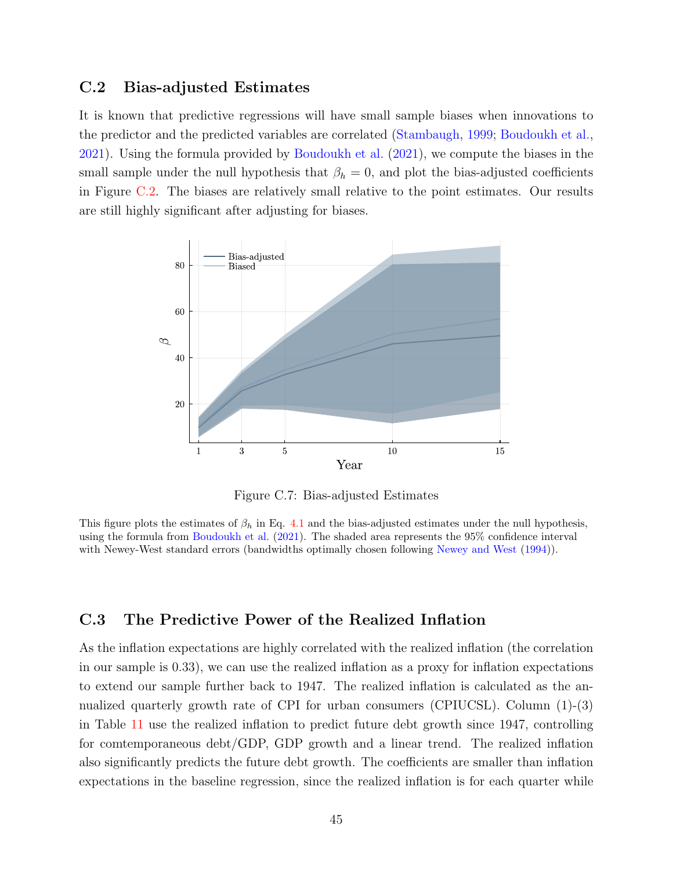### <span id="page-45-0"></span>C.2 Bias-adjusted Estimates

It is known that predictive regressions will have small sample biases when innovations to the predictor and the predicted variables are correlated [\(Stambaugh,](#page-35-12) [1999;](#page-35-12) [Boudoukh et al.,](#page-32-9) [2021\)](#page-32-9). Using the formula provided by [Boudoukh et al.](#page-32-9) [\(2021\)](#page-32-9), we compute the biases in the small sample under the null hypothesis that  $\beta_h = 0$ , and plot the bias-adjusted coefficients in Figure [C.2.](#page-45-0) The biases are relatively small relative to the point estimates. Our results are still highly significant after adjusting for biases.



Figure C.7: Bias-adjusted Estimates

This figure plots the estimates of  $\beta_h$  in Eq. [4.1](#page-17-1) and the bias-adjusted estimates under the null hypothesis, using the formula from [Boudoukh et al.](#page-32-9) [\(2021\)](#page-32-9). The shaded area represents the 95% confidence interval with Newey-West standard errors (bandwidths optimally chosen following [Newey and West](#page-35-10) [\(1994\)](#page-35-10)).

### <span id="page-45-1"></span>C.3 The Predictive Power of the Realized Inflation

As the inflation expectations are highly correlated with the realized inflation (the correlation in our sample is 0.33), we can use the realized inflation as a proxy for inflation expectations to extend our sample further back to 1947. The realized inflation is calculated as the annualized quarterly growth rate of CPI for urban consumers (CPIUCSL). Column  $(1)-(3)$ in Table [11](#page-46-0) use the realized inflation to predict future debt growth since 1947, controlling for comtemporaneous debt/GDP, GDP growth and a linear trend. The realized inflation also significantly predicts the future debt growth. The coefficients are smaller than inflation expectations in the baseline regression, since the realized inflation is for each quarter while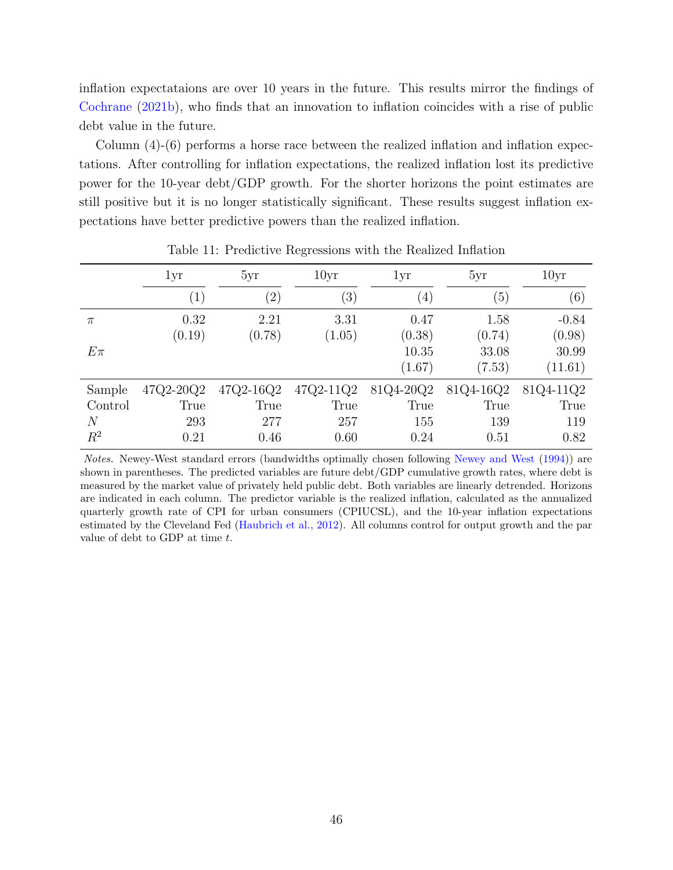inflation expectataions are over 10 years in the future. This results mirror the findings of [Cochrane](#page-33-1) [\(2021b\)](#page-33-1), who finds that an innovation to inflation coincides with a rise of public debt value in the future.

Column  $(4)-(6)$  performs a horse race between the realized inflation and inflation expectations. After controlling for inflation expectations, the realized inflation lost its predictive power for the 10-year debt/GDP growth. For the shorter horizons the point estimates are still positive but it is no longer statistically significant. These results suggest inflation expectations have better predictive powers than the realized inflation.

|             | 1yr               | 5yr               | 10 <sub>yr</sub> | 1yr               | 5yr       | 10 <sub>yr</sub>  |
|-------------|-------------------|-------------------|------------------|-------------------|-----------|-------------------|
|             | $\left( 1\right)$ | $\left( 2\right)$ | (3)              | $\left( 4\right)$ | (5)       | $\left( 6\right)$ |
| $\pi$       | 0.32              | 2.21              | 3.31             | 0.47              | 1.58      | $-0.84$           |
|             | (0.19)            | (0.78)            | (1.05)           | (0.38)            | (0.74)    | (0.98)            |
| $E\pi$      |                   |                   |                  | 10.35             | 33.08     | 30.99             |
|             |                   |                   |                  | (1.67)            | (7.53)    | (11.61)           |
| Sample      | 47Q2-20Q2         | 47Q2-16Q2         | 47Q2-11Q2        | 81Q4-20Q2         | 81Q4-16Q2 | 81Q4-11Q2         |
| Control     | True              | True              | True             | True              | True      | True              |
| $\,N$       | 293               | 277               | 257              | 155               | 139       | 119               |
| $\bar{R}^2$ | 0.21              | 0.46              | 0.60             | 0.24              | 0.51      | 0.82              |

<span id="page-46-0"></span>Table 11: Predictive Regressions with the Realized Inflation

Notes. Newey-West standard errors (bandwidths optimally chosen following [Newey and West](#page-35-10) [\(1994\)](#page-35-10)) are shown in parentheses. The predicted variables are future debt/GDP cumulative growth rates, where debt is measured by the market value of privately held public debt. Both variables are linearly detrended. Horizons are indicated in each column. The predictor variable is the realized inflation, calculated as the annualized quarterly growth rate of CPI for urban consumers (CPIUCSL), and the 10-year inflation expectations estimated by the Cleveland Fed [\(Haubrich et al.,](#page-34-9) [2012\)](#page-34-9). All columns control for output growth and the par value of debt to GDP at time  $t$ .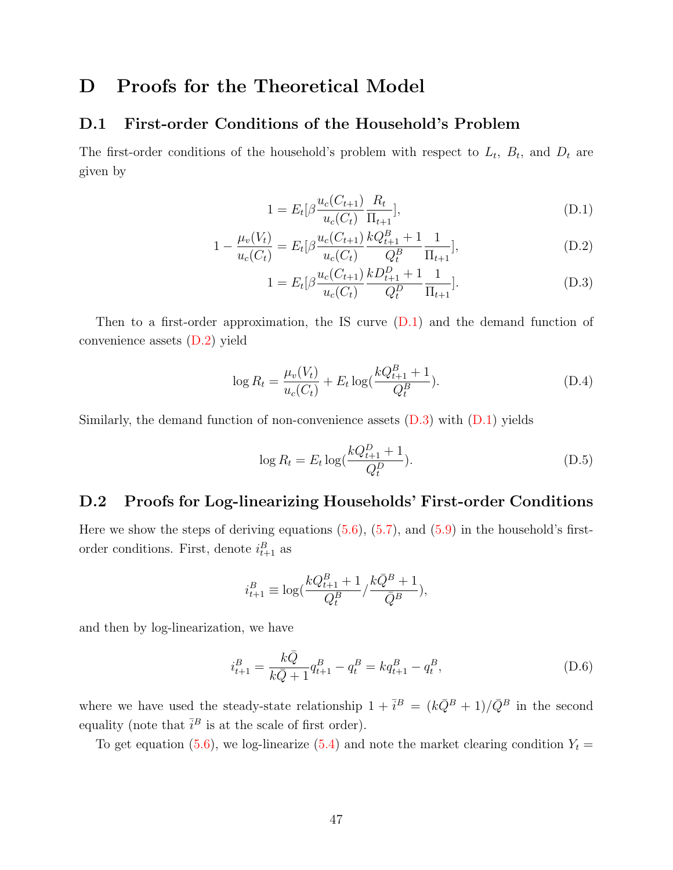## D Proofs for the Theoretical Model

### <span id="page-47-0"></span>D.1 First-order Conditions of the Household's Problem

The first-order conditions of the household's problem with respect to  $L_t$ ,  $B_t$ , and  $D_t$  are given by

<span id="page-47-2"></span>
$$
1 = E_t[\beta \frac{u_c(C_{t+1})}{u_c(C_t)} \frac{R_t}{\Pi_{t+1}}],
$$
\n(D.1)

$$
1 - \frac{\mu_v(V_t)}{u_c(C_t)} = E_t[\beta \frac{u_c(C_{t+1})}{u_c(C_t)} \frac{kQ_{t+1}^B + 1}{Q_t^B} \frac{1}{\Pi_{t+1}}],
$$
(D.2)

<span id="page-47-4"></span><span id="page-47-3"></span>
$$
1 = E_t[\beta \frac{u_c(C_{t+1})}{u_c(C_t)} \frac{k D_{t+1}^D + 1}{Q_t^D} \frac{1}{\Pi_{t+1}}].
$$
 (D.3)

Then to a first-order approximation, the IS curve  $(D.1)$  and the demand function of convenience assets [\(D.2\)](#page-47-3) yield

$$
\log R_t = \frac{\mu_v(V_t)}{u_c(C_t)} + E_t \log(\frac{kQ_{t+1}^B + 1}{Q_t^B}).
$$
\n(D.4)

Similarly, the demand function of non-convenience assets  $(D.3)$  with  $(D.1)$  yields

$$
\log R_t = E_t \log(\frac{kQ_{t+1}^D + 1}{Q_t^D}).
$$
\n(D.5)

### <span id="page-47-1"></span>D.2 Proofs for Log-linearizing Households' First-order Conditions

Here we show the steps of deriving equations  $(5.6)$ ,  $(5.7)$ , and  $(5.9)$  in the household's firstorder conditions. First, denote  $i_{t+1}^B$  as

<span id="page-47-5"></span>
$$
i_{t+1}^B \equiv \log(\frac{kQ_{t+1}^B+1}{Q_t^B}/\frac{k\bar{Q}^B+1}{\bar{Q}^B}),
$$

and then by log-linearization, we have

$$
i_{t+1}^B = \frac{k\bar{Q}}{k\bar{Q} + 1} q_{t+1}^B - q_t^B = kq_{t+1}^B - q_t^B,
$$
\n(D.6)

where we have used the steady-state relationship  $1 + \bar{i}^B = (k\bar{Q}^B + 1)/\bar{Q}^B$  in the second equality (note that  $\bar{i}^B$  is at the scale of first order).

To get equation [\(5.6\)](#page-22-0), we log-linearize [\(5.4\)](#page-21-1) and note the market clearing condition  $Y_t =$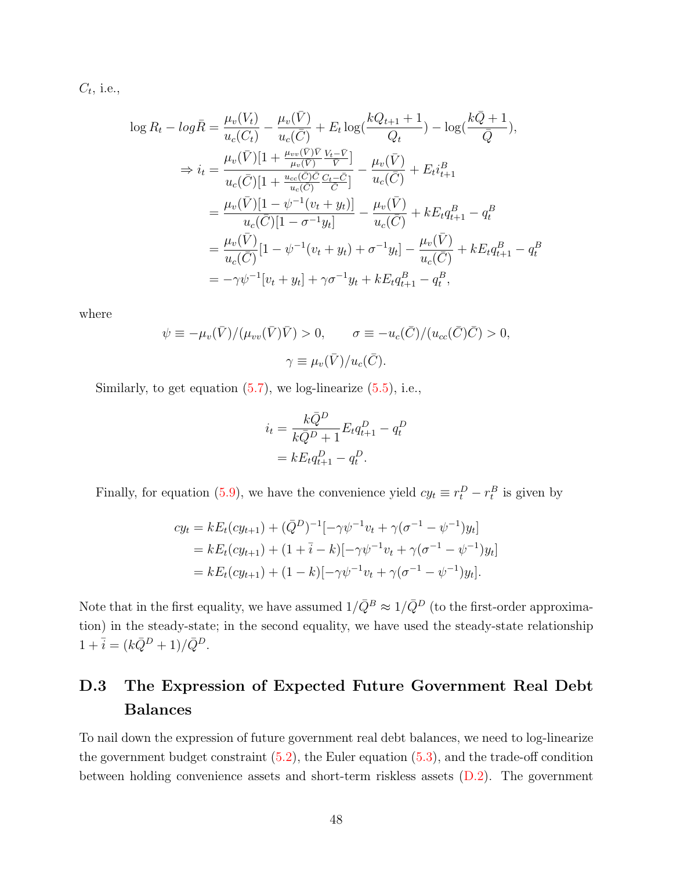$C_t$ , i.e.,

$$
\log R_t - \log \bar{R} = \frac{\mu_v(V_t)}{u_c(C_t)} - \frac{\mu_v(\bar{V})}{u_c(\bar{C})} + E_t \log(\frac{kQ_{t+1} + 1}{Q_t}) - \log(\frac{k\bar{Q} + 1}{\bar{Q}}),
$$
  
\n
$$
\Rightarrow i_t = \frac{\mu_v(\bar{V})[1 + \frac{\mu_{vv}(\bar{V})\bar{V}}{\mu_v(\bar{V})} \frac{V_t - \bar{V}}{\bar{V}}]}{u_c(\bar{C})[1 + \frac{u_{cc}(\bar{C})\bar{C}}{u_c(\bar{C})} \frac{C_t - \bar{C}}{\bar{C}}]} - \frac{\mu_v(\bar{V})}{u_c(\bar{C})} + E_t i_{t+1}^B
$$
  
\n
$$
= \frac{\mu_v(\bar{V})[1 - \psi^{-1}(v_t + y_t)]}{u_c(\bar{C})[1 - \sigma^{-1}y_t]} - \frac{\mu_v(\bar{V})}{u_c(\bar{C})} + kE_t q_{t+1}^B - q_t^B
$$
  
\n
$$
= \frac{\mu_v(\bar{V})}{u_c(\bar{C})}[1 - \psi^{-1}(v_t + y_t) + \sigma^{-1}y_t] - \frac{\mu_v(\bar{V})}{u_c(\bar{C})} + kE_t q_{t+1}^B - q_t^B
$$
  
\n
$$
= -\gamma \psi^{-1}[v_t + y_t] + \gamma \sigma^{-1} y_t + kE_t q_{t+1}^B - q_t^B,
$$

where

$$
\psi \equiv -\mu_v(\bar{V})/(\mu_{vv}(\bar{V})\bar{V}) > 0, \qquad \sigma \equiv -u_c(\bar{C})/(u_{cc}(\bar{C})\bar{C}) > 0,
$$

$$
\gamma \equiv \mu_v(\bar{V})/u_c(\bar{C}).
$$

Similarly, to get equation  $(5.7)$ , we log-linearize  $(5.5)$ , i.e.,

$$
i_t = \frac{k\bar{Q}^D}{k\bar{Q}^D + 1} E_t q_{t+1}^D - q_t^D
$$
  
=  $k E_t q_{t+1}^D - q_t^D$ .

Finally, for equation [\(5.9\)](#page-23-0), we have the convenience yield  $cy_t \equiv r_t^D - r_t^B$  is given by

$$
cy_t = kE_t(cy_{t+1}) + (\bar{Q}^D)^{-1}[-\gamma\psi^{-1}v_t + \gamma(\sigma^{-1} - \psi^{-1})y_t]
$$
  
=  $kE_t(cy_{t+1}) + (1 + \bar{i} - k)[-\gamma\psi^{-1}v_t + \gamma(\sigma^{-1} - \psi^{-1})y_t]$   
=  $kE_t(cy_{t+1}) + (1 - k)[-\gamma\psi^{-1}v_t + \gamma(\sigma^{-1} - \psi^{-1})y_t].$ 

Note that in the first equality, we have assumed  $1/\bar{Q}^B \approx 1/\bar{Q}^D$  (to the first-order approximation) in the steady-state; in the second equality, we have used the steady-state relationship  $1+\bar{i}=(k\bar{Q}^D+1)/\bar{Q}^D.$ 

## <span id="page-48-0"></span>D.3 The Expression of Expected Future Government Real Debt Balances

To nail down the expression of future government real debt balances, we need to log-linearize the government budget constraint  $(5.2)$ , the Euler equation  $(5.3)$ , and the trade-off condition between holding convenience assets and short-term riskless assets [\(D.2\)](#page-47-3). The government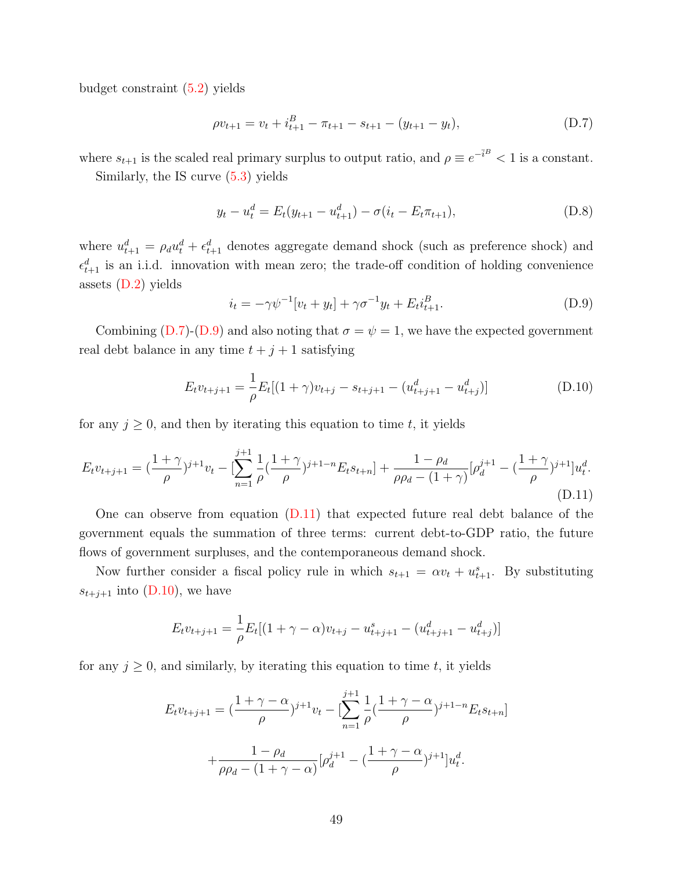budget constraint [\(5.2\)](#page-20-1) yields

<span id="page-49-0"></span>
$$
\rho v_{t+1} = v_t + i_{t+1}^B - \pi_{t+1} - s_{t+1} - (y_{t+1} - y_t),
$$
\n(D.7)

where  $s_{t+1}$  is the scaled real primary surplus to output ratio, and  $\rho \equiv e^{-\bar{i}B} < 1$  is a constant.

Similarly, the IS curve [\(5.3\)](#page-21-3) yields

$$
y_t - u_t^d = E_t(y_{t+1} - u_{t+1}^d) - \sigma(i_t - E_t \pi_{t+1}),
$$
\n(D.8)

where  $u_{t+1}^d = \rho_d u_t^d + \epsilon_{t+1}^d$  denotes aggregate demand shock (such as preference shock) and  $\epsilon_{t+1}^d$  is an i.i.d. innovation with mean zero; the trade-off condition of holding convenience assets  $(D.2)$  yields

<span id="page-49-3"></span><span id="page-49-2"></span><span id="page-49-1"></span>
$$
i_t = -\gamma \psi^{-1} [v_t + y_t] + \gamma \sigma^{-1} y_t + E_t i_{t+1}^B.
$$
 (D.9)

Combining [\(D.7\)](#page-49-0)-[\(D.9\)](#page-49-1) and also noting that  $\sigma = \psi = 1$ , we have the expected government real debt balance in any time  $t + j + 1$  satisfying

$$
E_t v_{t+j+1} = \frac{1}{\rho} E_t [(1+\gamma)v_{t+j} - s_{t+j+1} - (u_{t+j+1}^d - u_{t+j}^d)]
$$
(D.10)

for any  $j \geq 0$ , and then by iterating this equation to time t, it yields

$$
E_t v_{t+j+1} = \left(\frac{1+\gamma}{\rho}\right)^{j+1} v_t - \left[\sum_{n=1}^{j+1} \frac{1}{\rho} \left(\frac{1+\gamma}{\rho}\right)^{j+1-n} E_t s_{t+n}\right] + \frac{1-\rho_d}{\rho \rho_d - (1+\gamma)} \left[\rho_d^{j+1} - \left(\frac{1+\gamma}{\rho}\right)^{j+1}\right] u_t^d.
$$
\n(D.11)

One can observe from equation [\(D.11\)](#page-49-2) that expected future real debt balance of the government equals the summation of three terms: current debt-to-GDP ratio, the future flows of government surpluses, and the contemporaneous demand shock.

Now further consider a fiscal policy rule in which  $s_{t+1} = \alpha v_t + u_{t+1}^s$ . By substituting  $s_{t+j+1}$  into [\(D.10\)](#page-49-3), we have

$$
E_t v_{t+j+1} = \frac{1}{\rho} E_t [(1+\gamma-\alpha)v_{t+j} - u_{t+j+1}^s - (u_{t+j+1}^d - u_{t+j}^d)]
$$

for any  $j \geq 0$ , and similarly, by iterating this equation to time t, it yields

$$
E_t v_{t+j+1} = \left(\frac{1+\gamma-\alpha}{\rho}\right)^{j+1} v_t - \left[\sum_{n=1}^{j+1} \frac{1}{\rho} \left(\frac{1+\gamma-\alpha}{\rho}\right)^{j+1-n} E_t s_{t+n}\right] + \frac{1-\rho_d}{\rho \rho_d - (1+\gamma-\alpha)} \left[\rho_d^{j+1} - \left(\frac{1+\gamma-\alpha}{\rho}\right)^{j+1}\right] u_t^d.
$$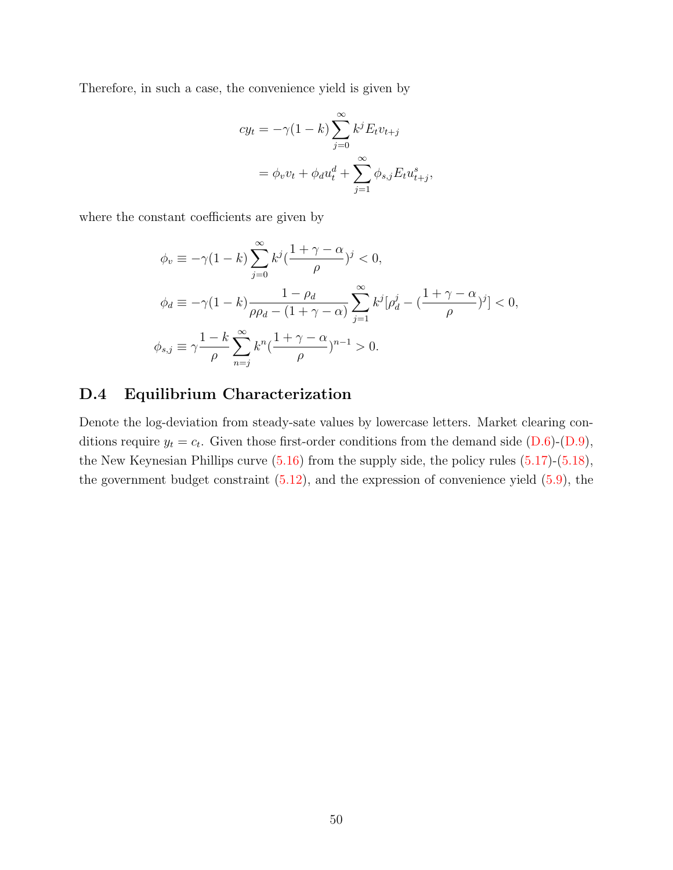Therefore, in such a case, the convenience yield is given by

$$
cy_t = -\gamma (1 - k) \sum_{j=0}^{\infty} k^j E_t v_{t+j}
$$

$$
= \phi_v v_t + \phi_d u_t^d + \sum_{j=1}^{\infty} \phi_{s,j} E_t u_{t+j}^s,
$$

where the constant coefficients are given by

$$
\phi_v \equiv -\gamma (1 - k) \sum_{j=0}^{\infty} k^j \left(\frac{1 + \gamma - \alpha}{\rho}\right)^j < 0,
$$
\n
$$
\phi_d \equiv -\gamma (1 - k) \frac{1 - \rho_d}{\rho \rho_d - (1 + \gamma - \alpha)} \sum_{j=1}^{\infty} k^j [\rho_d^j - \left(\frac{1 + \gamma - \alpha}{\rho}\right)^j] < 0,
$$
\n
$$
\phi_{s,j} \equiv \gamma \frac{1 - k}{\rho} \sum_{n=j}^{\infty} k^n \left(\frac{1 + \gamma - \alpha}{\rho}\right)^{n-1} > 0.
$$

### <span id="page-50-0"></span>D.4 Equilibrium Characterization

Denote the log-deviation from steady-sate values by lowercase letters. Market clearing conditions require  $y_t = c_t$ . Given those first-order conditions from the demand side  $(D.6)-(D.9)$  $(D.6)-(D.9)$  $(D.6)-(D.9)$ , the New Keynesian Phillips curve [\(5.16\)](#page-27-0) from the supply side, the policy rules [\(5.17\)](#page-27-2)-[\(5.18\)](#page-27-1), the government budget constraint  $(5.12)$ , and the expression of convenience yield  $(5.9)$ , the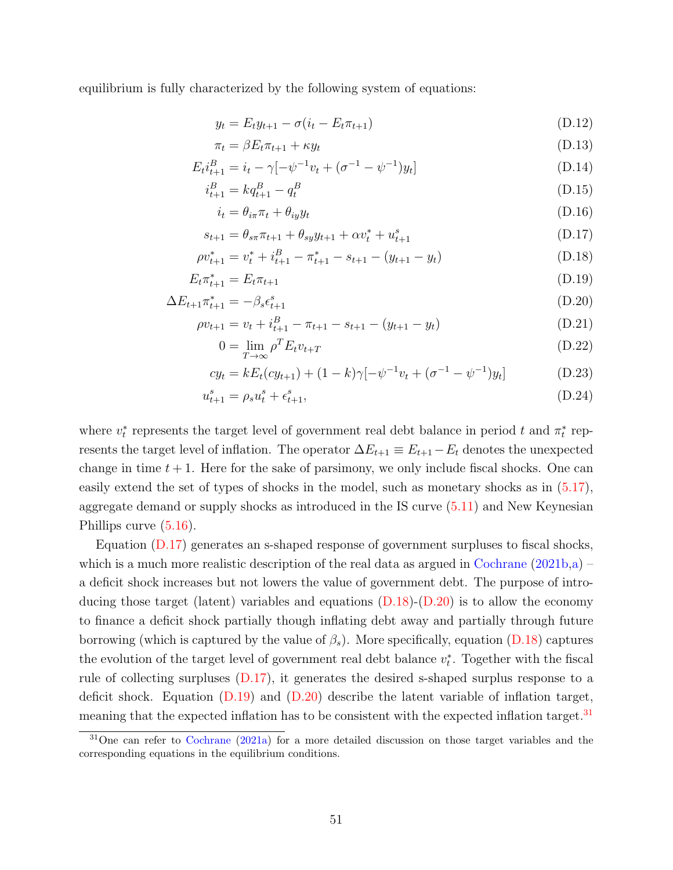equilibrium is fully characterized by the following system of equations:

<span id="page-51-6"></span>
$$
y_t = E_t y_{t+1} - \sigma(i_t - E_t \pi_{t+1})
$$
\n(D.12)

$$
\pi_t = \beta E_t \pi_{t+1} + \kappa y_t \tag{D.13}
$$

$$
E_t i_{t+1}^B = i_t - \gamma [-\psi^{-1} v_t + (\sigma^{-1} - \psi^{-1}) y_t]
$$
\n(D.14)

$$
i_{t+1}^B = kq_{t+1}^B - q_t^B \tag{D.15}
$$

<span id="page-51-3"></span><span id="page-51-1"></span><span id="page-51-0"></span>
$$
i_t = \theta_{i\pi}\pi_t + \theta_{iy}y_t \tag{D.16}
$$

$$
s_{t+1} = \theta_{s\pi} \pi_{t+1} + \theta_{s} y_{t+1} + \alpha v_t^* + u_{t+1}^s \tag{D.17}
$$

$$
\rho v_{t+1}^* = v_t^* + i_{t+1}^B - \pi_{t+1}^* - s_{t+1} - (y_{t+1} - y_t)
$$
\n(D.18)

$$
E_t \pi_{t+1}^* = E_t \pi_{t+1}
$$
\n(D.19)

$$
\Delta E_{t+1} \pi_{t+1}^* = -\beta_s \epsilon_{t+1}^s \tag{D.20}
$$

$$
\rho v_{t+1} = v_t + i_{t+1}^B - \pi_{t+1} - s_{t+1} - (y_{t+1} - y_t)
$$
\n(D.21)

<span id="page-51-7"></span><span id="page-51-5"></span><span id="page-51-4"></span><span id="page-51-2"></span>
$$
0 = \lim_{T \to \infty} \rho^T E_t v_{t+T}
$$
\n(D.22)

$$
cy_t = kE_t(cy_{t+1}) + (1-k)\gamma[-\psi^{-1}v_t + (\sigma^{-1} - \psi^{-1})y_t]
$$
 (D.23)

$$
u_{t+1}^s = \rho_s u_t^s + \epsilon_{t+1}^s,\tag{D.24}
$$

where  $v_t^*$  represents the target level of government real debt balance in period t and  $\pi_t^*$  represents the target level of inflation. The operator  $\Delta E_{t+1} \equiv E_{t+1} - E_t$  denotes the unexpected change in time  $t + 1$ . Here for the sake of parsimony, we only include fiscal shocks. One can easily extend the set of types of shocks in the model, such as monetary shocks as in [\(5.17\)](#page-27-2), aggregate demand or supply shocks as introduced in the IS curve [\(5.11\)](#page-24-0) and New Keynesian Phillips curve [\(5.16\)](#page-27-0).

Equation [\(D.17\)](#page-51-0) generates an s-shaped response of government surpluses to fiscal shocks, which is a much more realistic description of the real data as argued in [Cochrane](#page-33-1)  $(2021b,a)$  $(2021b,a)$  – a deficit shock increases but not lowers the value of government debt. The purpose of introducing those target (latent) variables and equations  $(D.18)$ - $(D.20)$  is to allow the economy to finance a deficit shock partially though inflating debt away and partially through future borrowing (which is captured by the value of  $\beta_s$ ). More specifically, equation [\(D.18\)](#page-51-1) captures the evolution of the target level of government real debt balance  $v_t^*$ . Together with the fiscal rule of collecting surpluses [\(D.17\)](#page-51-0), it generates the desired s-shaped surplus response to a deficit shock. Equation  $(D.19)$  and  $(D.20)$  describe the latent variable of inflation target, meaning that the expected inflation has to be consistent with the expected inflation target.<sup>[31](#page-0-0)</sup>

<sup>&</sup>lt;sup>31</sup>One can refer to [Cochrane](#page-33-0) [\(2021a\)](#page-33-0) for a more detailed discussion on those target variables and the corresponding equations in the equilibrium conditions.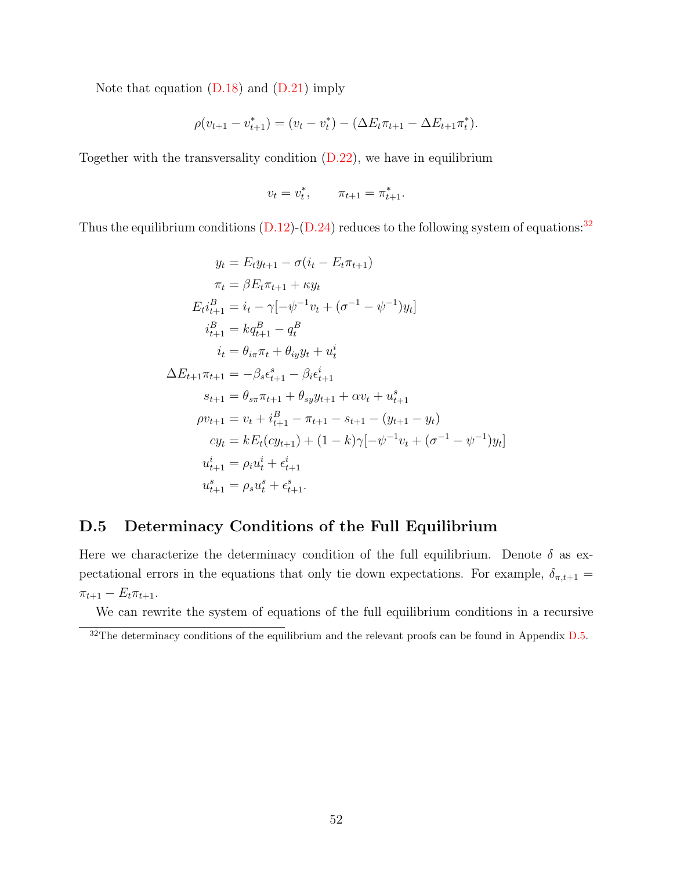Note that equation [\(D.18\)](#page-51-1) and [\(D.21\)](#page-51-4) imply

$$
\rho(v_{t+1} - v_{t+1}^*) = (v_t - v_t^*) - (\Delta E_t \pi_{t+1} - \Delta E_{t+1} \pi_t^*).
$$

Together with the transversality condition  $(D.22)$ , we have in equilibrium

$$
v_t = v_t^*, \qquad \pi_{t+1} = \pi_{t+1}^*.
$$

Thus the equilibrium conditions  $(D.12)$ - $(D.24)$  reduces to the following system of equations:<sup>[32](#page-0-0)</sup>

$$
y_t = E_t y_{t+1} - \sigma(i_t - E_t \pi_{t+1})
$$
  
\n
$$
\pi_t = \beta E_t \pi_{t+1} + \kappa y_t
$$
  
\n
$$
E_t i_{t+1}^B = i_t - \gamma[-\psi^{-1} v_t + (\sigma^{-1} - \psi^{-1}) y_t]
$$
  
\n
$$
i_{t+1}^B = k q_{t+1}^B - q_t^B
$$
  
\n
$$
i_t = \theta_{i\pi} \pi_t + \theta_{i\gamma} y_t + u_t^i
$$
  
\n
$$
\Delta E_{t+1} \pi_{t+1} = -\beta_s \epsilon_{t+1}^s - \beta_t \epsilon_{t+1}^i
$$
  
\n
$$
s_{t+1} = \theta_{s\pi} \pi_{t+1} + \theta_{s\gamma} y_{t+1} + \alpha v_t + u_{t+1}^s
$$
  
\n
$$
\rho v_{t+1} = v_t + i_{t+1}^B - \pi_{t+1} - s_{t+1} - (y_{t+1} - y_t)
$$
  
\n
$$
c y_t = k E_t (c y_{t+1}) + (1 - k) \gamma[-\psi^{-1} v_t + (\sigma^{-1} - \psi^{-1}) y_t]
$$
  
\n
$$
u_{t+1}^i = \rho_i u_t^i + \epsilon_{t+1}^i
$$
  
\n
$$
u_{t+1}^s = \rho_s u_t^s + \epsilon_{t+1}^s.
$$

### <span id="page-52-0"></span>D.5 Determinacy Conditions of the Full Equilibrium

Here we characterize the determinacy condition of the full equilibrium. Denote  $\delta$  as expectational errors in the equations that only tie down expectations. For example,  $\delta_{\pi,t+1}$  =  $\pi_{t+1} - E_t \pi_{t+1}.$ 

We can rewrite the system of equations of the full equilibrium conditions in a recursive

 $\frac{32}{10}$  The determinacy conditions of the equilibrium and the relevant proofs can be found in Appendix [D.5.](#page-52-0)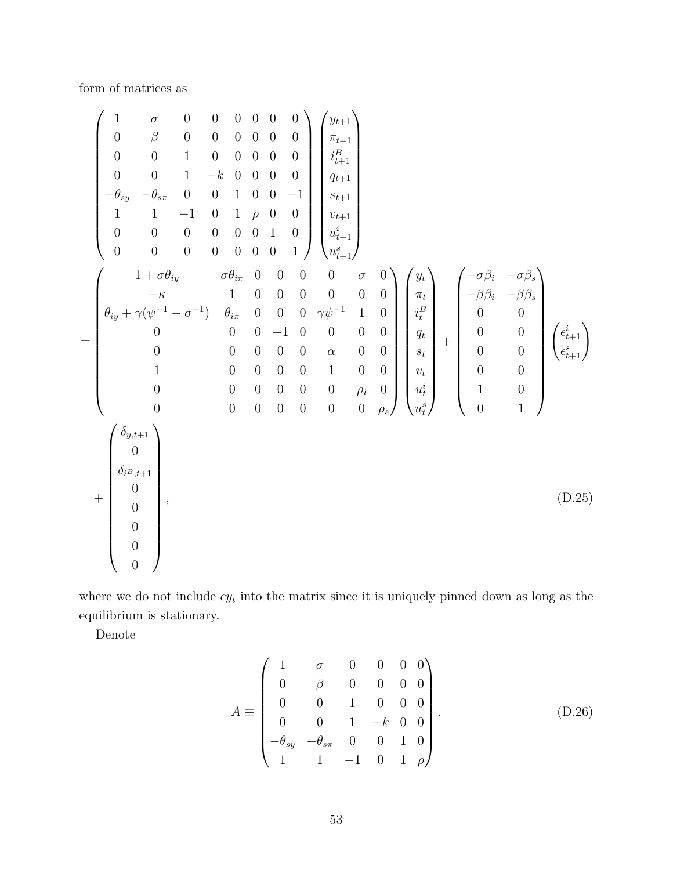form of matrices as

$$
\begin{pmatrix}\n1 & \sigma & 0 & 0 & 0 & 0 & 0 & 0 \\
0 & \beta & 0 & 0 & 0 & 0 & 0 & 0 \\
0 & 0 & 1 & 0 & 0 & 0 & 0 & 0 \\
0 & 0 & 1 & -k & 0 & 0 & 0 & 0 \\
0 & 0 & 1 & 0 & 0 & 0 & -1 & 0 \\
1 & 1 & -1 & 0 & 1 & \rho & 0 & 0 \\
0 & 0 & 0 & 0 & 0 & 0 & 1 & 0\n\end{pmatrix}\n\begin{pmatrix}\ny_{t+1} \\
y_{t+1} \\
y_{t+1} \\
y_{t+1} \\
y_{t+1} \\
y_{t+1} \\
y_{t+1} \\
y_{t+1} \\
y_{t+1} \\
y_{t+1} \\
y_{t+1} \\
y_{t+1} \\
y_{t+1} \\
y_{t+1} \\
y_{t+1} \\
y_{t+1} \\
y_{t+1} \\
y_{t+1} \\
y_{t+1} \\
y_{t+1} \\
y_{t+1} \\
y_{t+1} \\
y_{t+1} \\
y_{t+1} \\
y_{t+1} \\
y_{t+1} \\
y_{t+1} \\
y_{t+1} \\
y_{t+1} \\
y_{t+1} \\
y_{t+1} \\
y_{t+1} \\
y_{t+1} \\
y_{t+1} \\
y_{t+1} \\
y_{t+1} \\
y_{t+1} \\
y_{t+1} \\
y_{t+1} \\
y_{t+1} \\
y_{t+1} \\
y_{t+1} \\
y_{t+1} \\
y_{t+1} \\
y_{t+1} \\
y_{t+1} \\
y_{t+1} \\
y_{t+1} \\
y_{t+1} \\
y_{t+1} \\
y_{t+1} \\
y_{t+1} \\
y_{t+1} \\
y_{t+1} \\
y_{t+1} \\
y_{t+1} \\
y_{t+1} \\
y_{t+1} \\
y_{t+1} \\
y_{t+1} \\
y_{t+1} \\
y_{t+1} \\
y_{t+1} \\
y_{t+1} \\
y_{t+1} \\
y_{t+1} \\
y_{t+1} \\
y_{t+1} \\
y_{t+1} \\
y_{t+1} \\
y_{t+1} \\
y_{t+1} \\
y_{t+1} \\
y_{t+1} \\
y_{t+1} \\
y_{t+1} \\
y_{t+1} \\
y_{t+1} \\
y_{t+1} \\
y_{t+1} \\
y_{t+1} \\
y_{t+1} \\
y_{t+1
$$

where we do not include  $cy_t$  into the matrix since it is uniquely pinned down as long as the equilibrium is stationary.

Denote

<span id="page-53-0"></span>
$$
A \equiv \begin{pmatrix} 1 & \sigma & 0 & 0 & 0 & 0 \\ 0 & \beta & 0 & 0 & 0 & 0 \\ 0 & 0 & 1 & 0 & 0 & 0 \\ 0 & 0 & 1 & -k & 0 & 0 \\ -\theta_{sy} & -\theta_{s\pi} & 0 & 0 & 1 & 0 \\ 1 & 1 & -1 & 0 & 1 & \rho \end{pmatrix} . \tag{D.26}
$$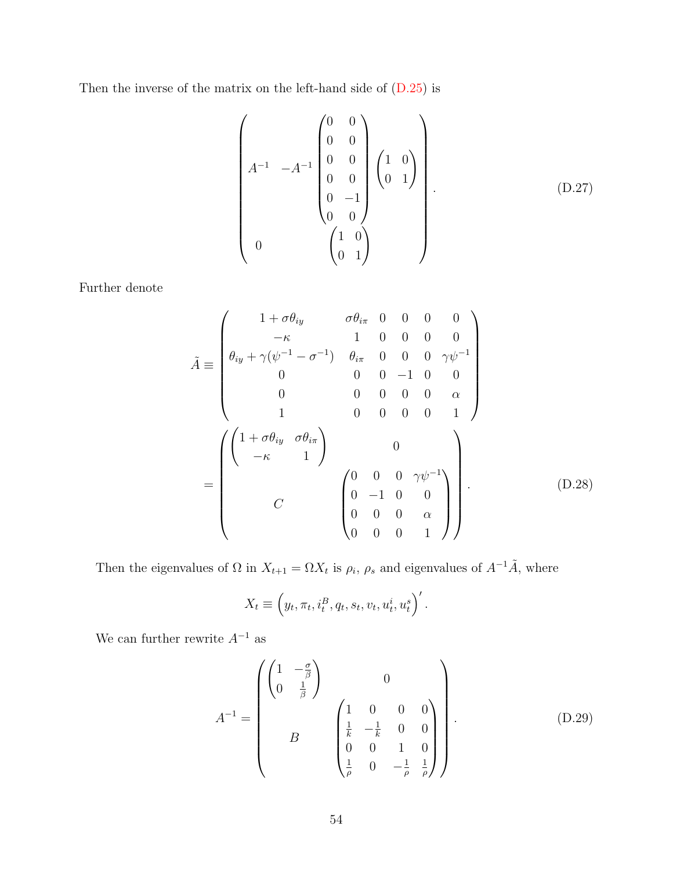Then the inverse of the matrix on the left-hand side of [\(D.25\)](#page-53-0) is

$$
\begin{pmatrix}\n0 & 0 \\
0 & 0 \\
0 & 0 \\
0 & 0 \\
0 & -1 \\
0 & 0\n\end{pmatrix}\n\begin{pmatrix}\n1 & 0 \\
0 & 1\n\end{pmatrix}
$$
\n
$$
\begin{pmatrix}\n1 & 0 \\
0 & 1\n\end{pmatrix}
$$
\n
$$
\begin{pmatrix}\n1 & 0 \\
0 & 0 \\
0 & 1\n\end{pmatrix}
$$
\n
$$
\begin{pmatrix}\n1 & 0 \\
0 & 1\n\end{pmatrix}
$$
\n(D.27)

Further denote

$$
\tilde{A} \equiv \begin{pmatrix}\n1 + \sigma \theta_{iy} & \sigma \theta_{i\pi} & 0 & 0 & 0 & 0 \\
-\kappa & 1 & 0 & 0 & 0 & 0 \\
\theta_{iy} + \gamma(\psi^{-1} - \sigma^{-1}) & \theta_{i\pi} & 0 & 0 & 0 & \gamma \psi^{-1} \\
0 & 0 & 0 & -1 & 0 & 0 \\
0 & 0 & 0 & 0 & 0 & \alpha \\
1 & 0 & 0 & 0 & 0 & 1\n\end{pmatrix}
$$
\n
$$
= \begin{pmatrix}\n1 + \sigma \theta_{iy} & \sigma \theta_{i\pi} \\
-\kappa & 1\n\end{pmatrix}\n\begin{pmatrix}\n0 & 0 & 0 & \gamma \psi^{-1} \\
0 & -1 & 0 & 0 \\
0 & 0 & 0 & \alpha \\
0 & 0 & 0 & 1\n\end{pmatrix}.
$$
\n(D.28)

Then the eigenvalues of  $\Omega$  in  $X_{t+1} = \Omega X_t$  is  $\rho_i$ ,  $\rho_s$  and eigenvalues of  $A^{-1}\tilde{A}$ , where

$$
X_t \equiv \left(y_t, \pi_t, i_t^B, q_t, s_t, v_t, u_t^i, u_t^s\right)'
$$

We can further rewrite  $A^{-1}$  as

$$
A^{-1} = \begin{pmatrix} \begin{pmatrix} 1 & -\frac{\sigma}{\beta} \\ 0 & \frac{1}{\beta} \end{pmatrix} & 0 \\ B & \begin{pmatrix} 1 & 0 & 0 & 0 \\ \frac{1}{k} & -\frac{1}{k} & 0 & 0 \\ 0 & 0 & 1 & 0 \\ \frac{1}{\rho} & 0 & -\frac{1}{\rho} & \frac{1}{\rho} \end{pmatrix} \end{pmatrix} .
$$
 (D.29)